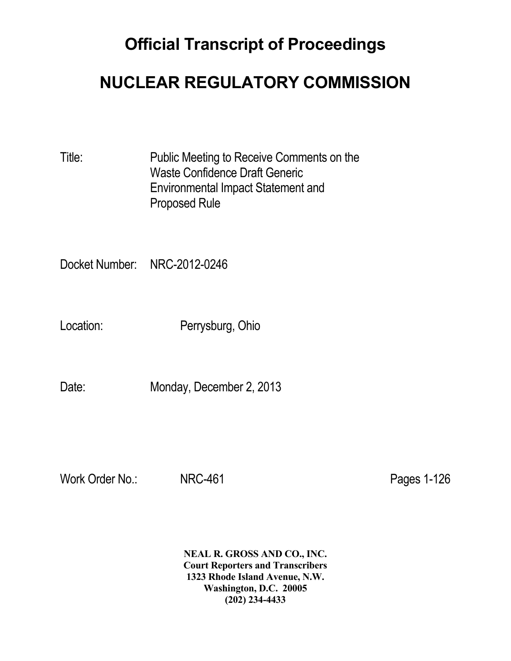# **Official Transcript of Proceedings**

## **NUCLEAR REGULATORY COMMISSION**

Title: Public Meeting to Receive Comments on the Waste Confidence Draft Generic Environmental Impact Statement and Proposed Rule

Docket Number: NRC-2012-0246

Location: Perrysburg, Ohio

Date: Monday, December 2, 2013

Work Order No.: NRC-461 Pages 1-126

 **NEAL R. GROSS AND CO., INC. Court Reporters and Transcribers 1323 Rhode Island Avenue, N.W. Washington, D.C. 20005 (202) 234-4433**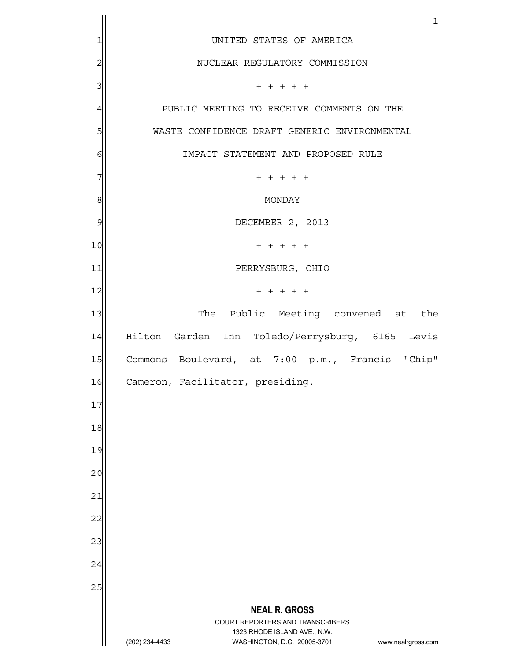|                | $\mathbf 1$                                                                                                                             |
|----------------|-----------------------------------------------------------------------------------------------------------------------------------------|
| 1              | UNITED STATES OF AMERICA                                                                                                                |
| $\overline{c}$ | NUCLEAR REGULATORY COMMISSION                                                                                                           |
| 3              | $+ + + + + +$                                                                                                                           |
| $\overline{4}$ | PUBLIC MEETING TO RECEIVE COMMENTS ON THE                                                                                               |
| 5              | WASTE CONFIDENCE DRAFT GENERIC ENVIRONMENTAL                                                                                            |
| $\epsilon$     | IMPACT STATEMENT AND PROPOSED RULE                                                                                                      |
| 7              | $+ + + + + +$                                                                                                                           |
| 8              | MONDAY                                                                                                                                  |
| 9              | DECEMBER 2, 2013                                                                                                                        |
| 10             | $+ + + + + +$                                                                                                                           |
| 11             | PERRYSBURG, OHIO                                                                                                                        |
| 12             | $+ + + + + +$                                                                                                                           |
| 13             | The Public Meeting convened at the                                                                                                      |
| 14             | Hilton Garden Inn Toledo/Perrysburg, 6165 Levis                                                                                         |
| 15             | Commons Boulevard, at 7:00 p.m., Francis "Chip"                                                                                         |
| 16             | Cameron, Facilitator, presiding.                                                                                                        |
| 17             |                                                                                                                                         |
| 18             |                                                                                                                                         |
| 19             |                                                                                                                                         |
| 20             |                                                                                                                                         |
| 21             |                                                                                                                                         |
| 22             |                                                                                                                                         |
| 23             |                                                                                                                                         |
| 24             |                                                                                                                                         |
| 25             |                                                                                                                                         |
|                | <b>NEAL R. GROSS</b>                                                                                                                    |
|                | COURT REPORTERS AND TRANSCRIBERS<br>1323 RHODE ISLAND AVE., N.W.<br>(202) 234-4433<br>WASHINGTON, D.C. 20005-3701<br>www.nealrgross.com |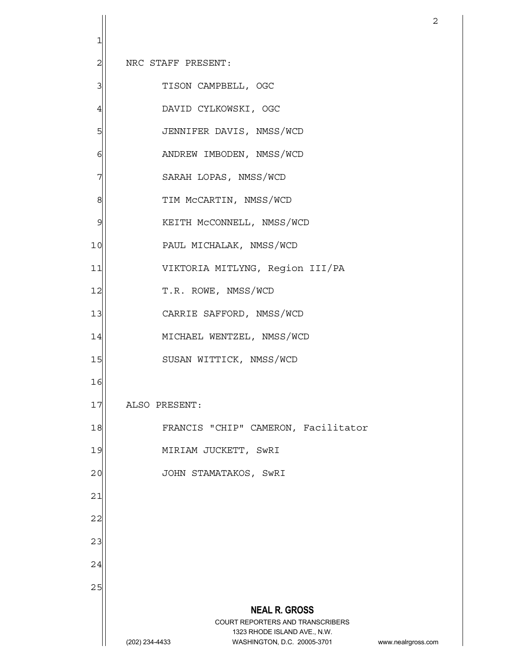**NEAL R. GROSS** COURT REPORTERS AND TRANSCRIBERS 1323 RHODE ISLAND AVE., N.W. (202) 234-4433 WASHINGTON, D.C. 20005-3701 www.nealrgross.com 2 1 2 NRC STAFF PRESENT: 3<sup>|</sup> TISON CAMPBELL, OGC 4 DAVID CYLKOWSKI, OGC 5 JENNIFER DAVIS, NMSS/WCD 6 | ANDREW IMBODEN, NMSS/WCD 7 SARAH LOPAS, NMSS/WCD 8 | TIM McCARTIN, NMSS/WCD 9 | KEITH McCONNELL, NMSS/WCD 10 PAUL MICHALAK, NMSS/WCD 11 VIKTORIA MITLYNG, Region III/PA 12 T.R. ROWE, NMSS/WCD 13 | CARRIE SAFFORD, NMSS/WCD 14 MICHAEL WENTZEL, NMSS/WCD 15 SUSAN WITTICK, NMSS/WCD 16 17 ALSO PRESENT: 18 | FRANCIS "CHIP" CAMERON, Facilitator 19 MIRIAM JUCKETT, SwRI 20 JOHN STAMATAKOS, SwRI 21 22 23 24 25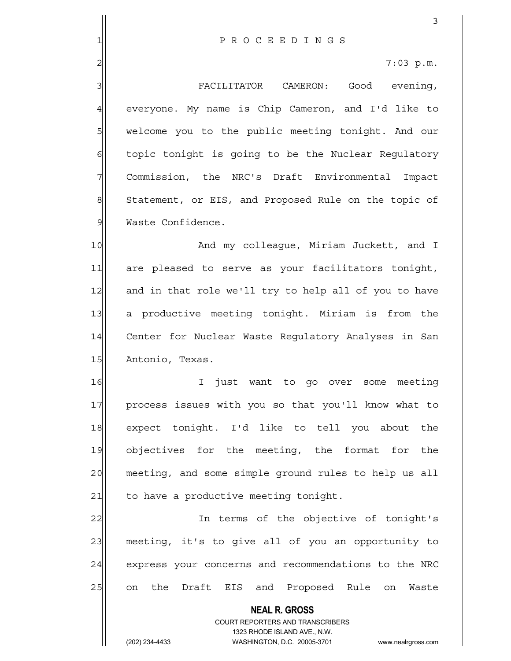**NEAL R. GROSS** 3 1 P R O C E E D I N G S 2 7:03 p.m. 3 | FACILITATOR CAMERON: Good evening, 4 everyone. My name is Chip Cameron, and I'd like to 5 | welcome you to the public meeting tonight. And our 6 6 topic tonight is going to be the Nuclear Regulatory 7 Commission, the NRC's Draft Environmental Impact 8 Statement, or EIS, and Proposed Rule on the topic of 9 Waste Confidence. 10 and my colleague, Miriam Juckett, and I 11 are pleased to serve as your facilitators tonight, 12 and in that role we'll try to help all of you to have 13 a productive meeting tonight. Miriam is from the 14 Center for Nuclear Waste Requlatory Analyses in San 15 Antonio, Texas. 16 I just want to go over some meeting 17 process issues with you so that you'll know what to 18 expect tonight. I'd like to tell you about the 19 objectives for the meeting, the format for the 20 meeting, and some simple ground rules to help us all  $21$  to have a productive meeting tonight. 22 In terms of the objective of tonight's 23 meeting, it's to give all of you an opportunity to 24 express your concerns and recommendations to the NRC 25 on the Draft EIS and Proposed Rule on Waste

> COURT REPORTERS AND TRANSCRIBERS 1323 RHODE ISLAND AVE., N.W.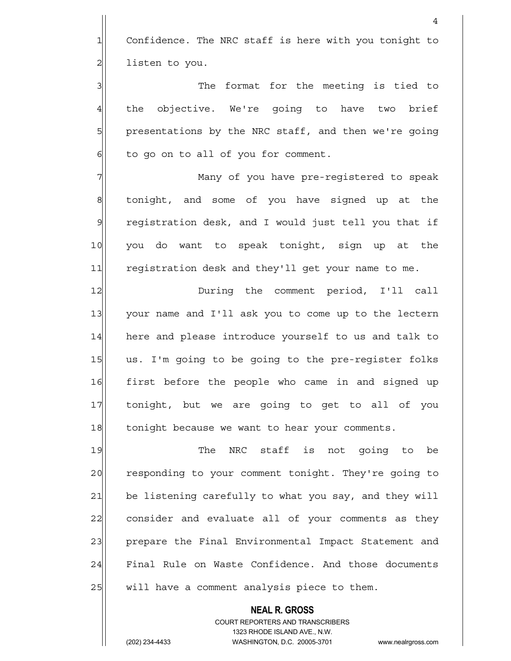1 Confidence. The NRC staff is here with you tonight to 2 listen to you.

3 3 The format for the meeting is tied to 4 the objective. We're going to have two brief 5 presentations by the NRC staff, and then we're going  $6$  to go on to all of you for comment.

7 Many of you have pre-registered to speak 8 8 tonight, and some of you have signed up at the 9 registration desk, and I would just tell you that if 10 you do want to speak tonight, sign up at the 11 registration desk and they'll get your name to me.

12 During the comment period, I'll call 13 your name and I'll ask you to come up to the lectern 14 here and please introduce yourself to us and talk to 15 us. I'm going to be going to the pre-register folks 16 first before the people who came in and signed up 17 tonight, but we are going to get to all of you 18 tonight because we want to hear your comments.

19 The NRC staff is not going to be 20 responding to your comment tonight. They're going to 21 be listening carefully to what you say, and they will 22 consider and evaluate all of your comments as they 23 prepare the Final Environmental Impact Statement and 24 Final Rule on Waste Confidence. And those documents 25 will have a comment analysis piece to them.

> COURT REPORTERS AND TRANSCRIBERS 1323 RHODE ISLAND AVE., N.W. (202) 234-4433 WASHINGTON, D.C. 20005-3701 www.nealrgross.com

 **NEAL R. GROSS**

4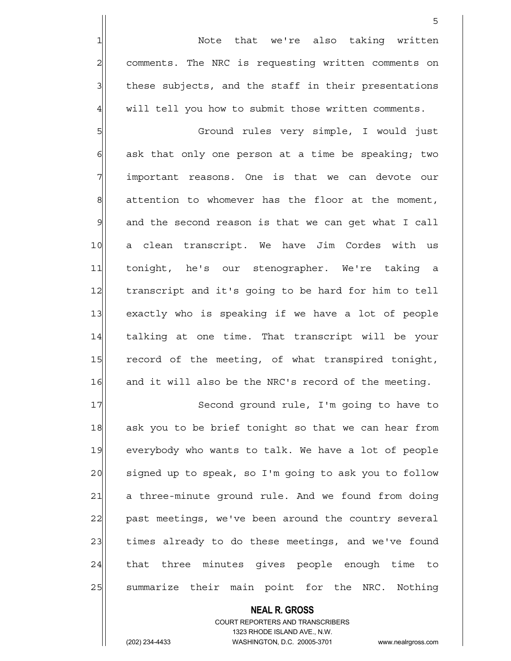1 1 Note that we're also taking written 2 comments. The NRC is requesting written comments on 3| these subjects, and the staff in their presentations 4 will tell you how to submit those written comments.

<u>5</u>

5 Ground rules very simple, I would just  $6$  ask that only one person at a time be speaking; two 7 important reasons. One is that we can devote our  $8$  attention to whomever has the floor at the moment, 9 and the second reason is that we can get what I call 10 a clean transcript. We have Jim Cordes with us 11 tonight, he's our stenographer. We're taking a 12 transcript and it's going to be hard for him to tell 13 exactly who is speaking if we have a lot of people 14 | talking at one time. That transcript will be your 15 record of the meeting, of what transpired tonight, 16 and it will also be the NRC's record of the meeting.

17 Second ground rule, I'm going to have to 18 ask you to be brief tonight so that we can hear from 19 everybody who wants to talk. We have a lot of people  $20$  signed up to speak, so I'm going to ask you to follow 21 a three-minute ground rule. And we found from doing 22 past meetings, we've been around the country several 23 times already to do these meetings, and we've found 24 that three minutes gives people enough time to 25 Summarize their main point for the NRC. Nothing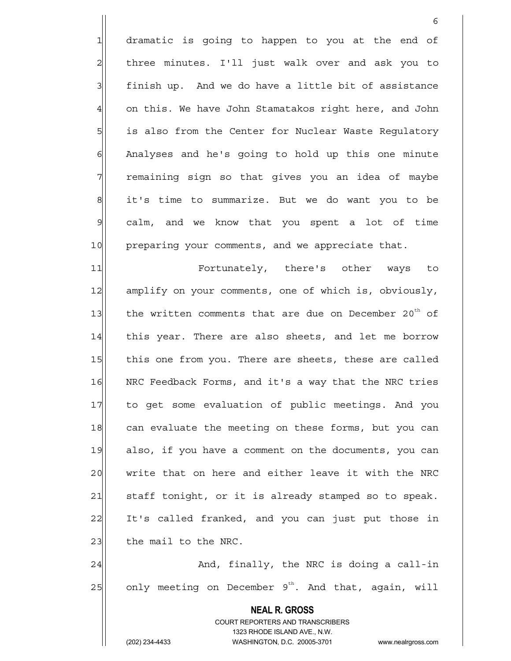1 dramatic is going to happen to you at the end of 2 | three minutes. I'll just walk over and ask you to  $3$  finish up. And we do have a little bit of assistance  $4$  on this. We have John Stamatakos right here, and John 5 5 is also from the Center for Nuclear Waste Regulatory 6 Analyses and he's going to hold up this one minute 7 The maining sign so that gives you an idea of maybe 8 it's time to summarize. But we do want you to be 9 calm, and we know that you spent a lot of time 10 preparing your comments, and we appreciate that.

 $\sim$  6

11 Fortunately, there's other ways to 12 amplify on your comments, one of which is, obviously, 13 the written comments that are due on December 20<sup>th</sup> of 14 | this year. There are also sheets, and let me borrow 15 this one from you. There are sheets, these are called 16 NRC Feedback Forms, and it's a way that the NRC tries 17 to get some evaluation of public meetings. And you 18 can evaluate the meeting on these forms, but you can 19 also, if you have a comment on the documents, you can 20 write that on here and either leave it with the NRC 21 staff tonight, or it is already stamped so to speak. 22 It's called franked, and you can just put those in  $23$  the mail to the NRC.

24 and, finally, the NRC is doing a call-in  $25$  only meeting on December 9<sup>th</sup>. And that, again, will

> **NEAL R. GROSS** COURT REPORTERS AND TRANSCRIBERS 1323 RHODE ISLAND AVE., N.W.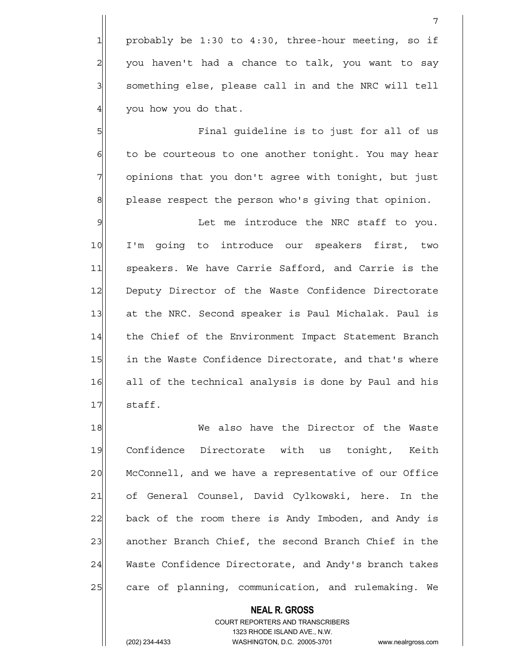probably be 1:30 to 4:30, three-hour meeting, so if you haven't had a chance to talk, you want to say 3 | something else, please call in and the NRC will tell you how you do that.

5 Final guideline is to just for all of us  $6$  to be courteous to one another tonight. You may hear 7 opinions that you don't agree with tonight, but just 8 please respect the person who's giving that opinion.

9 Solution of the introduce the NRC staff to you. 10 I'm going to introduce our speakers first, two 11| speakers. We have Carrie Safford, and Carrie is the 12 Deputy Director of the Waste Confidence Directorate 13 at the NRC. Second speaker is Paul Michalak. Paul is 14 the Chief of the Environment Impact Statement Branch 15 in the Waste Confidence Directorate, and that's where 16 all of the technical analysis is done by Paul and his 17 staff.

18 We also have the Director of the Waste 19 Confidence Directorate with us tonight, Keith 20 McConnell, and we have a representative of our Office 21 of General Counsel, David Cylkowski, here. In the 22 back of the room there is Andy Imboden, and Andy is 23 another Branch Chief, the second Branch Chief in the 24 Waste Confidence Directorate, and Andy's branch takes 25 care of planning, communication, and rulemaking. We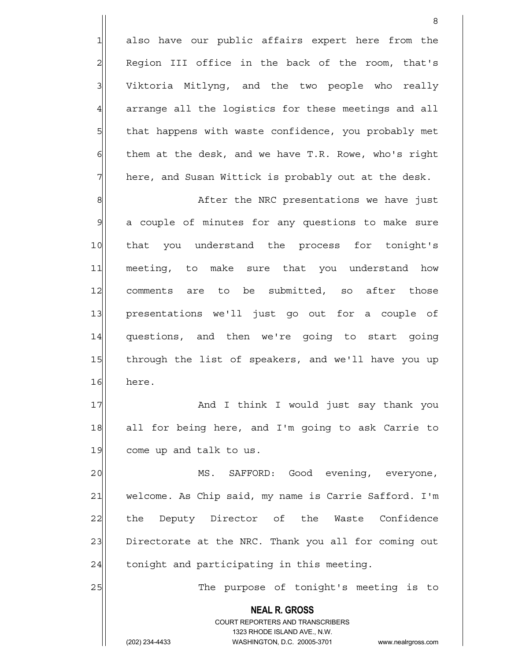1 also have our public affairs expert here from the 2 Region III office in the back of the room, that's 3 Viktoria Mitlyng, and the two people who really 4 arrange all the logistics for these meetings and all 5 5 5 5 that happens with waste confidence, you probably met  $\delta$  them at the desk, and we have T.R. Rowe, who's right  $7$  here, and Susan Wittick is probably out at the desk.

8

8 8 After the NRC presentations we have just 9 a couple of minutes for any questions to make sure 10 that you understand the process for tonight's 11 meeting, to make sure that you understand how 12 comments are to be submitted, so after those 13 presentations we'll just go out for a couple of 14 questions, and then we're going to start going 15 through the list of speakers, and we'll have you up 16 here.

17 and I think I would just say thank you 18 all for being here, and I'm going to ask Carrie to 19 come up and talk to us.

20 MS. SAFFORD: Good evening, everyone, 21 welcome. As Chip said, my name is Carrie Safford. I'm 22 the Deputy Director of the Waste Confidence 23 Directorate at the NRC. Thank you all for coming out  $24$  tonight and participating in this meeting.

 **NEAL R. GROSS**

25 || The purpose of tonight's meeting is to

 COURT REPORTERS AND TRANSCRIBERS 1323 RHODE ISLAND AVE., N.W.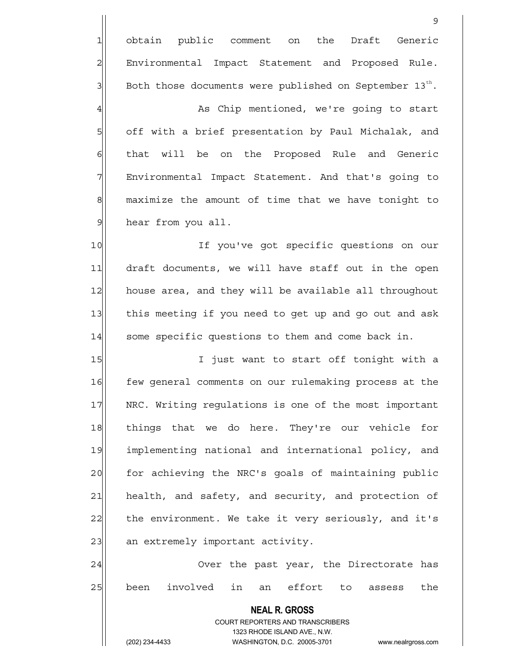1 obtain public comment on the Draft Generic 2 Environmental Impact Statement and Proposed Rule.  $3$  Both those documents were published on September 13 $^{th}$ . 4 As Chip mentioned, we're going to start 5 5 5 off with a brief presentation by Paul Michalak, and 6 | that will be on the Proposed Rule and Generic 7 Film Environmental Impact Statement. And that's going to 8 maximize the amount of time that we have tonight to 9 hear from you all. 10 10 If you've got specific questions on our 11 draft documents, we will have staff out in the open 12 house area, and they will be available all throughout 13 this meeting if you need to get up and go out and ask 14 some specific questions to them and come back in. 15 I just want to start off tonight with a 16 few general comments on our rulemaking process at the 17 NRC. Writing regulations is one of the most important 18 things that we do here. They're our vehicle for 19 implementing national and international policy, and 20 for achieving the NRC's goals of maintaining public 21 health, and safety, and security, and protection of 22 the environment. We take it very seriously, and it's 23 an extremely important activity. 24 Over the past year, the Directorate has

9

25 been involved in an effort to assess the

 **NEAL R. GROSS** COURT REPORTERS AND TRANSCRIBERS 1323 RHODE ISLAND AVE., N.W.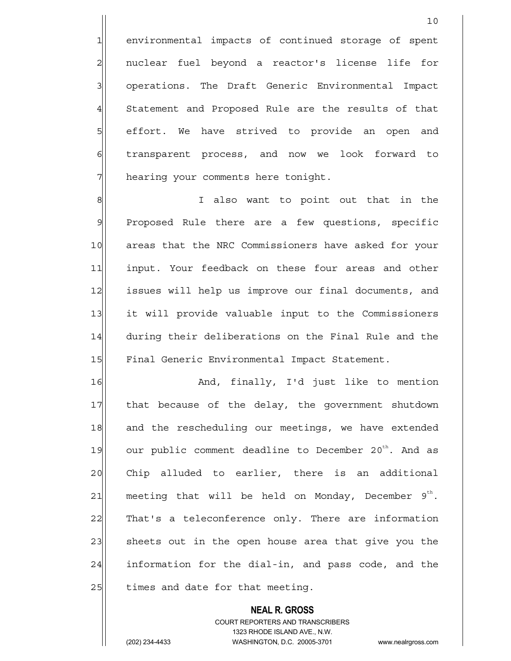1 environmental impacts of continued storage of spent 2 | nuclear fuel beyond a reactor's license life for 3 3 operations. The Draft Generic Environmental Impact 4 Statement and Proposed Rule are the results of that 5 s beffort. We have strived to provide an open and 6 6 forward to transparent process, and now we look forward to 7 hearing your comments here tonight.

8 8 I also want to point out that in the  $9$  Proposed Rule there are a few questions, specific 10 areas that the NRC Commissioners have asked for your 11 input. Your feedback on these four areas and other 12 issues will help us improve our final documents, and 13 it will provide valuable input to the Commissioners 14 during their deliberations on the Final Rule and the 15 Final Generic Environmental Impact Statement.

16 and, finally, I'd just like to mention 17 | that because of the delay, the government shutdown 18 and the rescheduling our meetings, we have extended 19 our public comment deadline to December 20<sup>th</sup>. And as 20 Chip alluded to earlier, there is an additional 21 meeting that will be held on Monday, December  $9^{th}$ . 22 That's a teleconference only. There are information 23 sheets out in the open house area that give you the  $24$  information for the dial-in, and pass code, and the  $25$  times and date for that meeting.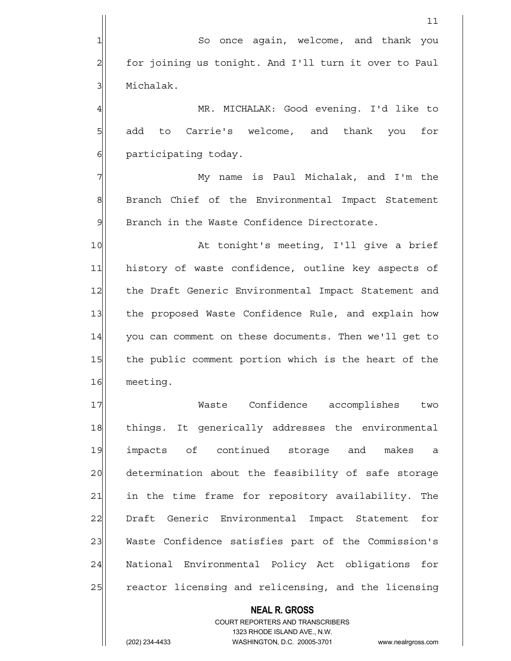**NEAL R. GROSS** COURT REPORTERS AND TRANSCRIBERS  $11$ 1 So once again, welcome, and thank you 2 for joining us tonight. And I'll turn it over to Paul 3 | Michalak. 4 MR. MICHALAK: Good evening. I'd like to 5 || add to Carrie's welcome, and thank you for 6 6 participating today. 7 My name is Paul Michalak, and I'm the 8 Branch Chief of the Environmental Impact Statement 9 Branch in the Waste Confidence Directorate. 10 At tonight's meeting, I'll give a brief 11 history of waste confidence, outline key aspects of 12 | the Draft Generic Environmental Impact Statement and 13 the proposed Waste Confidence Rule, and explain how 14 you can comment on these documents. Then we'll get to 15 the public comment portion which is the heart of the 16 meeting. 17 Waste Confidence accomplishes two 18 | things. It generically addresses the environmental 19 impacts of continued storage and makes a 20 determination about the feasibility of safe storage 21 ain the time frame for repository availability. The 22 Draft Generic Environmental Impact Statement for 23 Waste Confidence satisfies part of the Commission's 24 National Environmental Policy Act obligations for 25 reactor licensing and relicensing, and the licensing

1323 RHODE ISLAND AVE., N.W.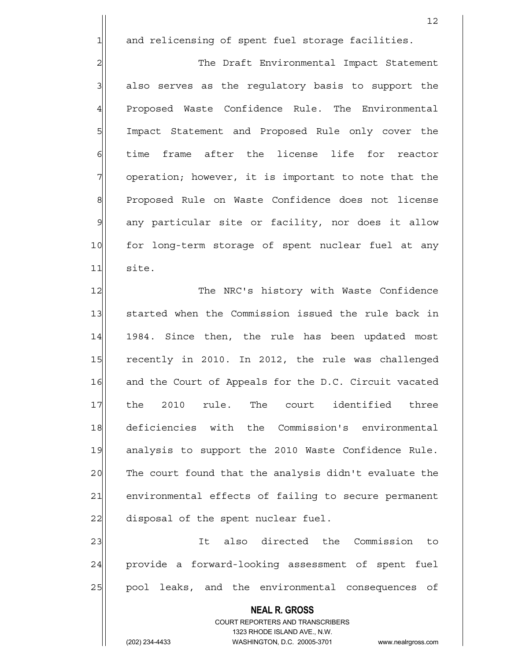1 and relicensing of spent fuel storage facilities.

2 The Draft Environmental Impact Statement 3 3 also serves as the regulatory basis to support the 4 Proposed Waste Confidence Rule. The Environmental 5 | Impact Statement and Proposed Rule only cover the 6 time frame after the license life for reactor 7 | operation; however, it is important to note that the 8 Proposed Rule on Waste Confidence does not license 9 any particular site or facility, nor does it allow 10 for long-term storage of spent nuclear fuel at any 11 site.

12 The NRC's history with Waste Confidence 13 started when the Commission issued the rule back in 14 1984. Since then, the rule has been updated most 15 recently in 2010. In 2012, the rule was challenged 16 and the Court of Appeals for the D.C. Circuit vacated 17 the 2010 rule. The court identified three 18 deficiencies with the Commission's environmental 19 analysis to support the 2010 Waste Confidence Rule. 20 The court found that the analysis didn't evaluate the 21 environmental effects of failing to secure permanent 22 disposal of the spent nuclear fuel.

23 and 23 It also directed the Commission to 24 provide a forward-looking assessment of spent fuel 25 | pool leaks, and the environmental consequences of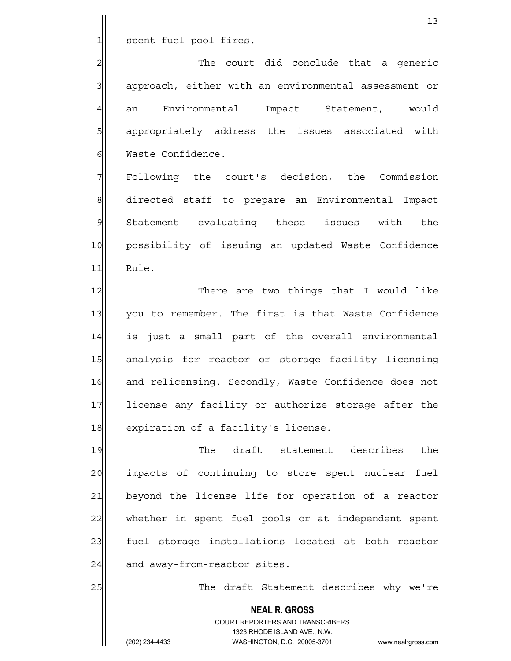1 spent fuel pool fires.

2 | 2| 3 3 approach, either with an environmental assessment or 4 an Environmental Impact Statement, would 5 5 5 5 appropriately address the issues associated with 6 Waste Confidence.

7 Following the court's decision, the Commission 8 directed staff to prepare an Environmental Impact 9 Statement evaluating these issues with the 10 possibility of issuing an updated Waste Confidence 11 Rule.

12 There are two things that I would like 13 you to remember. The first is that Waste Confidence 14 is just a small part of the overall environmental 15 analysis for reactor or storage facility licensing 16 and relicensing. Secondly, Waste Confidence does not 17 license any facility or authorize storage after the 18 expiration of a facility's license.

19 The draft statement describes the 20 impacts of continuing to store spent nuclear fuel 21 beyond the license life for operation of a reactor 22 whether in spent fuel pools or at independent spent 23| fuel storage installations located at both reactor  $24$  and away-from-reactor sites.

25 | The draft Statement describes why we're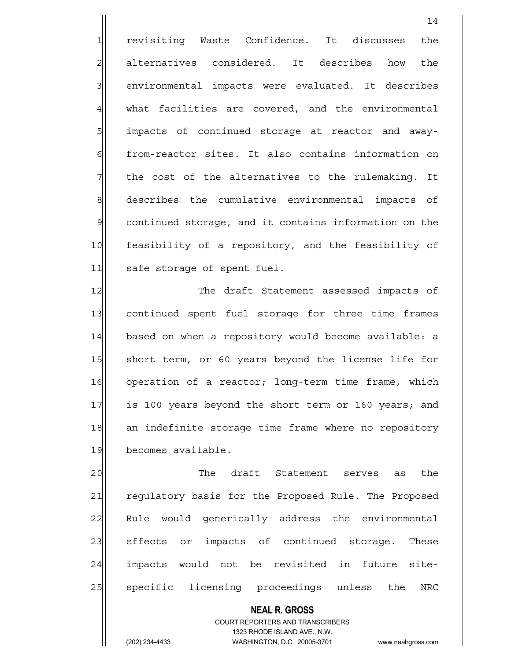1 revisiting Waste Confidence. It discusses the 2 alternatives considered. It describes how the 3 | environmental impacts were evaluated. It describes  $4$  what facilities are covered, and the environmental 5 impacts of continued storage at reactor and away-6 from-reactor sites. It also contains information on  $7$  the cost of the alternatives to the rulemaking. It 8 describes the cumulative environmental impacts of 9 continued storage, and it contains information on the 10 feasibility of a repository, and the feasibility of 11 safe storage of spent fuel.

12 The draft Statement assessed impacts of 13 continued spent fuel storage for three time frames 14 based on when a repository would become available: a 15 Short term, or 60 years beyond the license life for 16 operation of a reactor; long-term time frame, which 17 is 100 years beyond the short term or 160 years; and 18 an indefinite storage time frame where no repository 19 becomes available.

20 The draft Statement serves as the 21 regulatory basis for the Proposed Rule. The Proposed 22 Rule would generically address the environmental 23 effects or impacts of continued storage. These 24 impacts would not be revisited in future site-25 | specific licensing proceedings unless the NRC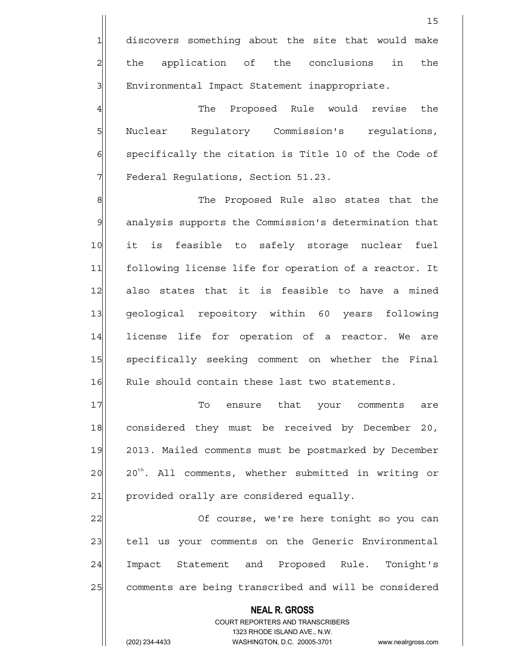4 The Proposed Rule would revise the 5 Nuclear Regulatory Commission's regulations,  $6$  specifically the citation is Title 10 of the Code of 7 | Federal Regulations, Section 51.23.

8| Million School Chee Proposed Rule also states that the 9 analysis supports the Commission's determination that 10 it is feasible to safely storage nuclear fuel 11 following license life for operation of a reactor. It 12 also states that it is feasible to have a mined 13 geological repository within 60 years following 14 license life for operation of a reactor. We are 15 specifically seeking comment on whether the Final 16 Rule should contain these last two statements.

17 To ensure that your comments are 18 considered they must be received by December 20, 19 2013. Mailed comments must be postmarked by December  $20 \vert$   $20^{th}$ . All comments, whether submitted in writing or 21 provided orally are considered equally.

22 | Course, we're here tonight so you can 23 tell us your comments on the Generic Environmental 24 Impact Statement and Proposed Rule. Tonight's 25 comments are being transcribed and will be considered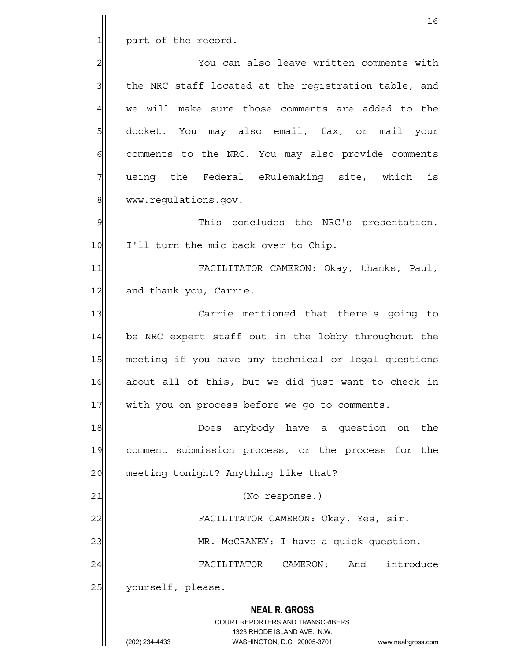$1$  part of the record.

2 2 You can also leave written comments with  $3$  the NRC staff located at the registration table, and 4 we will make sure those comments are added to the 5| docket. You may also email, fax, or mail your  $6$  comments to the NRC. You may also provide comments 7 | using the Federal eRulemaking site, which is 8 www.regulations.gov.

9 9 This concludes the NRC's presentation. 10 I'll turn the mic back over to Chip.

11 FACILITATOR CAMERON: Okay, thanks, Paul, 12 and thank you, Carrie.

13 Carrie mentioned that there's going to 14 be NRC expert staff out in the lobby throughout the 15 meeting if you have any technical or legal questions 16 about all of this, but we did just want to check in 17 with you on process before we go to comments.

18 anybody have a question on the 18 19 comment submission process, or the process for the 20 meeting tonight? Anything like that?

21 | (No response.)

22 FACILITATOR CAMERON: Okay. Yes, sir.

23 MR. McCRANEY: I have a quick question.

24 FACILITATOR CAMERON: And introduce 25 yourself, please.

 **NEAL R. GROSS**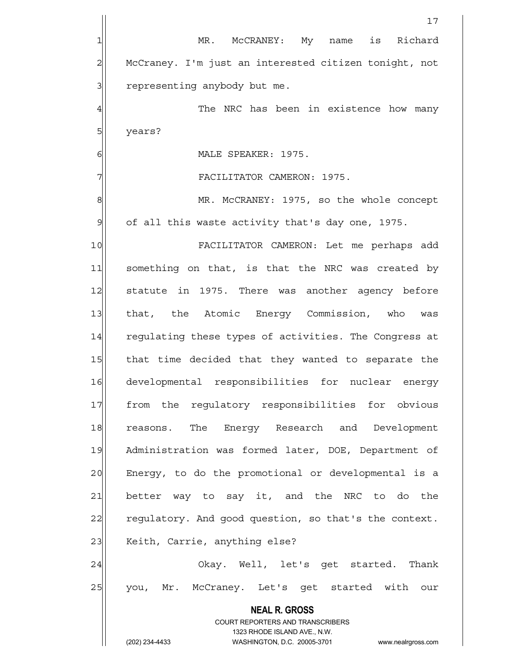|                | 17                                                                                                  |
|----------------|-----------------------------------------------------------------------------------------------------|
| 1              | MR. McCRANEY: My name is Richard                                                                    |
| $\overline{c}$ | McCraney. I'm just an interested citizen tonight, not                                               |
| 3              | representing anybody but me.                                                                        |
| $\overline{4}$ | The NRC has been in existence how many                                                              |
| 5              | years?                                                                                              |
| 6              | MALE SPEAKER: 1975.                                                                                 |
| 7              | FACILITATOR CAMERON: 1975.                                                                          |
| 8              | MR. McCRANEY: 1975, so the whole concept                                                            |
| $\mathcal{G}$  | of all this waste activity that's day one, 1975.                                                    |
| 10             | FACILITATOR CAMERON: Let me perhaps add                                                             |
| 11             | something on that, is that the NRC was created by                                                   |
| 12             | statute in 1975. There was another agency before                                                    |
| 13             | that, the Atomic Energy Commission, who<br>was                                                      |
| 14             | regulating these types of activities. The Congress at                                               |
| 15             | that time decided that they wanted to separate the                                                  |
| 16             | developmental responsibilities for nuclear energy                                                   |
| 17             | from the requlatory responsibilities for obvious                                                    |
| 18             | reasons. The Energy Research and Development                                                        |
| 19             | Administration was formed later, DOE, Department of                                                 |
| 20             | Energy, to do the promotional or developmental is a                                                 |
| 21             | better way to say it, and the NRC to do the                                                         |
| 22             | regulatory. And good question, so that's the context.                                               |
| 23             | Keith, Carrie, anything else?                                                                       |
| 24             | Okay. Well, let's get started. Thank                                                                |
| 25             | you, Mr. McCraney. Let's get started with our                                                       |
|                | <b>NEAL R. GROSS</b>                                                                                |
|                | COURT REPORTERS AND TRANSCRIBERS                                                                    |
|                | 1323 RHODE ISLAND AVE., N.W.<br>(202) 234-4433<br>WASHINGTON, D.C. 20005-3701<br>www.nealrgross.com |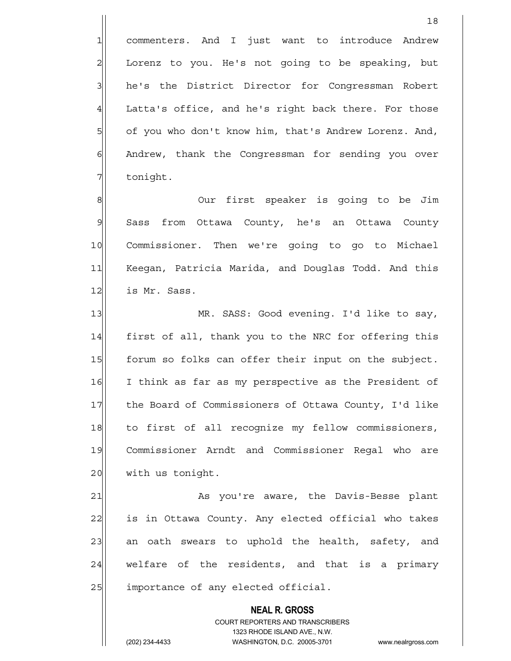1 commenters. And I just want to introduce Andrew 2 Lorenz to you. He's not going to be speaking, but 3 | he's the District Director for Congressman Robert  $4$  Latta's office, and he's right back there. For those 5 of you who don't know him, that's Andrew Lorenz. And, 6 | Andrew, thank the Congressman for sending you over 7 tonight.

18

8 8 8 Our first speaker is going to be Jim 9 Sass from Ottawa County, he's an Ottawa County 10 Commissioner. Then we're going to go to Michael 11 Keegan, Patricia Marida, and Douglas Todd. And this 12 is Mr. Sass.

13 MR. SASS: Good evening. I'd like to say, 14 | first of all, thank you to the NRC for offering this 15 forum so folks can offer their input on the subject. 16 I think as far as my perspective as the President of 17 the Board of Commissioners of Ottawa County, I'd like 18 to first of all recognize my fellow commissioners, 19 Commissioner Arndt and Commissioner Regal who are 20 with us tonight.

21 As you're aware, the Davis-Besse plant 22 is in Ottawa County. Any elected official who takes 23 an oath swears to uphold the health, safety, and  $24$  welfare of the residents, and that is a primary 25 a importance of any elected official.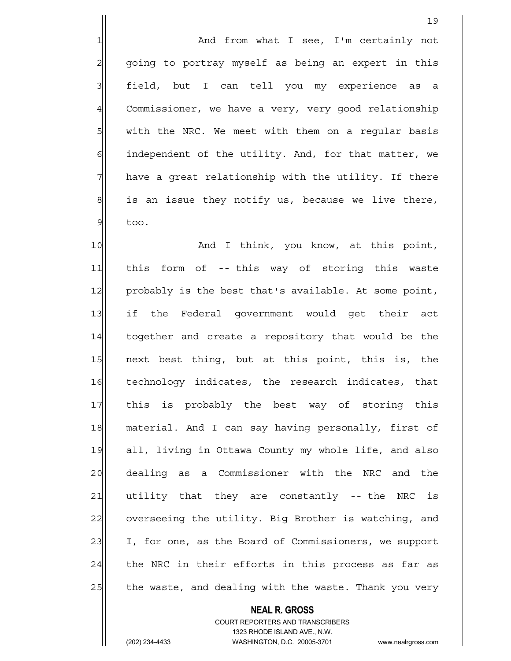1 and from what I see, I'm certainly not 2 going to portray myself as being an expert in this 3 | field, but I can tell you my experience as a 4 Commissioner, we have a very, very good relationship  $5$  with the NRC. We meet with them on a reqular basis 6 6 independent of the utility. And, for that matter, we  $7$  have a great relationship with the utility. If there  $8$  is an issue they notify us, because we live there,  $9$  too.

10 and I think, you know, at this point, 11 this form of -- this way of storing this waste 12 probably is the best that's available. At some point, 13 if the Federal government would get their act 14 together and create a repository that would be the 15 next best thing, but at this point, this is, the 16 technology indicates, the research indicates, that 17 this is probably the best way of storing this 18 material. And I can say having personally, first of 19 all, living in Ottawa County my whole life, and also 20 dealing as a Commissioner with the NRC and the 21 utility that they are constantly -- the NRC is 22 overseeing the utility. Big Brother is watching, and 23 I, for one, as the Board of Commissioners, we support  $24$  the NRC in their efforts in this process as far as 25 the waste, and dealing with the waste. Thank you very

#### **NEAL R. GROSS**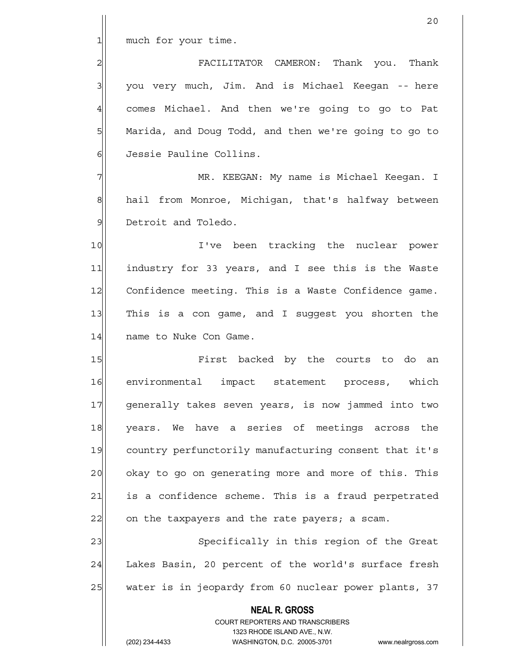20

1| much for your time.

2 | EACILITATOR CAMERON: Thank you. Thank 3 | you very much, Jim. And is Michael Keegan -- here 4 comes Michael. And then we're going to go to Pat 5 Marida, and Doug Todd, and then we're going to go to 6 Jessie Pauline Collins.

7 MR. KEEGAN: My name is Michael Keegan. I 8 hail from Monroe, Michigan, that's halfway between 9 Detroit and Toledo.

10 I've been tracking the nuclear power 11 industry for 33 years, and I see this is the Waste 12 Confidence meeting. This is a Waste Confidence game. 13 This is a con game, and I suggest you shorten the 14 name to Nuke Con Game.

15 **Fixst** backed by the courts to do an 16 environmental impact statement process, which 17 generally takes seven years, is now jammed into two 18 years. We have a series of meetings across the 19 country perfunctorily manufacturing consent that it's 20 | okay to go on generating more and more of this. This 21 is a confidence scheme. This is a fraud perpetrated  $22$  on the taxpayers and the rate payers; a scam.

23 Specifically in this region of the Great 24 Lakes Basin, 20 percent of the world's surface fresh 25 water is in jeopardy from 60 nuclear power plants, 37

> **NEAL R. GROSS** COURT REPORTERS AND TRANSCRIBERS 1323 RHODE ISLAND AVE., N.W.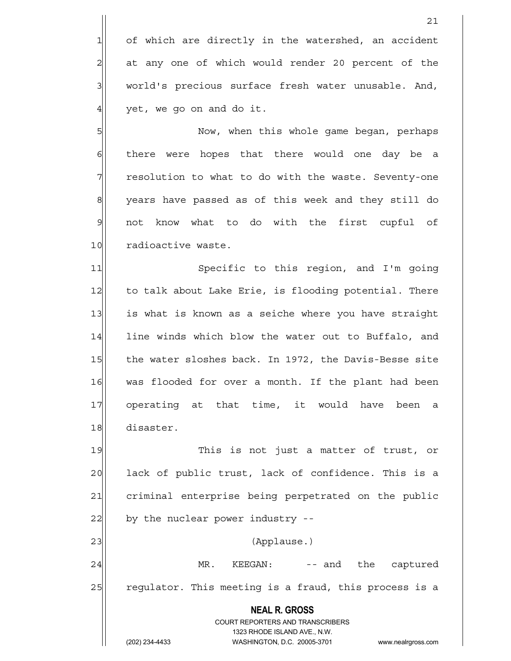1 of which are directly in the watershed, an accident 2 at any one of which would render 20 percent of the 3 | world's precious surface fresh water unusable. And,  $4$  yet, we go on and do it.

5 Now, when this whole game began, perhaps 6 6 6 there were hopes that there would one day be a 7 The resolution to what to do with the waste. Seventy-one 8 years have passed as of this week and they still do 9 not know what to do with the first cupful of 10 radioactive waste.

11 Specific to this region, and I'm going 12 to talk about Lake Erie, is flooding potential. There 13 is what is known as a seiche where you have straight 14 line winds which blow the water out to Buffalo, and 15 the water sloshes back. In 1972, the Davis-Besse site 16 was flooded for over a month. If the plant had been 17| operating at that time, it would have been a 18 disaster.

19 This is not just a matter of trust, or 20 ack of public trust, lack of confidence. This is a 21 criminal enterprise being perpetrated on the public  $22$  by the nuclear power industry  $-$ 23 | (Applause.)

24 MR. KEEGAN: -- and the captured 25 regulator. This meeting is a fraud, this process is a

> **NEAL R. GROSS** COURT REPORTERS AND TRANSCRIBERS 1323 RHODE ISLAND AVE., N.W. (202) 234-4433 WASHINGTON, D.C. 20005-3701 www.nealrgross.com

> 21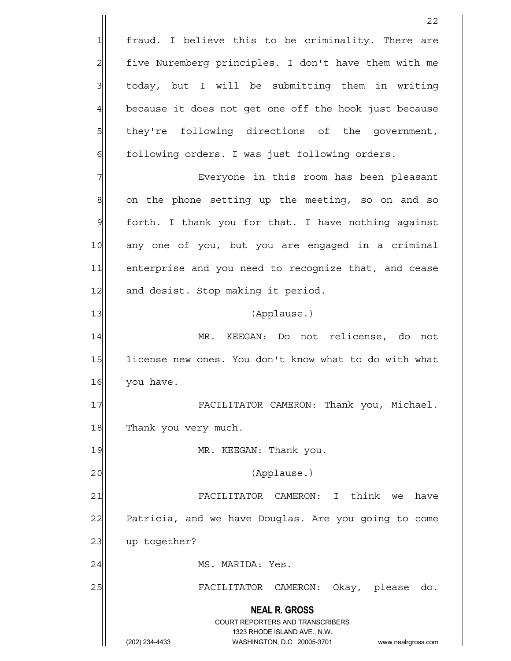**NEAL R. GROSS** COURT REPORTERS AND TRANSCRIBERS 1323 RHODE ISLAND AVE., N.W. (202) 234-4433 WASHINGTON, D.C. 20005-3701 www.nealrgross.com <u>22</u> 1 fraud. I believe this to be criminality. There are 2 five Nuremberg principles. I don't have them with me  $3$  today, but I will be submitting them in writing  $4$  because it does not get one off the hook just because 5 5 5 5 they're following directions of the government, 6 6 following orders. I was just following orders. 7 | This room has been pleasant  $8$  on the phone setting up the meeting, so on and so  $9$  forth. I thank you for that. I have nothing against 10 any one of you, but you are engaged in a criminal 11 enterprise and you need to recognize that, and cease 12 and desist. Stop making it period. 13 (Applause.) 14 MR. KEEGAN: Do not relicense, do not 15 license new ones. You don't know what to do with what 16 you have. 17 FACILITATOR CAMERON: Thank you, Michael. 18 Thank you very much. 19 MR. KEEGAN: Thank you. 20 | (Applause.) 21 FACILITATOR CAMERON: I think we have 22 Patricia, and we have Douglas. Are you going to come 23 up together? 24 MS. MARIDA: Yes. 25 FACILITATOR CAMERON: Okay, please do.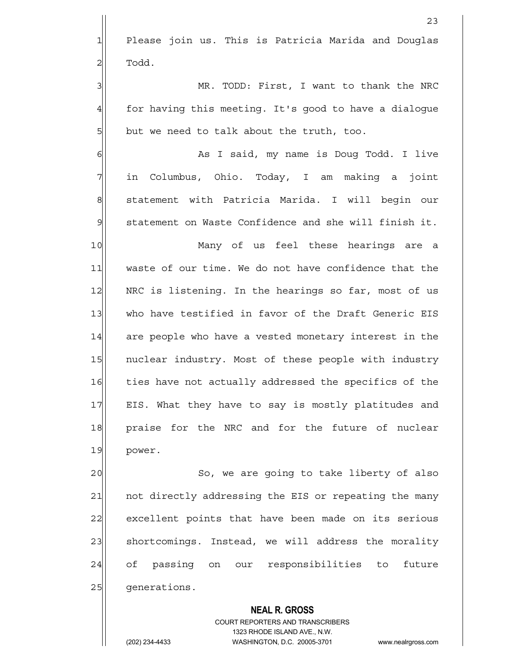1 Please join us. This is Patricia Marida and Douglas  $2$  Todd.

3 MR. TODD: First, I want to thank the NRC 4 for having this meeting. It's good to have a dialoque  $5$  but we need to talk about the truth, too.

6| Manusia As I said, my name is Doug Todd. I live 7 in Columbus, Ohio. Today, I am making a joint 8 statement with Patricia Marida. I will begin our 9 | statement on Waste Confidence and she will finish it.

10 Many of us feel these hearings are a 11 waste of our time. We do not have confidence that the 12 NRC is listening. In the hearings so far, most of us 13 who have testified in favor of the Draft Generic EIS 14 are people who have a vested monetary interest in the 15 | nuclear industry. Most of these people with industry 16 ties have not actually addressed the specifics of the 17 EIS. What they have to say is mostly platitudes and 18 praise for the NRC and for the future of nuclear 19 power.

20 So, we are going to take liberty of also 21 | not directly addressing the EIS or repeating the many 22 excellent points that have been made on its serious 23 shortcomings. Instead, we will address the morality 24 of passing on our responsibilities to future 25 | qenerations.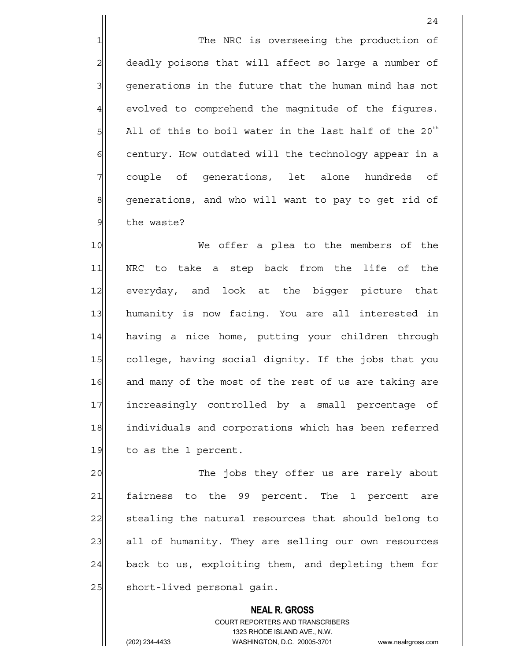1 1 The NRC is overseeing the production of 2 deadly poisons that will affect so large a number of 3 | generations in the future that the human mind has not 4 evolved to comprehend the magnitude of the figures.  $5$  All of this to boil water in the last half of the 20<sup>th</sup> 6 6 6 century. How outdated will the technology appear in a 7| couple of generations, let alone hundreds of 8 generations, and who will want to pay to get rid of 9 the waste?

10 We offer a plea to the members of the 11| NRC to take a step back from the life of the 12 everyday, and look at the bigger picture that 13 humanity is now facing. You are all interested in 14 having a nice home, putting your children through 15 college, having social dignity. If the jobs that you 16 and many of the most of the rest of us are taking are 17 increasingly controlled by a small percentage of 18 individuals and corporations which has been referred  $19$  to as the 1 percent.

20 The jobs they offer us are rarely about 21 fairness to the 99 percent. The 1 percent are 22 stealing the natural resources that should belong to 23 all of humanity. They are selling our own resources 24 back to us, exploiting them, and depleting them for 25 short-lived personal gain.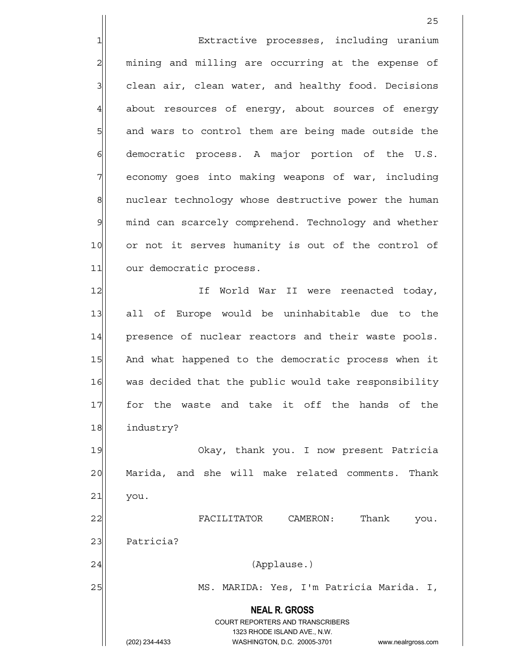**NEAL R. GROSS** COURT REPORTERS AND TRANSCRIBERS 1323 RHODE ISLAND AVE., N.W. (202) 234-4433 WASHINGTON, D.C. 20005-3701 www.nealrgross.com <u>25 and 25</u> 1 Extractive processes, including uranium 2 mining and milling are occurring at the expense of  $3$  clean air, clean water, and healthy food. Decisions 4 about resources of energy, about sources of energy 5 5 5 5 and wars to control them are being made outside the  $6$  democratic process. A major portion of the U.S. 7 | economy goes into making weapons of war, including 8 8 nuclear technology whose destructive power the human 9 mind can scarcely comprehend. Technology and whether 10 or not it serves humanity is out of the control of 11 our democratic process. 12 If World War II were reenacted today, 13 all of Europe would be uninhabitable due to the 14 presence of nuclear reactors and their waste pools. 15 And what happened to the democratic process when it 16 was decided that the public would take responsibility 17 for the waste and take it off the hands of the 18 industry? 19 Okay, thank you. I now present Patricia 20 Marida, and she will make related comments. Thank  $21$  you. 22 FACILITATOR CAMERON: Thank you. 23 Patricia? 24 (Applause.) 25 MS. MARIDA: Yes, I'm Patricia Marida. I,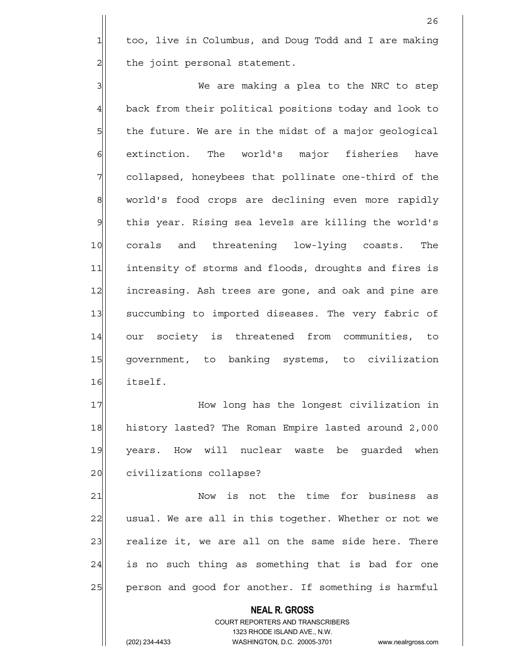1 too, live in Columbus, and Doug Todd and I are making 2 all the joint personal statement.

<u>26</u>

3 | We are making a plea to the NRC to step 4 back from their political positions today and look to 5| the future. We are in the midst of a major geological 6 extinction. The world's major fisheries have 7 7 collapsed, honeybees that pollinate one-third of the 8 world's food crops are declining even more rapidly 9 | this year. Rising sea levels are killing the world's 10 corals and threatening low-lying coasts. The 11 intensity of storms and floods, droughts and fires is 12 increasing. Ash trees are gone, and oak and pine are 13 succumbing to imported diseases. The very fabric of 14 our society is threatened from communities, to 15 government, to banking systems, to civilization 16 itself.

17 How long has the longest civilization in 18 history lasted? The Roman Empire lasted around 2,000 19 years. How will nuclear waste be quarded when 20 civilizations collapse?

21 Now is not the time for business as 22 usual. We are all in this together. Whether or not we 23 realize it, we are all on the same side here. There 24 is no such thing as something that is bad for one 25 person and good for another. If something is harmful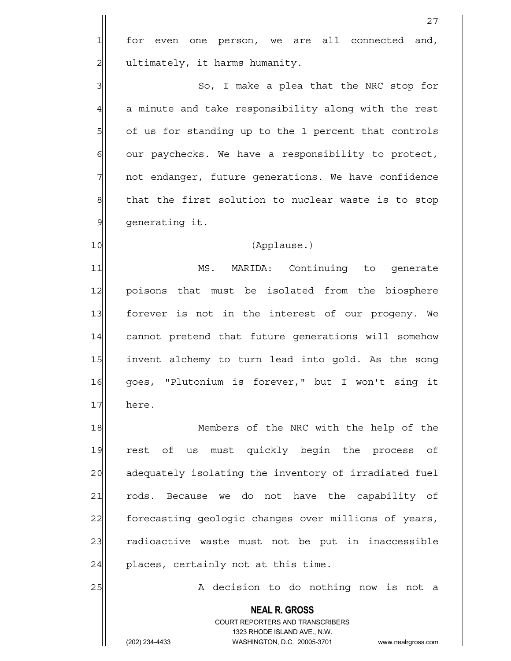$1$  for even one person, we are all connected and, 2 | ultimately, it harms humanity.

3 | So, I make a plea that the NRC stop for 4 a minute and take responsibility along with the rest 5 of us for standing up to the 1 percent that controls  $6$  our paychecks. We have a responsibility to protect, 7 | not endanger, future generations. We have confidence 8 that the first solution to nuclear waste is to stop 9 generating it.

#### 10 (Applause.)

11 MS. MARIDA: Continuing to generate 12 poisons that must be isolated from the biosphere 13 forever is not in the interest of our progeny. We 14 cannot pretend that future generations will somehow 15 invent alchemy to turn lead into gold. As the song 16 goes, "Plutonium is forever," but I won't sing it 17 here.

18 Members of the NRC with the help of the 19 rest of us must quickly begin the process of 20 adequately isolating the inventory of irradiated fuel 21 rods. Because we do not have the capability of 22 forecasting geologic changes over millions of years, 23 radioactive waste must not be put in inaccessible  $24$  places, certainly not at this time.

25 A decision to do nothing now is not a

 COURT REPORTERS AND TRANSCRIBERS 1323 RHODE ISLAND AVE., N.W.

 **NEAL R. GROSS**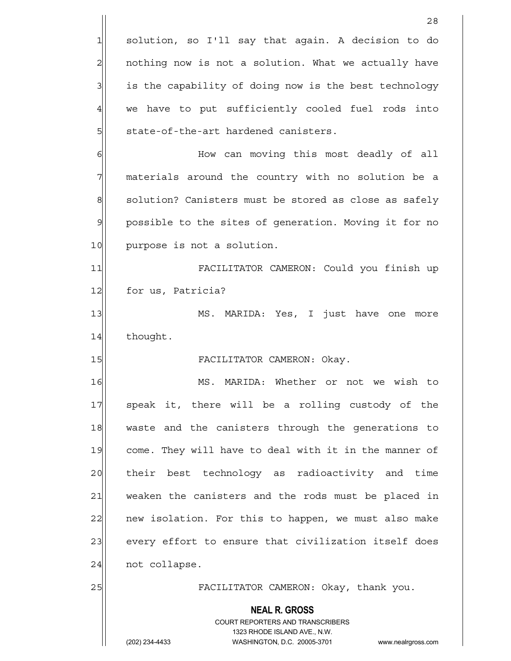|                | 28                                                                      |
|----------------|-------------------------------------------------------------------------|
| 1              | solution, so I'll say that again. A decision to do                      |
| $\overline{c}$ | nothing now is not a solution. What we actually have                    |
| 3              | is the capability of doing now is the best technology                   |
| $\overline{4}$ | we have to put sufficiently cooled fuel rods into                       |
| 5              | state-of-the-art hardened canisters.                                    |
| 6              | How can moving this most deadly of all                                  |
| 7              | materials around the country with no solution be a                      |
| 8              | solution? Canisters must be stored as close as safely                   |
| $\mathcal{Q}$  | possible to the sites of generation. Moving it for no                   |
| 10             | purpose is not a solution.                                              |
| 11             | FACILITATOR CAMERON: Could you finish up                                |
| 12             | for us, Patricia?                                                       |
| 13             | MS. MARIDA: Yes, I just have one more                                   |
| 14             | thought.                                                                |
| 15             | FACILITATOR CAMERON: Okay.                                              |
| 16             | MS. MARIDA: Whether or not we wish to                                   |
| 17             | speak it, there will be a rolling custody of the                        |
| 18             | waste and the canisters through the generations to                      |
| 19             | come. They will have to deal with it in the manner of                   |
| 20             | their best technology as radioactivity and time                         |
| 21             | weaken the canisters and the rods must be placed in                     |
| 22             | new isolation. For this to happen, we must also make                    |
| 23             | every effort to ensure that civilization itself does                    |
| 24             | not collapse.                                                           |
| 25             | FACILITATOR CAMERON: Okay, thank you.                                   |
|                | <b>NEAL R. GROSS</b>                                                    |
|                | <b>COURT REPORTERS AND TRANSCRIBERS</b><br>1323 RHODE ISLAND AVE., N.W. |
|                | (202) 234-4433<br>WASHINGTON, D.C. 20005-3701<br>www.nealrgross.com     |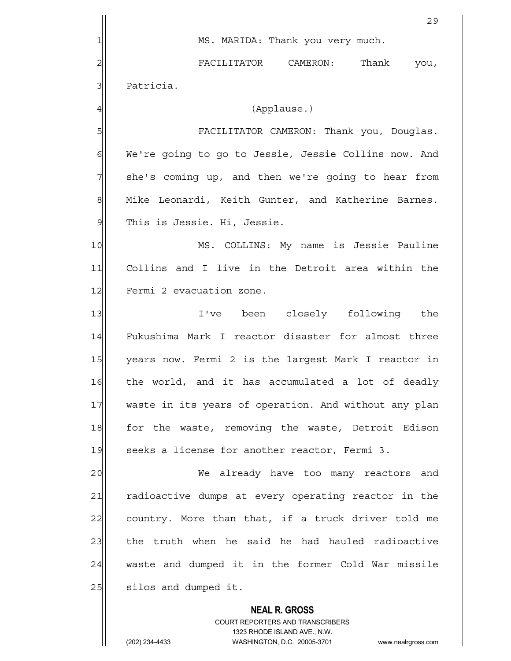**NEAL R. GROSS** COURT REPORTERS AND TRANSCRIBERS <u>29</u> 1| MS. MARIDA: Thank you very much. 2 RACILITATOR CAMERON: Thank you, 3 | Patricia. 4 (Applause.) 5 FACILITATOR CAMERON: Thank you, Douglas. 6 We're going to go to Jessie, Jessie Collins now. And 7 she's coming up, and then we're going to hear from 8 Mike Leonardi, Keith Gunter, and Katherine Barnes. 9 | This is Jessie. Hi, Jessie. 10 | MS. COLLINS: My name is Jessie Pauline 11 Collins and I live in the Detroit area within the 12 Fermi 2 evacuation zone. 13 I've been closely following the 14 Fukushima Mark I reactor disaster for almost three 15 years now. Fermi 2 is the largest Mark I reactor in 16 the world, and it has accumulated a lot of deadly 17 waste in its years of operation. And without any plan 18 for the waste, removing the waste, Detroit Edison 19 seeks a license for another reactor, Fermi 3. 20 We already have too many reactors and 21 radioactive dumps at every operating reactor in the  $22$  country. More than that, if a truck driver told me 23 the truth when he said he had hauled radioactive 24 waste and dumped it in the former Cold War missile 25 | silos and dumped it.

1323 RHODE ISLAND AVE., N.W.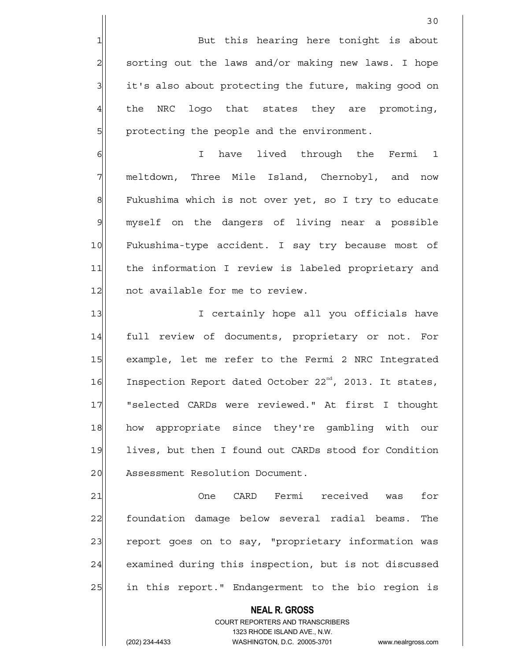1 But this hearing here tonight is about  $2$  sorting out the laws and/or making new laws. I hope 3 it's also about protecting the future, making good on 4 the NRC logo that states they are promoting, 5 | protecting the people and the environment.

6 | 6| I have lived through the Fermi 7 meltdown, Three Mile Island, Chernobyl, and now 8 Fukushima which is not over yet, so I try to educate 9 myself on the dangers of living near a possible 10 Fukushima-type accident. I say try because most of 11 the information I review is labeled proprietary and 12 not available for me to review.

13 I certainly hope all you officials have 14 full review of documents, proprietary or not. For 15 example, let me refer to the Fermi 2 NRC Integrated 16 Inspection Report dated October 22<sup>nd</sup>, 2013. It states, 17 | "selected CARDs were reviewed." At first I thought 18 how appropriate since they're gambling with our 19 lives, but then I found out CARDs stood for Condition 20 Assessment Resolution Document.

21 One CARD Fermi received was for 22 foundation damage below several radial beams. The 23 report goes on to say, "proprietary information was 24 examined during this inspection, but is not discussed 25 25 in this report." Endangerment to the bio region is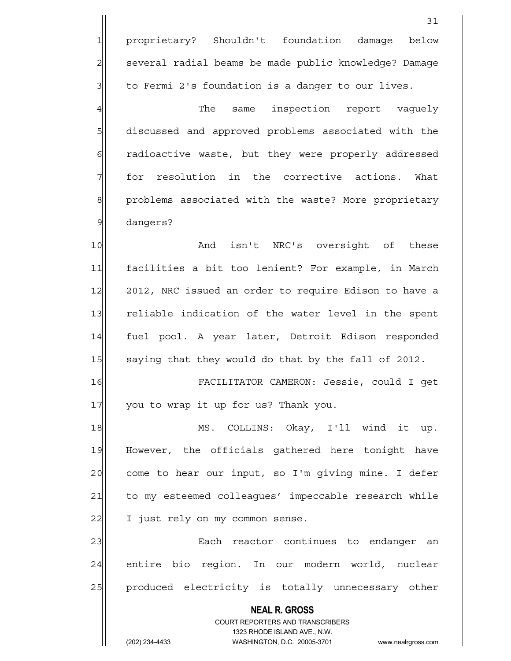**NEAL R. GROSS** COURT REPORTERS AND TRANSCRIBERS 1323 RHODE ISLAND AVE., N.W. 31 1 proprietary? Shouldn't foundation damage below 2 | several radial beams be made public knowledge? Damage  $3$  to Fermi 2's foundation is a danger to our lives. 4 The same inspection report vaquely 5 5 5 5 5 discussed and approved problems associated with the 6 6 6 6 radioactive waste, but they were properly addressed 7 for resolution in the corrective actions. What 8 8 problems associated with the waste? More proprietary 9 dangers? 10 and isn't NRC's oversight of these 11 facilities a bit too lenient? For example, in March 12 2012, NRC issued an order to require Edison to have a 13 reliable indication of the water level in the spent 14 fuel pool. A year later, Detroit Edison responded 15 saying that they would do that by the fall of 2012. 16 FACILITATOR CAMERON: Jessie, could I get 17 you to wrap it up for us? Thank you. 18 MS. COLLINS: Okay, I'll wind it up. 19 However, the officials gathered here tonight have 20 come to hear our input, so I'm giving mine. I defer 21 to my esteemed colleagues' impeccable research while 22 I just rely on my common sense. 23 | Each reactor continues to endanger an 24 entire bio region. In our modern world, nuclear 25 | produced electricity is totally unnecessary other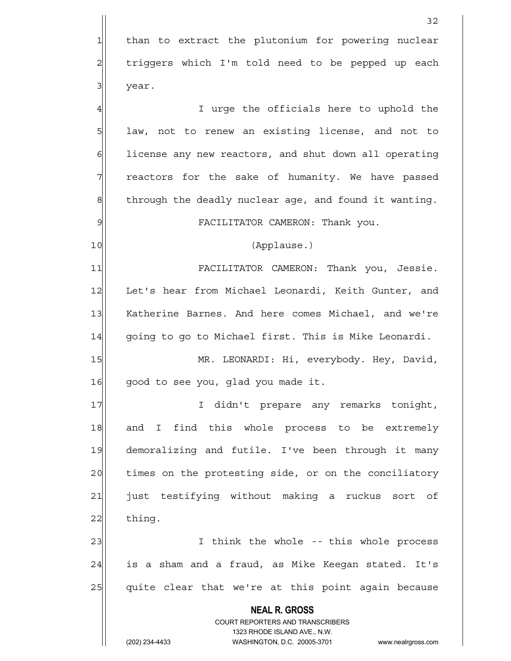**NEAL R. GROSS** COURT REPORTERS AND TRANSCRIBERS 1323 RHODE ISLAND AVE., N.W. 32 1 than to extract the plutonium for powering nuclear 2 | triggers which I'm told need to be pepped up each 3 year. 4 all the section of the officials here to uphold the 5 1 law, not to renew an existing license, and not to 6 6 license any new reactors, and shut down all operating 7 Teactors for the sake of humanity. We have passed  $8$  through the deadly nuclear age, and found it wanting. 9 FACILITATOR CAMERON: Thank you. 10 (Applause.) 11 FACILITATOR CAMERON: Thank you, Jessie. 12 Let's hear from Michael Leonardi, Keith Gunter, and 13 Katherine Barnes. And here comes Michael, and we're 14 | qoinq to qo to Michael first. This is Mike Leonardi. 15 MR. LEONARDI: Hi, everybody. Hey, David, 16 good to see you, glad you made it. 17 | I didn't prepare any remarks tonight, 18 and I find this whole process to be extremely 19 demoralizing and futile. I've been through it many 20 times on the protesting side, or on the conciliatory 21 just testifying without making a ruckus sort of 22 thing. 23 | I think the whole -- this whole process 24 is a sham and a fraud, as Mike Keegan stated. It's 25 quite clear that we're at this point again because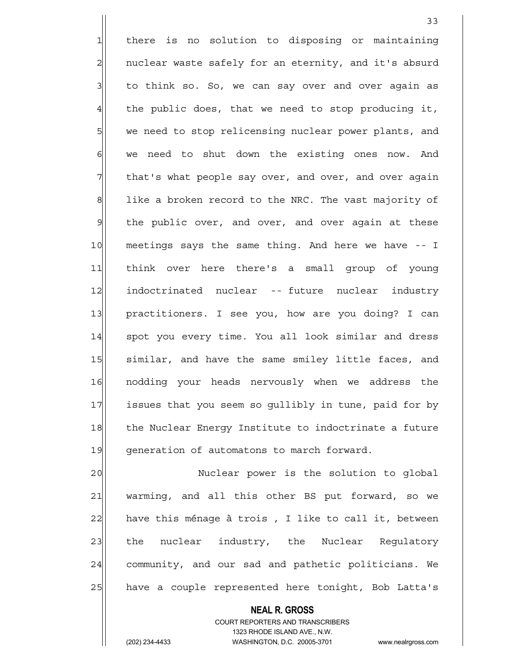1 there is no solution to disposing or maintaining 2 | nuclear waste safely for an eternity, and it's absurd  $3$  to think so. So, we can say over and over again as  $4$  the public does, that we need to stop producing it, 5 we need to stop relicensing nuclear power plants, and  $6$  we need to shut down the existing ones now. And 7 That's what people say over, and over, and over again 8 1ike a broken record to the NRC. The vast majority of 9 | the public over, and over, and over again at these 10 meetings says the same thing. And here we have -- I 11 think over here there's a small group of young 12 indoctrinated nuclear -- future nuclear industry 13 practitioners. I see you, how are you doing? I can 14 | spot you every time. You all look similar and dress 15 | similar, and have the same smiley little faces, and 16 | nodding your heads nervously when we address the 17 issues that you seem so gullibly in tune, paid for by 18 the Nuclear Energy Institute to indoctrinate a future 19 generation of automatons to march forward.

33

20 Nuclear power is the solution to global 21 warming, and all this other BS put forward, so we  $22$  have this ménage à trois, I like to call it, between 23 the nuclear industry, the Nuclear Requlatory 24 community, and our sad and pathetic politicians. We 25 have a couple represented here tonight, Bob Latta's

> **NEAL R. GROSS** COURT REPORTERS AND TRANSCRIBERS 1323 RHODE ISLAND AVE., N.W.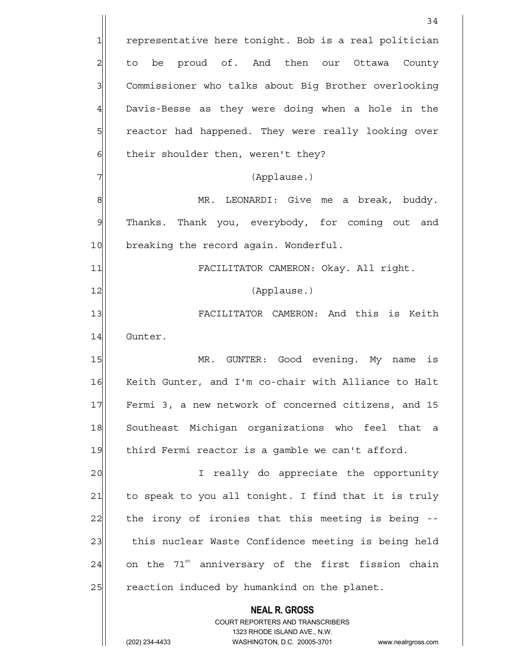|                | 34                                                                                                  |
|----------------|-----------------------------------------------------------------------------------------------------|
| $\mathbf{1}$   | representative here tonight. Bob is a real politician                                               |
| $\overline{c}$ | proud of. And then our<br>Ottawa<br>County<br>to be                                                 |
| 3              | Commissioner who talks about Big Brother overlooking                                                |
| $\overline{4}$ | Davis-Besse as they were doing when a hole in the                                                   |
| 5              | reactor had happened. They were really looking over                                                 |
| 6              | their shoulder then, weren't they?                                                                  |
| 7              | (Applause.)                                                                                         |
| 8              | MR. LEONARDI: Give me a break, buddy.                                                               |
| $\mathcal{Q}$  | Thanks. Thank you, everybody, for coming out and                                                    |
| 10             | breaking the record again. Wonderful.                                                               |
| 11             | FACILITATOR CAMERON: Okay. All right.                                                               |
| 12             | (Applause.)                                                                                         |
| 13             | FACILITATOR CAMERON: And this is Keith                                                              |
| 14             | Gunter.                                                                                             |
| 15             | MR. GUNTER: Good evening. My<br>is<br>name                                                          |
| 16             | Keith Gunter, and I'm co-chair with Alliance to Halt                                                |
| 17             | Fermi 3, a new network of concerned citizens, and 15                                                |
| 18             | Southeast Michigan organizations who feel that a                                                    |
| 19             | third Fermi reactor is a gamble we can't afford.                                                    |
| 20             | I really do appreciate the opportunity                                                              |
| 21             | to speak to you all tonight. I find that it is truly                                                |
| 22             | the irony of ironies that this meeting is being --                                                  |
| 23             | this nuclear Waste Confidence meeting is being held                                                 |
| 24             | on the 71 <sup>st</sup> anniversary of the first fission chain                                      |
| 25             | reaction induced by humankind on the planet.                                                        |
|                | <b>NEAL R. GROSS</b>                                                                                |
|                | COURT REPORTERS AND TRANSCRIBERS                                                                    |
|                | 1323 RHODE ISLAND AVE., N.W.<br>(202) 234-4433<br>WASHINGTON, D.C. 20005-3701<br>www.nealrgross.com |
|                |                                                                                                     |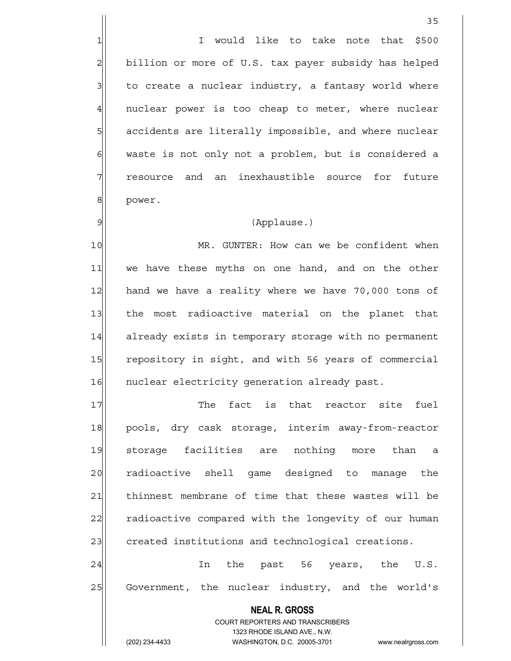1 1 I would like to take note that \$500 2 billion or more of U.S. tax payer subsidy has helped  $3$  to create a nuclear industry, a fantasy world where 4 | nuclear power is too cheap to meter, where nuclear 5 5 5 5 5 accidents are literally impossible, and where nuclear 6 waste is not only not a problem, but is considered a 7 Tesource and an inexhaustible source for future 8 power.

#### 9 (Applause.)

10 MR. GUNTER: How can we be confident when 11 we have these myths on one hand, and on the other 12 hand we have a reality where we have 70,000 tons of 13 the most radioactive material on the planet that 14 already exists in temporary storage with no permanent 15 repository in sight, and with 56 years of commercial 16 nuclear electricity generation already past.

17 The fact is that reactor site fuel 18 pools, dry cask storage, interim away-from-reactor 19 storage facilities are nothing more than a 20 radioactive shell game designed to manage the 21 thinnest membrane of time that these wastes will be 22 radioactive compared with the longevity of our human 23 created institutions and technological creations.

24 In the past 56 years, the U.S. 25 Government, the nuclear industry, and the world's

> **NEAL R. GROSS** COURT REPORTERS AND TRANSCRIBERS 1323 RHODE ISLAND AVE., N.W.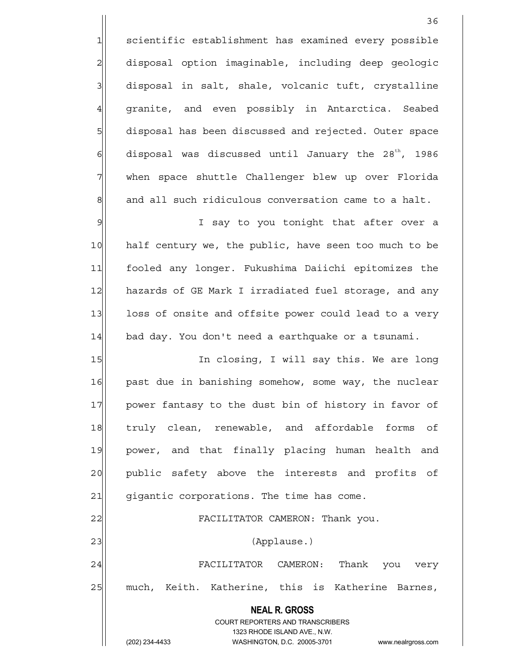1 scientific establishment has examined every possible 2 disposal option imaginable, including deep geologic  $3$  disposal in salt, shale, volcanic tuft, crystalline 4 granite, and even possibly in Antarctica. Seabed 5 5 5 5 bisposal has been discussed and rejected. Outer space 6 disposal was discussed until January the 28<sup>th</sup>, 1986 7 When space shuttle Challenger blew up over Florida  $\| \cdot \|$  and all such ridiculous conversation came to a halt.

9| Say to you tonight that after over a 10 half century we, the public, have seen too much to be 11 fooled any longer. Fukushima Daiichi epitomizes the 12 hazards of GE Mark I irradiated fuel storage, and any 13 loss of onsite and offsite power could lead to a very 14 bad day. You don't need a earthquake or a tsunami.

15 In closing, I will say this. We are long 16 past due in banishing somehow, some way, the nuclear 17 power fantasy to the dust bin of history in favor of 18 truly clean, renewable, and affordable forms of 19 power, and that finally placing human health and 20 public safety above the interests and profits of 21 gigantic corporations. The time has come. 22 | FACILITATOR CAMERON: Thank you. 23 | (Applause.)

24 FACILITATOR CAMERON: Thank you very 25 much, Keith. Katherine, this is Katherine Barnes,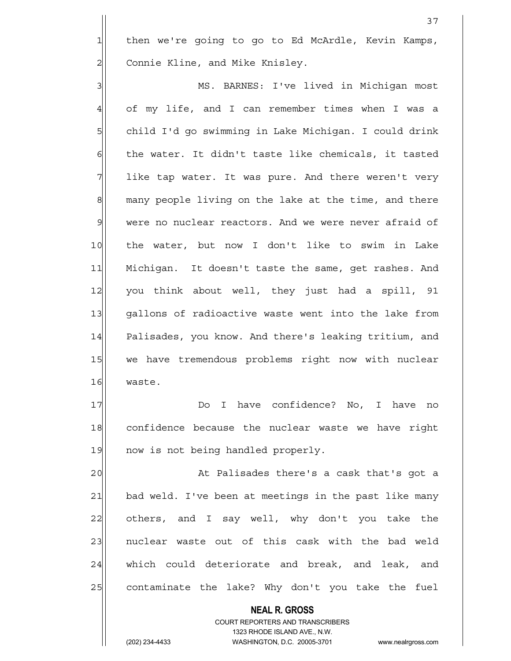1 then we're going to go to Ed McArdle, Kevin Kamps, 2 | Connie Kline, and Mike Knisley.

3 | MS. BARNES: I've lived in Michigan most 4 of my life, and I can remember times when I was a 5 | child I'd go swimming in Lake Michigan. I could drink  $6$  the water. It didn't taste like chemicals, it tasted  $7$  like tap water. It was pure. And there weren't very 8 many people living on the lake at the time, and there 9 were no nuclear reactors. And we were never afraid of 10 the water, but now I don't like to swim in Lake 11 Michigan. It doesn't taste the same, get rashes. And 12 you think about well, they just had a spill, 91 13 qallons of radioactive waste went into the lake from 14 Palisades, you know. And there's leaking tritium, and 15 we have tremendous problems right now with nuclear 16 waste.

17 | Do I have confidence? No, I have no 18 confidence because the nuclear waste we have right 19 now is not being handled properly.

20 At Palisades there's a cask that's got a 21 bad weld. I've been at meetings in the past like many 22 others, and I say well, why don't you take the 23 | nuclear waste out of this cask with the bad weld 24 which could deteriorate and break, and leak, and 25 contaminate the lake? Why don't you take the fuel

> **NEAL R. GROSS** COURT REPORTERS AND TRANSCRIBERS 1323 RHODE ISLAND AVE., N.W.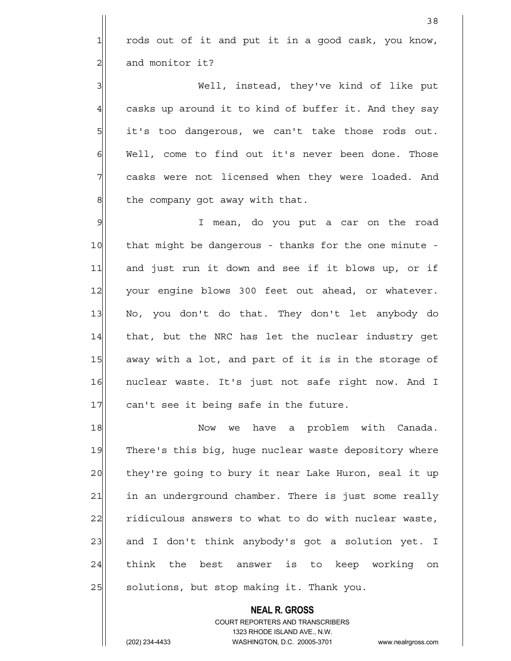$1$  rods out of it and put it in a good cask, you know, 2| and monitor it?

3 | Well, instead, they've kind of like put  $4$  casks up around it to kind of buffer it. And they say 5 5 it's too dangerous, we can't take those rods out. 6 Well, come to find out it's never been done. Those 7 casks were not licensed when they were loaded. And 8 8 the company got away with that.

9 I mean, do you put a car on the road 10 that might be dangerous - thanks for the one minute -11 and just run it down and see if it blows up, or if 12 your engine blows 300 feet out ahead, or whatever. 13 No, you don't do that. They don't let anybody do 14 that, but the NRC has let the nuclear industry get 15 away with a lot, and part of it is in the storage of 16 nuclear waste. It's just not safe right now. And I 17 can't see it being safe in the future.

18 Now we have a problem with Canada. 19 There's this big, huge nuclear waste depository where 20 they're going to bury it near Lake Huron, seal it up 21 in an underground chamber. There is just some really 22 ridiculous answers to what to do with nuclear waste, 23 and I don't think anybody's got a solution yet. I 24 think the best answer is to keep working on 25 | solutions, but stop making it. Thank you.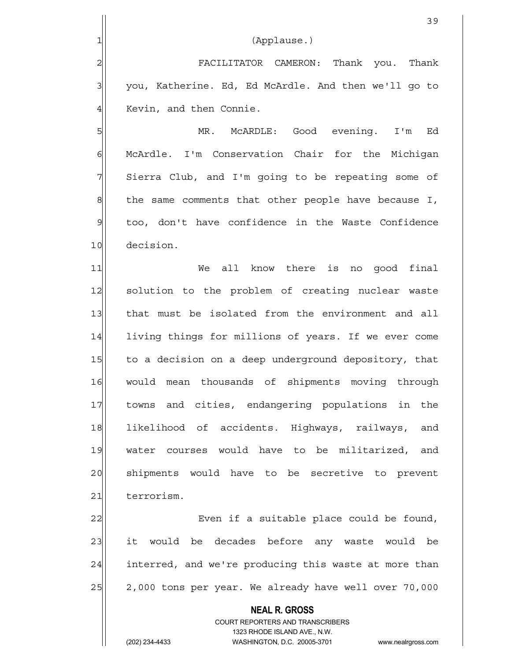| $\mathbf 1$    | (Applause.)                                          |
|----------------|------------------------------------------------------|
| $\overline{2}$ | FACILITATOR CAMERON: Thank you. Thank                |
| 3              | you, Katherine. Ed, Ed McArdle. And then we'll go to |
| $\overline{4}$ | Kevin, and then Connie.                              |
| 5              | McARDLE: Good evening. I'm<br>MR.<br>Ed              |
| 6              | McArdle. I'm Conservation Chair for the Michigan     |

39

7 Sierra Club, and I'm going to be repeating some of  $8$  the same comments that other people have because I, 9 too, don't have confidence in the Waste Confidence 10 decision.

11 We all know there is no good final 12 solution to the problem of creating nuclear waste 13 that must be isolated from the environment and all 14 living things for millions of years. If we ever come 15 to a decision on a deep underground depository, that 16 would mean thousands of shipments moving through 17 towns and cities, endangering populations in the 18 likelihood of accidents. Highways, railways, and 19 water courses would have to be militarized, and 20 shipments would have to be secretive to prevent 21 terrorism.

22 Even if a suitable place could be found, 23 it would be decades before any waste would be 24 interred, and we're producing this waste at more than  $25$  2,000 tons per year. We already have well over 70,000

> **NEAL R. GROSS** COURT REPORTERS AND TRANSCRIBERS 1323 RHODE ISLAND AVE., N.W. (202) 234-4433 WASHINGTON, D.C. 20005-3701 www.nealrgross.com

 $\mathbb{I}$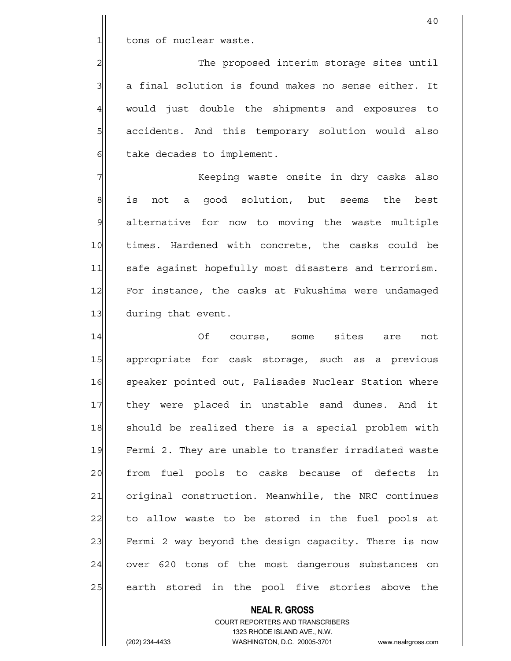1 tons of nuclear waste.

2 2 The proposed interim storage sites until  $3$  a final solution is found makes no sense either. It 4 would just double the shipments and exposures to 5 5 5 5 accidents. And this temporary solution would also  $6$  take decades to implement.

7 Keeping waste onsite in dry casks also 8 is not a good solution, but seems the best 9 alternative for now to moving the waste multiple 10 times. Hardened with concrete, the casks could be 11 safe against hopefully most disasters and terrorism. 12 For instance, the casks at Fukushima were undamaged 13 during that event.

14 Of course, some sites are not 15 appropriate for cask storage, such as a previous 16 speaker pointed out, Palisades Nuclear Station where 17 they were placed in unstable sand dunes. And it 18 should be realized there is a special problem with 19 Fermi 2. They are unable to transfer irradiated waste 20 from fuel pools to casks because of defects in 21 original construction. Meanwhile, the NRC continues  $22$  to allow waste to be stored in the fuel pools at 23 Fermi 2 way beyond the design capacity. There is now 24 over 620 tons of the most dangerous substances on 25| earth stored in the pool five stories above the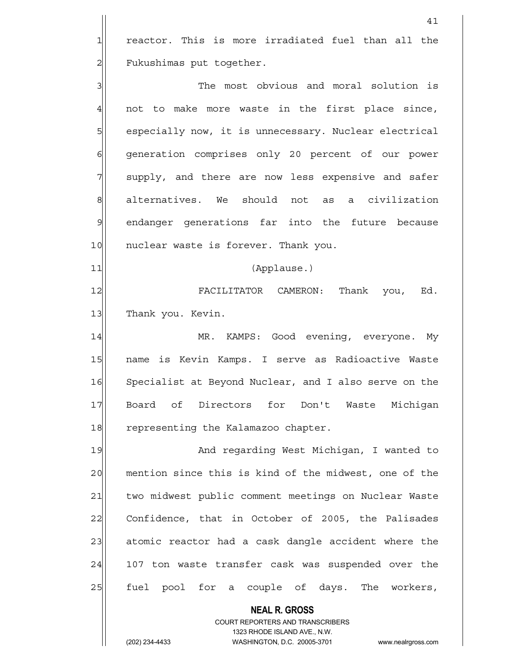1 reactor. This is more irradiated fuel than all the 2 Fukushimas put together.

41

3 3 3 The most obvious and moral solution is  $4$  not to make more waste in the first place since, 5 s especially now, it is unnecessary. Nuclear electrical 6 6 6 6 generation comprises only 20 percent of our power 7 Supply, and there are now less expensive and safer 8 alternatives. We should not as a civilization 9 endanger generations far into the future because 10 nuclear waste is forever. Thank you.

11 (Applause.)

12 | FACILITATOR CAMERON: Thank you, Ed. 13 Thank you. Kevin.

14 | MR. KAMPS: Good evening, everyone. My 15 | name is Kevin Kamps. I serve as Radioactive Waste 16 Specialist at Beyond Nuclear, and I also serve on the 17 Board of Directors for Don't Waste Michigan 18 representing the Kalamazoo chapter.

19 And regarding West Michigan, I wanted to 20 mention since this is kind of the midwest, one of the 21 two midwest public comment meetings on Nuclear Waste 22 Confidence, that in October of 2005, the Palisades 23 atomic reactor had a cask dangle accident where the 24 107 ton waste transfer cask was suspended over the 25 | fuel pool for a couple of days. The workers,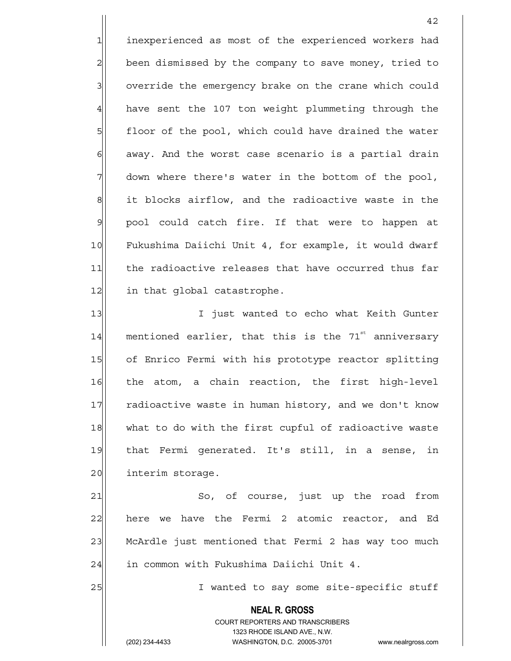1 inexperienced as most of the experienced workers had 2 been dismissed by the company to save money, tried to 3 3 override the emergency brake on the crane which could  $4$  have sent the 107 ton weight plummeting through the 5 floor of the pool, which could have drained the water  $6$  away. And the worst case scenario is a partial drain 7 down where there's water in the bottom of the pool, 8 it blocks airflow, and the radioactive waste in the 9 | pool could catch fire. If that were to happen at 10 Fukushima Daiichi Unit 4, for example, it would dwarf 11 the radioactive releases that have occurred thus far 12 in that global catastrophe.

13 I I just wanted to echo what Keith Gunter  $14$  mentioned earlier, that this is the 71<sup>st</sup> anniversary 15 of Enrico Fermi with his prototype reactor splitting 16 the atom, a chain reaction, the first high-level 17 radioactive waste in human history, and we don't know 18 what to do with the first cupful of radioactive waste 19 that Fermi generated. It's still, in a sense, in 20 interim storage.

21 So, of course, just up the road from  $22$  here we have the Fermi 2 atomic reactor, and Ed 23 McArdle just mentioned that Fermi 2 has way too much 24 in common with Fukushima Daiichi Unit 4.

25 | I wanted to say some site-specific stuff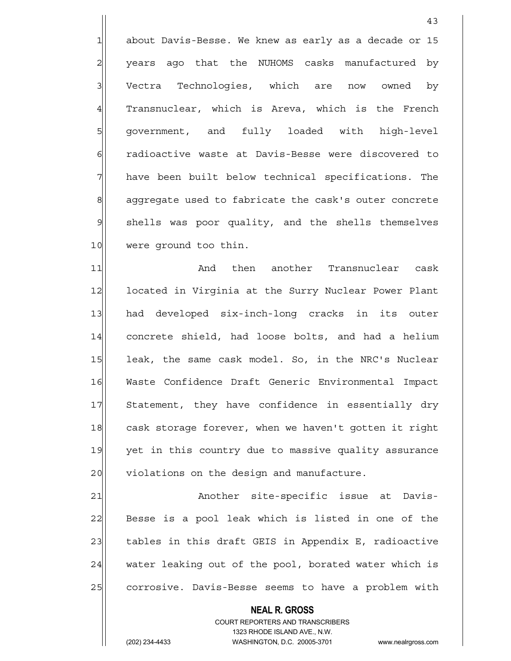1 about Davis-Besse. We knew as early as a decade or 15 2 | years ago that the NUHOMS casks manufactured by 3 Vectra Technologies, which are now owned by  $4$  Transnuclear, which is Areva, which is the French 5 government, and fully loaded with high-level 6 6 radioactive waste at Davis-Besse were discovered to  $7$  have been built below technical specifications. The 8 aggregate used to fabricate the cask's outer concrete 9 shells was poor quality, and the shells themselves 10 were ground too thin.

43

11 and then another Transnuclear cask 12 located in Virginia at the Surry Nuclear Power Plant 13 had developed six-inch-long cracks in its outer 14 concrete shield, had loose bolts, and had a helium 15 leak, the same cask model. So, in the NRC's Nuclear 16 Waste Confidence Draft Generic Environmental Impact 17 Statement, they have confidence in essentially dry 18 cask storage forever, when we haven't gotten it right 19 yet in this country due to massive quality assurance 20 violations on the design and manufacture.

21 | Another site-specific issue at Davis-22 Besse is a pool leak which is listed in one of the 23 tables in this draft GEIS in Appendix E, radioactive 24 water leaking out of the pool, borated water which is 25 corrosive. Davis-Besse seems to have a problem with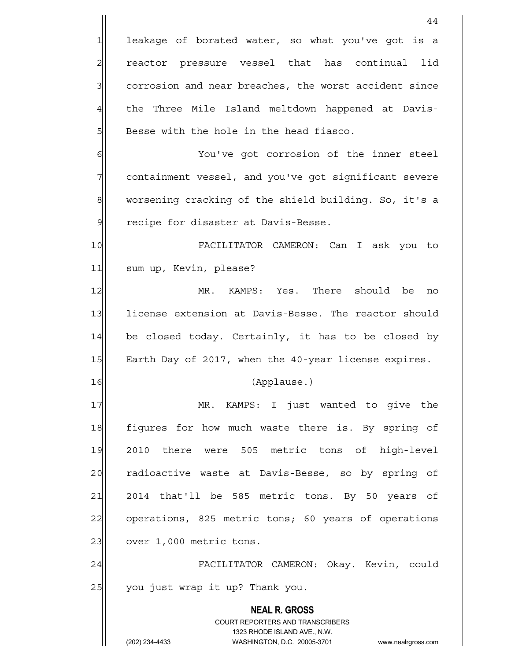**NEAL R. GROSS** COURT REPORTERS AND TRANSCRIBERS 1323 RHODE ISLAND AVE., N.W. (202) 234-4433 WASHINGTON, D.C. 20005-3701 www.nealrgross.com 44 1 leakage of borated water, so what you've got is a 2 reactor pressure vessel that has continual lid 3 3 3 corrosion and near breaches, the worst accident since 4 the Three Mile Island meltdown happened at Davis- $5$  Besse with the hole in the head fiasco. 6 6 You've got corrosion of the inner steel 7 containment vessel, and you've got significant severe 8 worsening cracking of the shield building. So, it's a 9 Pecipe for disaster at Davis-Besse. 10 FACILITATOR CAMERON: Can I ask you to 11 sum up, Kevin, please? 12 MR. KAMPS: Yes. There should be no 13 license extension at Davis-Besse. The reactor should  $14$  be closed today. Certainly, it has to be closed by 15 Earth Day of 2017, when the 40-year license expires. 16 (Applause.) 17 MR. KAMPS: I just wanted to give the 18 figures for how much waste there is. By spring of 19 2010 there were 505 metric tons of high-level 20 radioactive waste at Davis-Besse, so by spring of  $21$  2014 that'll be 585 metric tons. By 50 years of 22 operations, 825 metric tons; 60 years of operations  $23$  over 1,000 metric tons. 24 FACILITATOR CAMERON: Okay. Kevin, could 25 you just wrap it up? Thank you.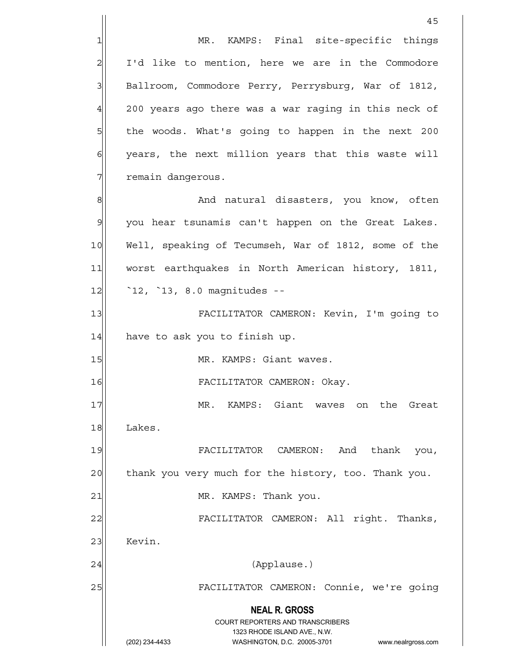**NEAL R. GROSS** COURT REPORTERS AND TRANSCRIBERS 1323 RHODE ISLAND AVE., N.W. 45 1 MR. KAMPS: Final site-specific things 2 I'd like to mention, here we are in the Commodore 3 Ballroom, Commodore Perry, Perrysburg, War of 1812,  $4$  200 years ago there was a war raging in this neck of 5 5 the woods. What's going to happen in the next 200  $6$  years, the next million years that this waste will 7| remain dangerous. 8 8 and natural disasters, you know, often 9 you hear tsunamis can't happen on the Great Lakes. 10 Well, speaking of Tecumseh, War of 1812, some of the 11 worst earthquakes in North American history, 1811, 12 <sup>12</sup> 12, <sup>13</sup>, 8.0 magnitudes --13 FACILITATOR CAMERON: Kevin, I'm going to  $14$  have to ask you to finish up. 15 MR. KAMPS: Giant waves. 16 FACILITATOR CAMERON: Okay. 17 MR. KAMPS: Giant waves on the Great 18 Lakes. 19 FACILITATOR CAMERON: And thank you, 20 thank you very much for the history, too. Thank you. 21 | MR. KAMPS: Thank you. 22 FACILITATOR CAMERON: All right. Thanks, 23 Kevin. 24 (Applause.) 25 FACILITATOR CAMERON: Connie, we're going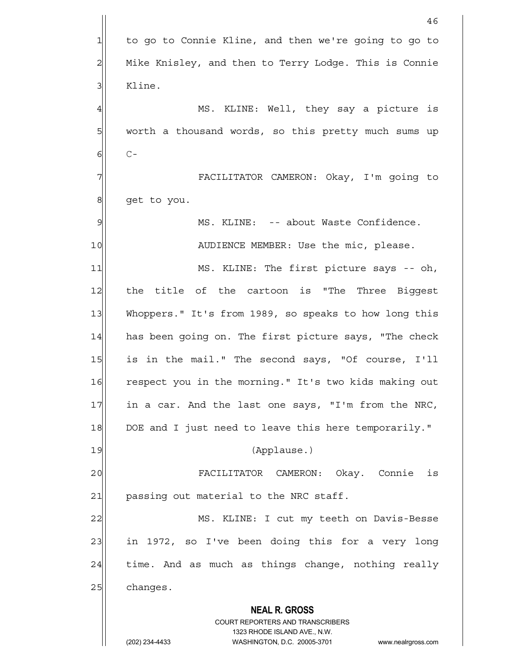|                | 46                                                                                                  |
|----------------|-----------------------------------------------------------------------------------------------------|
| 1              | to go to Connie Kline, and then we're going to go to                                                |
| $\overline{c}$ | Mike Knisley, and then to Terry Lodge. This is Connie                                               |
| 3              | Kline.                                                                                              |
| $\overline{4}$ | MS. KLINE: Well, they say a picture is                                                              |
| 5              | worth a thousand words, so this pretty much sums up                                                 |
| 6              | $C -$                                                                                               |
| 7              | FACILITATOR CAMERON: Okay, I'm going to                                                             |
| 8              | get to you.                                                                                         |
| 9              | MS. KLINE: -- about Waste Confidence.                                                               |
| 10             | AUDIENCE MEMBER: Use the mic, please.                                                               |
| 11             | MS. KLINE: The first picture says -- oh,                                                            |
| 12             | the title of the cartoon is "The Three Biggest                                                      |
| 13             | Whoppers." It's from 1989, so speaks to how long this                                               |
| 14             | has been going on. The first picture says, "The check                                               |
| 15             | is in the mail." The second says, "Of course, I'll                                                  |
| 16             | respect you in the morning." It's two kids making out                                               |
| 17             | in a car. And the last one says, "I'm from the NRC,                                                 |
| 18             | DOE and I just need to leave this here temporarily."                                                |
| 19             | (Applause.)                                                                                         |
| 20             | FACILITATOR CAMERON: Okay. Connie is                                                                |
| 21             | passing out material to the NRC staff.                                                              |
| 22             | MS. KLINE: I cut my teeth on Davis-Besse                                                            |
| 23             | in 1972, so I've been doing this for a very long                                                    |
| 24             | time. And as much as things change, nothing really                                                  |
| 25             | changes.                                                                                            |
|                | <b>NEAL R. GROSS</b>                                                                                |
|                | COURT REPORTERS AND TRANSCRIBERS                                                                    |
|                | 1323 RHODE ISLAND AVE., N.W.<br>(202) 234-4433<br>WASHINGTON, D.C. 20005-3701<br>www.nealrgross.com |
|                |                                                                                                     |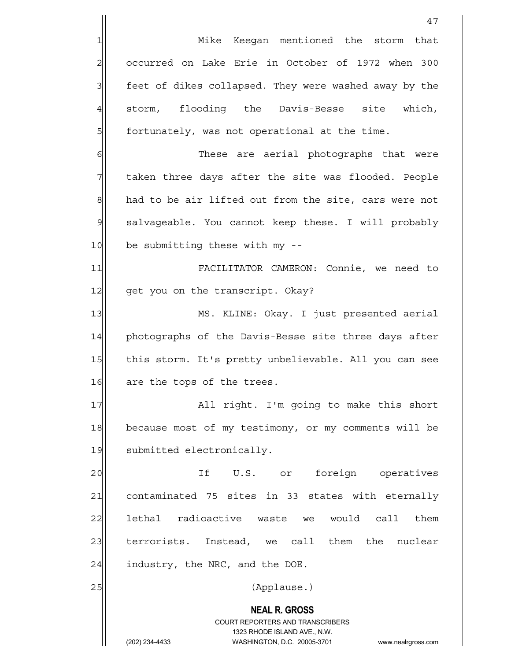|                | 47                                                                                                  |
|----------------|-----------------------------------------------------------------------------------------------------|
| 1              | Mike Keegan mentioned the storm that                                                                |
| $\overline{a}$ | occurred on Lake Erie in October of 1972 when 300                                                   |
| 3              | feet of dikes collapsed. They were washed away by the                                               |
| $\overline{4}$ | storm, flooding the Davis-Besse site<br>which,                                                      |
| 5              | fortunately, was not operational at the time.                                                       |
| $\epsilon$     | These are aerial photographs that were                                                              |
| 7              | taken three days after the site was flooded. People                                                 |
| $\mathbf{8}$   | had to be air lifted out from the site, cars were not                                               |
| $\mathcal{Q}$  | salvageable. You cannot keep these. I will probably                                                 |
| 10             | be submitting these with my --                                                                      |
| 11             | FACILITATOR CAMERON: Connie, we need to                                                             |
| 12             | get you on the transcript. Okay?                                                                    |
| 13             | MS. KLINE: Okay. I just presented aerial                                                            |
| 14             | photographs of the Davis-Besse site three days after                                                |
| 15             | this storm. It's pretty unbelievable. All you can see                                               |
| 16             | are the tops of the trees.                                                                          |
| 17             | All right. I'm going to make this short                                                             |
| 18             | because most of my testimony, or my comments will be                                                |
| 19             | submitted electronically.                                                                           |
| 20             | If U.S. or foreign operatives                                                                       |
| 21             | contaminated 75 sites in 33 states with eternally                                                   |
| 22             | lethal radioactive waste we would call them                                                         |
| 23             | terrorists. Instead, we call them the nuclear                                                       |
| 24             | industry, the NRC, and the DOE.                                                                     |
| 25             | (Applause.)                                                                                         |
|                | <b>NEAL R. GROSS</b>                                                                                |
|                | COURT REPORTERS AND TRANSCRIBERS                                                                    |
|                | 1323 RHODE ISLAND AVE., N.W.<br>(202) 234-4433<br>WASHINGTON, D.C. 20005-3701<br>www.nealrgross.com |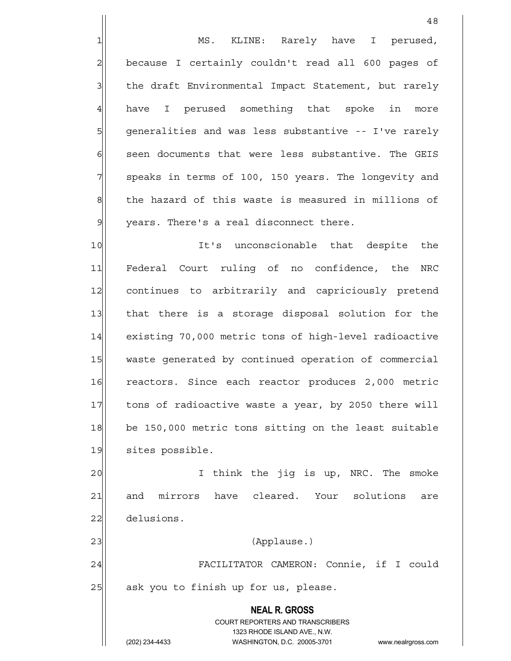1 1 MS. KLINE: Rarely have I perused, 2 because I certainly couldn't read all 600 pages of 3 | the draft Environmental Impact Statement, but rarely 4 have I perused something that spoke in more 5| generalities and was less substantive -- I've rarely 6| seen documents that were less substantive. The GEIS 7 | speaks in terms of 100, 150 years. The longevity and 8 8 8 the hazard of this waste is measured in millions of  $9$  vears. There's a real disconnect there.

10 It's unconscionable that despite the 11 Federal Court ruling of no confidence, the NRC 12 continues to arbitrarily and capriciously pretend 13 that there is a storage disposal solution for the 14 existing 70,000 metric tons of high-level radioactive 15 waste generated by continued operation of commercial 16 reactors. Since each reactor produces 2,000 metric 17 tons of radioactive waste a year, by 2050 there will 18 be 150,000 metric tons sitting on the least suitable 19 sites possible.

20 and think the jig is up, NRC. The smoke 21 and mirrors have cleared. Your solutions are 22 delusions.

23 | (Applause.)

24|| FACILITATOR CAMERON: Connie, if I could  $25$  ask you to finish up for us, please.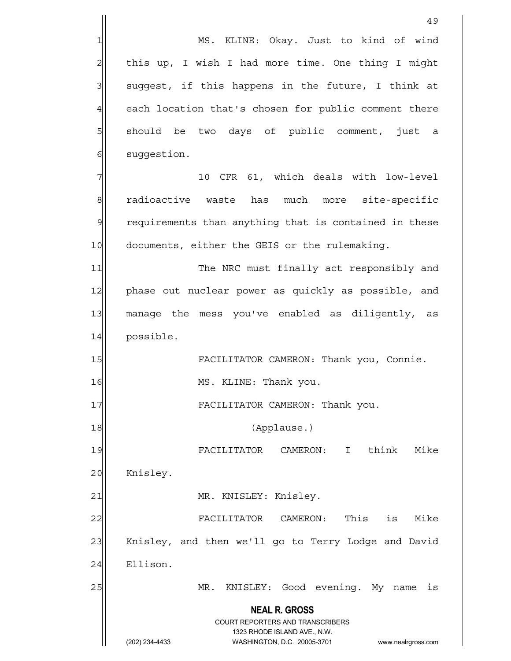**NEAL R. GROSS** COURT REPORTERS AND TRANSCRIBERS 1323 RHODE ISLAND AVE., N.W. 49 1 MS. KLINE: Okay. Just to kind of wind 2 | this up, I wish I had more time. One thing I might  $3$  suggest, if this happens in the future, I think at 4 each location that's chosen for public comment there 5 should be two days of public comment, just a 6 suggestion. 7 10 CFR 61, which deals with low-level 8 radioactive waste has much more site-specific 9 requirements than anything that is contained in these 10 documents, either the GEIS or the rulemaking. 11 The NRC must finally act responsibly and 12 phase out nuclear power as quickly as possible, and 13 manage the mess you've enabled as diligently, as 14 possible. 15 | FACILITATOR CAMERON: Thank you, Connie. 16 MS. KLINE: Thank you. 17 | FACILITATOR CAMERON: Thank you. 18 (Applause.) 19 FACILITATOR CAMERON: I think Mike 20 Knisley. 21 | MR. KNISLEY: Knisley. 22 | FACILITATOR CAMERON: This is Mike 23 Knisley, and then we'll go to Terry Lodge and David 24 Ellison. 25 MR. KNISLEY: Good evening. My name is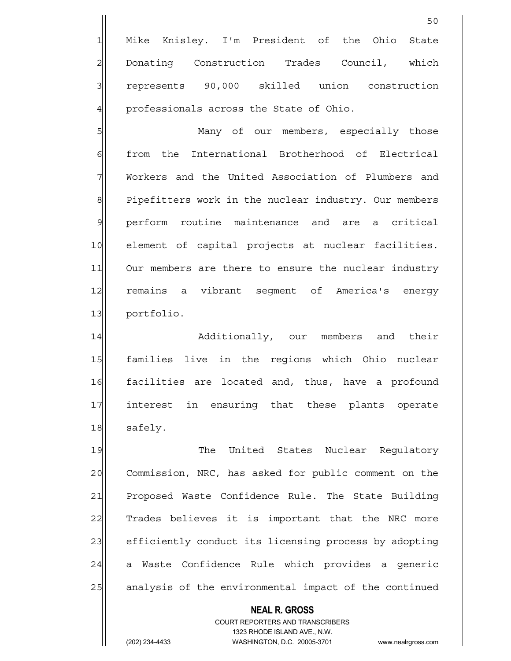1 Mike Knisley. I'm President of the Ohio State 2 Donating Construction Trades Council, which 3 3 represents 90,000 skilled union construction  $4$  professionals across the State of Ohio.

5 Many of our members, especially those 6 from the International Brotherhood of Electrical 7 Workers and the United Association of Plumbers and 8 Pipefitters work in the nuclear industry. Our members 9 perform routine maintenance and are a critical 10 element of capital projects at nuclear facilities. 11 Our members are there to ensure the nuclear industry 12 remains a vibrant segment of America's energy 13 portfolio.

14 additionally, our members and their 15 | families live in the regions which Ohio nuclear 16 facilities are located and, thus, have a profound 17 interest in ensuring that these plants operate 18 safely.

19 The United States Nuclear Requlatory 20 Commission, NRC, has asked for public comment on the 21 Proposed Waste Confidence Rule. The State Building 22 Trades believes it is important that the NRC more 23 efficiently conduct its licensing process by adopting 24 a Waste Confidence Rule which provides a generic 25 analysis of the environmental impact of the continued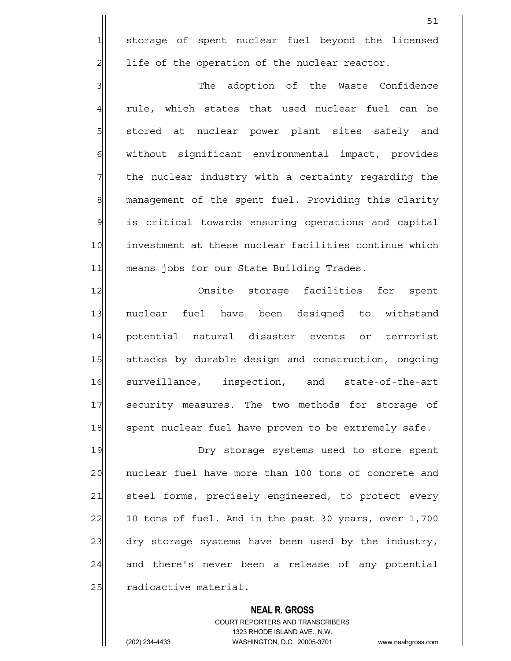1 storage of spent nuclear fuel beyond the licensed  $2$  life of the operation of the nuclear reactor.

3|| The adoption of the Waste Confidence  $4$  rule, which states that used nuclear fuel can be 5 | stored at nuclear power plant sites safely and 6 | without significant environmental impact, provides  $7$  the nuclear industry with a certainty regarding the 8 management of the spent fuel. Providing this clarity 9 is critical towards ensuring operations and capital 10 investment at these nuclear facilities continue which 11 means jobs for our State Building Trades.

12 Onsite storage facilities for spent 13 nuclear fuel have been designed to withstand 14 potential natural disaster events or terrorist 15 attacks by durable design and construction, ongoing 16 surveillance, inspection, and state-of-the-art 17 security measures. The two methods for storage of 18 spent nuclear fuel have proven to be extremely safe.

19 **Dry** storage systems used to store spent 20 | nuclear fuel have more than 100 tons of concrete and 21 steel forms, precisely engineered, to protect every 22 10 tons of fuel. And in the past 30 years, over 1,700 23 dry storage systems have been used by the industry, 24 and there's never been a release of any potential 25 radioactive material.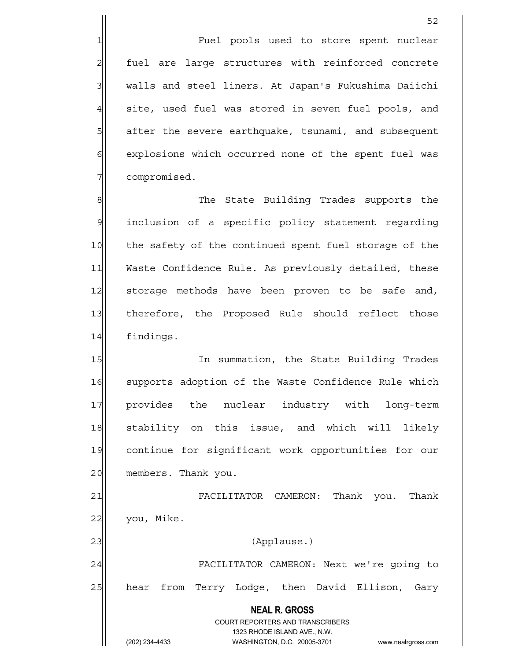1 The state of the store spent nuclear 2 fuel are large structures with reinforced concrete 3 | walls and steel liners. At Japan's Fukushima Daiichi  $4$  site, used fuel was stored in seven fuel pools, and 5 5 5 5 after the severe earthquake, tsunami, and subsequent 6 explosions which occurred none of the spent fuel was 7 compromised.

8 8 Reference State Building Trades supports the 9 inclusion of a specific policy statement regarding 10 the safety of the continued spent fuel storage of the 11 Waste Confidence Rule. As previously detailed, these 12 storage methods have been proven to be safe and, 13 therefore, the Proposed Rule should reflect those 14 findings.

15 In summation, the State Building Trades 16 Supports adoption of the Waste Confidence Rule which 17 provides the nuclear industry with long-term 18 stability on this issue, and which will likely 19 continue for significant work opportunities for our 20 members. Thank you.

21 FACILITATOR CAMERON: Thank you. Thank  $22$  you, Mike. 23 | (Applause.)

24 | FACILITATOR CAMERON: Next we're going to 25 | hear from Terry Lodge, then David Ellison, Gary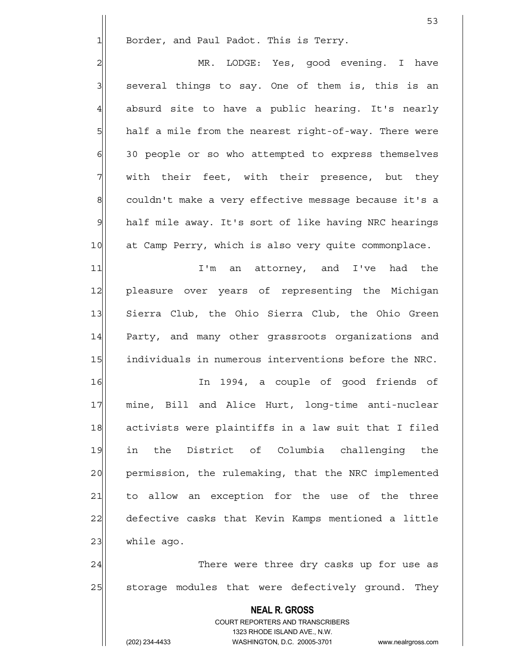$1$  Border, and Paul Padot. This is Terry.

2 | MR. LODGE: Yes, good evening. I have 3| several things to say. One of them is, this is an  $4$  absurd site to have a public hearing. It's nearly 5| half a mile from the nearest right-of-way. There were 6 30 people or so who attempted to express themselves 7 with their feet, with their presence, but they 8 couldn't make a very effective message because it's a 9 half mile away. It's sort of like having NRC hearings 10 at Camp Perry, which is also very quite commonplace.

11 11 I'm an attorney, and I've had the 12 pleasure over years of representing the Michigan 13 Sierra Club, the Ohio Sierra Club, the Ohio Green 14 Party, and many other grassroots organizations and 15 | individuals in numerous interventions before the NRC.

16 In 1994, a couple of good friends of 17 mine, Bill and Alice Hurt, long-time anti-nuclear 18 activists were plaintiffs in a law suit that I filed 19 in the District of Columbia challenging the 20 permission, the rulemaking, that the NRC implemented 21 to allow an exception for the use of the three 22 defective casks that Kevin Kamps mentioned a little 23 while ago.

24 There were three dry casks up for use as 25 | storage modules that were defectively ground. They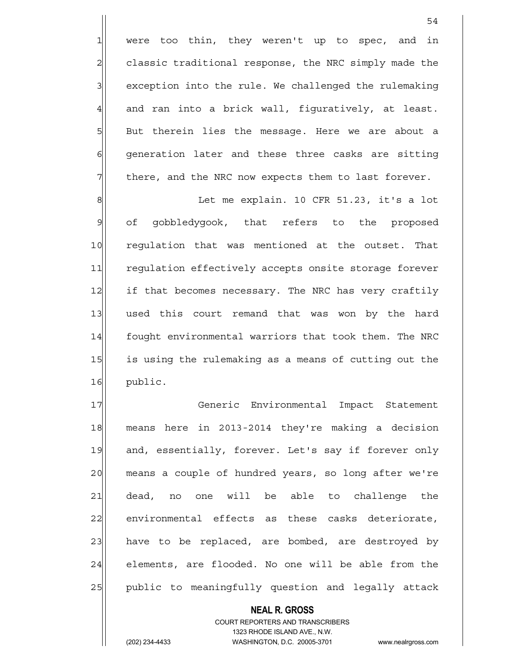$1$  were too thin, they weren't up to spec, and in 2 classic traditional response, the NRC simply made the 3 3 exception into the rule. We challenged the rulemaking  $4$  and ran into a brick wall, fiquratively, at least.  $5$  But therein lies the message. Here we are about a 6 6 6 6 Generation later and these three casks are sitting  $7$  there, and the NRC now expects them to last forever.

54

8 8 B Let me explain. 10 CFR 51.23, it's a lot 9 of gobbledygook, that refers to the proposed 10 requlation that was mentioned at the outset. That 11 regulation effectively accepts onsite storage forever 12 if that becomes necessary. The NRC has very craftily 13 used this court remand that was won by the hard 14 fought environmental warriors that took them. The NRC 15 is using the rulemaking as a means of cutting out the 16 public.

17 Generic Environmental Impact Statement 18 means here in 2013-2014 they're making a decision 19 and, essentially, forever. Let's say if forever only 20 means a couple of hundred years, so long after we're 21 dead, no one will be able to challenge the 22 environmental effects as these casks deteriorate, 23 have to be replaced, are bombed, are destroyed by 24 elements, are flooded. No one will be able from the 25 public to meaningfully question and legally attack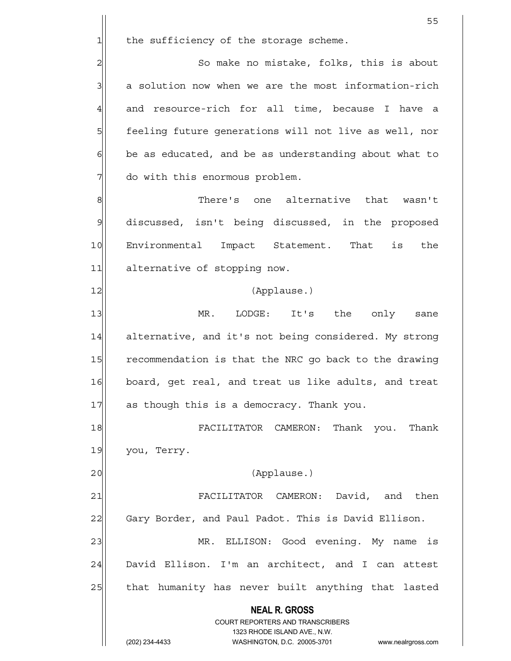$1$  the sufficiency of the storage scheme.

2 So make no mistake, folks, this is about 3| a solution now when we are the most information-rich  $4$  and resource-rich for all time, because I have a 5 feeling future generations will not live as well, nor  $6$  be as educated, and be as understanding about what to 7 do with this enormous problem.

8 8 Sepannee's one alternative that wasn't 9 discussed, isn't being discussed, in the proposed 10 Environmental Impact Statement. That is the 11 alternative of stopping now.

#### 12 (Applause.)

13 MR. LODGE: It's the only sane 14 alternative, and it's not being considered. My strong 15 recommendation is that the NRC go back to the drawing 16 board, get real, and treat us like adults, and treat 17 as though this is a democracy. Thank you.

18 **FACILITATOR CAMERON: Thank you. Thank** 19 you, Terry.

20 | (Applause.)

21 FACILITATOR CAMERON: David, and then 22 Gary Border, and Paul Padot. This is David Ellison.

23 MR. ELLISON: Good evening. My name is  $24$  David Ellison. I'm an architect, and I can attest 25 | that humanity has never built anything that lasted

 **NEAL R. GROSS**

 COURT REPORTERS AND TRANSCRIBERS 1323 RHODE ISLAND AVE., N.W. (202) 234-4433 WASHINGTON, D.C. 20005-3701 www.nealrgross.com

the contract of the contract of the contract of the contract of the contract of the contract of the contract o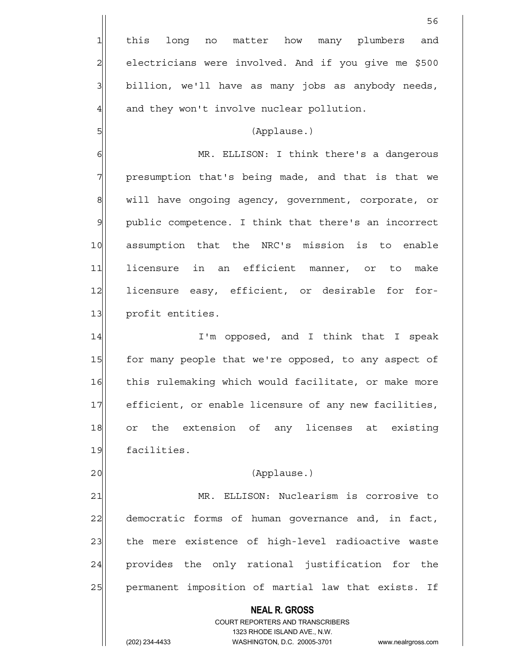**NEAL R. GROSS** COURT REPORTERS AND TRANSCRIBERS 1323 RHODE ISLAND AVE., N.W.  $56$ 1 this long no matter how many plumbers and 2 electricians were involved. And if you give me \$500  $3$  billion, we'll have as many jobs as anybody needs,  $4$  and they won't involve nuclear pollution. 5 (Applause.) 6 MR. ELLISON: I think there's a dangerous 7 | presumption that's being made, and that is that we 8 will have ongoing agency, government, corporate, or 9 public competence. I think that there's an incorrect 10 assumption that the NRC's mission is to enable 11 licensure in an efficient manner, or to make 12 licensure easy, efficient, or desirable for for-13 profit entities. 14 I'm opposed, and I think that I speak 15 for many people that we're opposed, to any aspect of 16 this rulemaking which would facilitate, or make more 17 efficient, or enable licensure of any new facilities, 18 or the extension of any licenses at existing 19 facilities. 20 | (Applause.) 21 | MR. ELLISON: Nuclearism is corrosive to 22 democratic forms of human governance and, in fact, 23 the mere existence of high-level radioactive waste 24 provides the only rational justification for the 25 | permanent imposition of martial law that exists. If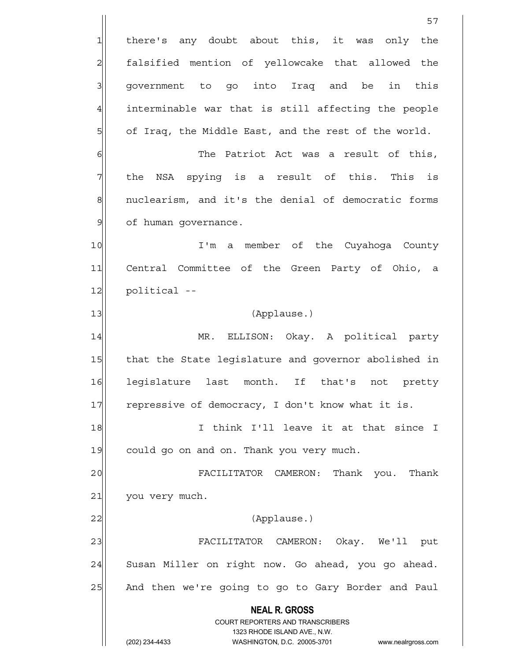**NEAL R. GROSS** COURT REPORTERS AND TRANSCRIBERS 1323 RHODE ISLAND AVE., N.W. (202) 234-4433 WASHINGTON, D.C. 20005-3701 www.nealrgross.com 57 1 there's any doubt about this, it was only the 2 falsified mention of yellowcake that allowed the 3 | government to go into Iraq and be in this  $4$  interminable war that is still affecting the people 5 of Iraq, the Middle East, and the rest of the world. 6 **The Patriot Act was a result of this**, 7 The NSA spying is a result of this. This is 8 nuclearism, and it's the denial of democratic forms 9 | of human qovernance. 10 I'm a member of the Cuyahoga County 11 Central Committee of the Green Party of Ohio, a 12 political --13 (Applause.) 14 MR. ELLISON: Okay. A political party 15 | that the State legislature and governor abolished in 16 legislature last month. If that's not pretty 17 repressive of democracy, I don't know what it is. 18 I think I'll leave it at that since I 19 could go on and on. Thank you very much. 20 FACILITATOR CAMERON: Thank you. Thank 21 you very much. 22 | (Applause.) 23 FACILITATOR CAMERON: Okay. We'll put 24 Susan Miller on right now. Go ahead, you go ahead. 25 And then we're going to go to Gary Border and Paul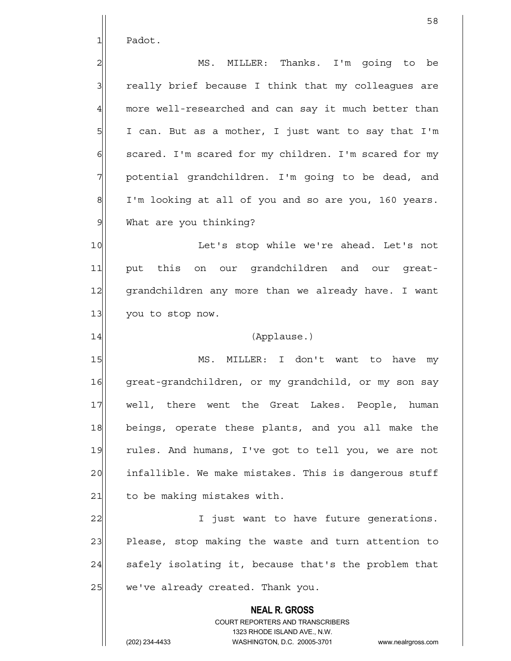1 Padot.

2 | MS. MILLER: Thanks. I'm qoinq to be 3 3 really brief because I think that my colleagues are  $4$  more well-researched and can say it much better than  $5$  I can. But as a mother, I just want to say that I'm  $6$  scared. I'm scared for my children. I'm scared for my 7 | potential grandchildren. I'm going to be dead, and 8 I'm looking at all of you and so are you, 160 years. 9 What are you thinking?

10 Let's stop while we're ahead. Let's not 11 put this on our grandchildren and our great-12 grandchildren any more than we already have. I want 13 you to stop now.

## 14 (Applause.)

15 MS. MILLER: I don't want to have my 16 great-grandchildren, or my grandchild, or my son say 17 well, there went the Great Lakes. People, human 18 beings, operate these plants, and you all make the 19 rules. And humans, I've got to tell you, we are not 20 infallible. We make mistakes. This is dangerous stuff 21 to be making mistakes with.

22 I just want to have future generations. 23 Please, stop making the waste and turn attention to  $24$  safely isolating it, because that's the problem that  $25$  we've already created. Thank you.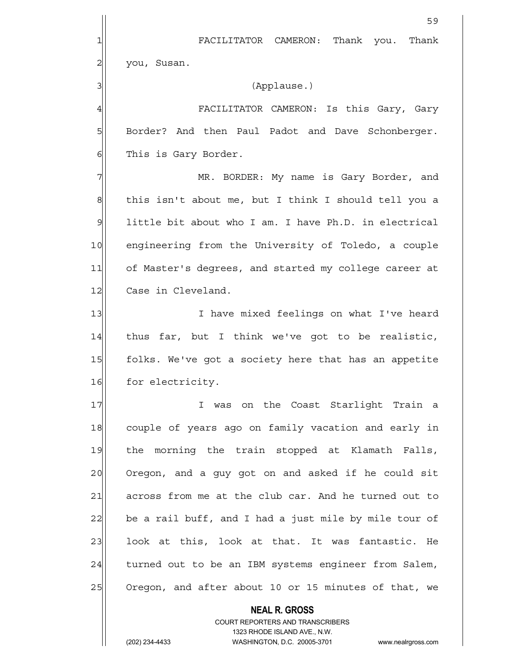|                | 59                                                       |
|----------------|----------------------------------------------------------|
| 1              | FACILITATOR CAMERON: Thank you. Thank                    |
| $\overline{c}$ | you, Susan.                                              |
| 3              | (Applause.)                                              |
| $\overline{4}$ | FACILITATOR CAMERON: Is this Gary, Gary                  |
| 5              | Border? And then Paul Padot and Dave Schonberger.        |
| 6              | This is Gary Border.                                     |
| 7              | MR. BORDER: My name is Gary Border, and                  |
| 8              | this isn't about me, but I think I should tell you a     |
| $\mathcal{Q}$  | little bit about who I am. I have Ph.D. in electrical    |
| 10             | engineering from the University of Toledo, a couple      |
| 11             | of Master's degrees, and started my college career at    |
| 12             | Case in Cleveland.                                       |
| 13             | I have mixed feelings on what I've heard                 |
| 14             | thus far, but I think we've got to be realistic,         |
| 15             | folks. We've got a society here that has an appetite     |
| 16             | for electricity.                                         |
| 17             | I was on the Coast Starlight Train a                     |
| 18             | couple of years ago on family vacation and early in      |
| 19             | the morning the train stopped at Klamath Falls,          |
| 20             | Oregon, and a guy got on and asked if he could sit       |
| 21             | across from me at the club car. And he turned out to     |
| 22             | be a rail buff, and I had a just mile by mile tour of    |
| 23             | look at this, look at that. It was fantastic. He         |
| 24             | turned out to be an IBM systems engineer from Salem,     |
| 25             | Oregon, and after about 10 or 15 minutes of that, we     |
|                | <b>NEAL R. GROSS</b><br>COURT REPORTERS AND TRANSCRIBERS |

1323 RHODE ISLAND AVE., N.W.

 $\prod$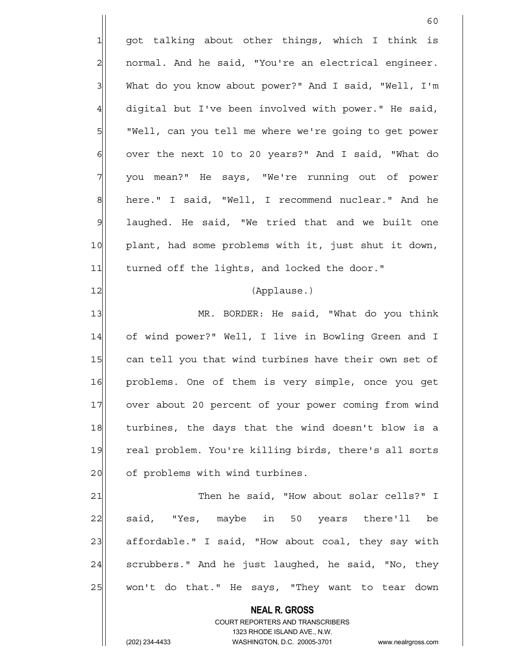60 1 got talking about other things, which I think is  $2$  normal. And he said, "You're an electrical engineer. 3| What do you know about power?" And I said, "Well, I'm  $4$  digital but I've been involved with power." He said, 5 | "Well, can you tell me where we're going to get power  $6$  over the next 10 to 20 years?" And I said, "What do 7 you mean?" He says, "We're running out of power 8 here." I said, "Well, I recommend nuclear." And he 9 | laughed. He said, "We tried that and we built one 10 plant, had some problems with it, just shut it down, 11 turned off the lights, and locked the door." 12 (Applause.) 13 MR. BORDER: He said, "What do you think 14 of wind power?" Well, I live in Bowling Green and I 15 can tell you that wind turbines have their own set of 16 problems. One of them is very simple, once you get 17 over about 20 percent of your power coming from wind 18 turbines, the days that the wind doesn't blow is a 19 real problem. You're killing birds, there's all sorts 20 of problems with wind turbines. 21 Then he said, "How about solar cells?" I 22 said, "Yes, maybe in 50 years there'll be 23| affordable." I said, "How about coal, they say with  $24$  scrubbers." And he just laughed, he said, "No, they 25 | won't do that." He says, "They want to tear down

> **NEAL R. GROSS** COURT REPORTERS AND TRANSCRIBERS 1323 RHODE ISLAND AVE., N.W.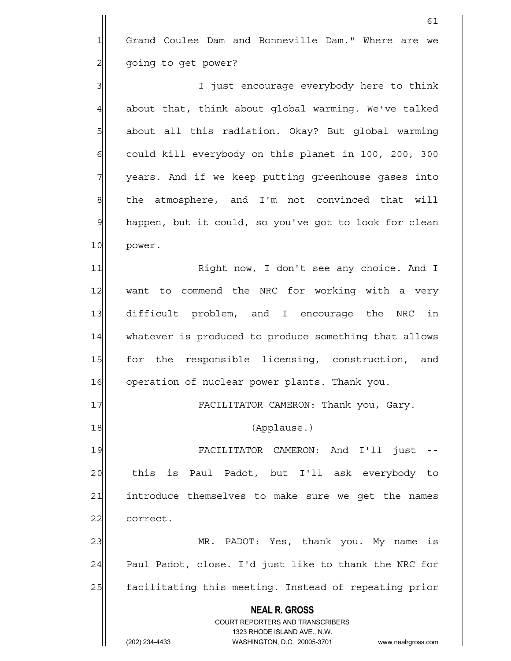1 Grand Coulee Dam and Bonneville Dam." Where are we 2 | going to get power?

61

3 3 3 I just encourage everybody here to think  $4$  about that, think about qlobal warming. We've talked 5 | about all this radiation. Okay? But global warming 6| could kill everybody on this planet in 100, 200, 300 7 7 years. And if we keep putting greenhouse gases into  $8$  the atmosphere, and I'm not convinced that will 9 happen, but it could, so you've got to look for clean 10 power.

11 Right now, I don't see any choice. And I 12 want to commend the NRC for working with a very 13 difficult problem, and I encourage the NRC in 14 whatever is produced to produce something that allows 15 for the responsible licensing, construction, and 16 operation of nuclear power plants. Thank you.

17 FACILITATOR CAMERON: Thank you, Gary.

18 (Applause.)

19 FACILITATOR CAMERON: And I'll just --20 this is Paul Padot, but I'll ask everybody to 21 introduce themselves to make sure we get the names 22 correct.

23 MR. PADOT: Yes, thank you. My name is  $24$  Paul Padot, close. I'd just like to thank the NRC for 25 facilitating this meeting. Instead of repeating prior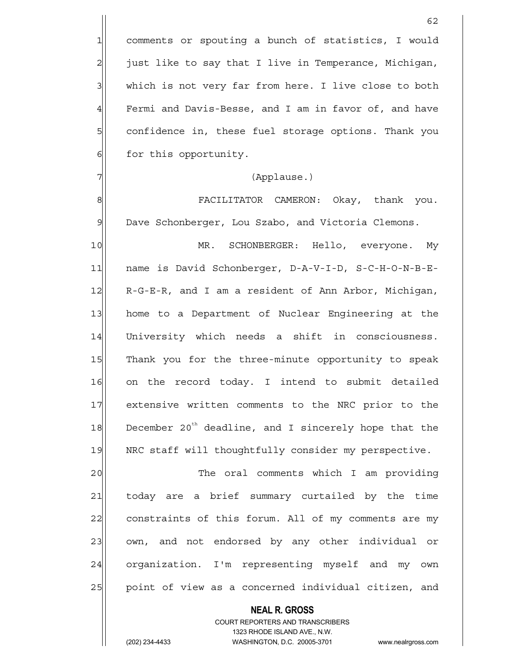1 comments or spouting a bunch of statistics, I would  $2$  just like to say that I live in Temperance, Michigan, 3| which is not very far from here. I live close to both  $4$  Fermi and Davis-Besse, and I am in favor of, and have 5 Squee confidence in, these fuel storage options. Thank you 6 6 for this opportunity.

#### 7 (Applause.)

8 | Sepanjardan Bangkatan Semanjaratan (Karataran Semanjaratan Semanjara) | Semanjara Semanjara Semanjara Seman<br>Semanjara 9 Dave Schonberger, Lou Szabo, and Victoria Clemons.

10 MR. SCHONBERGER: Hello, everyone. My 11 | name is David Schonberger, D-A-V-I-D, S-C-H-O-N-B-E-12 R-G-E-R, and I am a resident of Ann Arbor, Michigan, 13 home to a Department of Nuclear Engineering at the 14 University which needs a shift in consciousness. 15 Thank you for the three-minute opportunity to speak 16 on the record today. I intend to submit detailed 17 extensive written comments to the NRC prior to the 18 December 20<sup>th</sup> deadline, and I sincerely hope that the 19 NRC staff will thoughtfully consider my perspective.

20 and 20 The oral comments which I am providing 21 today are a brief summary curtailed by the time 22 constraints of this forum. All of my comments are my 23 own, and not endorsed by any other individual or 24 organization. I'm representing myself and my own 25 | point of view as a concerned individual citizen, and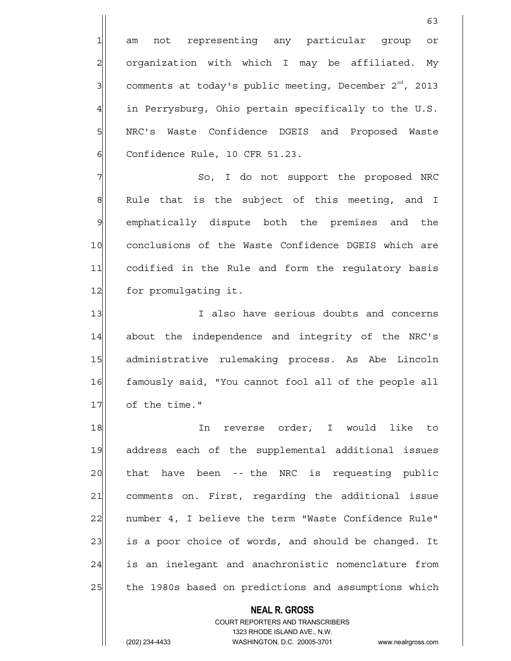1 am not representing any particular group or 2| organization with which I may be affiliated. My  $3$  comments at today's public meeting, December 2<sup>nd</sup>, 2013  $4$  in Perrysburg, Ohio pertain specifically to the U.S. 5 | NRC's Waste Confidence DGEIS and Proposed Waste  $6$  Confidence Rule, 10 CFR 51.23.

7 | So, I do not support the proposed NRC  $8$  Rule that is the subject of this meeting, and I 9 emphatically dispute both the premises and the 10 conclusions of the Waste Confidence DGEIS which are 11 codified in the Rule and form the regulatory basis 12 for promulgating it.

13 I also have serious doubts and concerns 14 about the independence and integrity of the NRC's 15 administrative rulemaking process. As Abe Lincoln 16 famously said, "You cannot fool all of the people all 17 of the time."

18 In reverse order, I would like to 19 address each of the supplemental additional issues 20 that have been -- the NRC is requesting public 21 comments on. First, regarding the additional issue 22 | number 4, I believe the term "Waste Confidence Rule" 23 is a poor choice of words, and should be changed. It 24 is an inelegant and anachronistic nomenclature from 25 | the 1980s based on predictions and assumptions which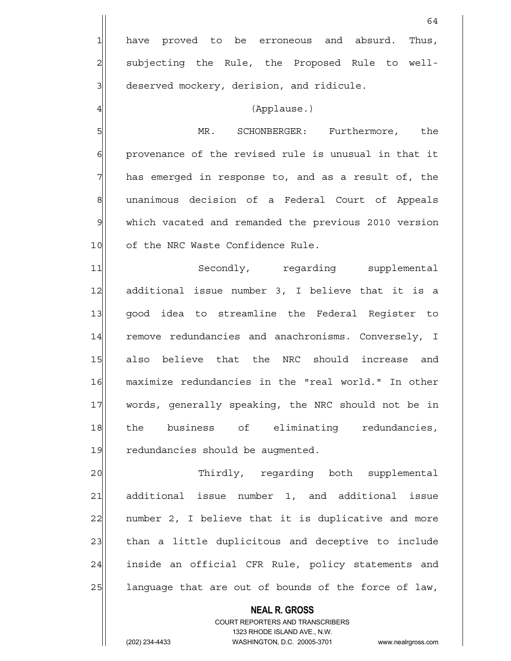**NEAL R. GROSS** COURT REPORTERS AND TRANSCRIBERS 64 1 have proved to be erroneous and absurd. Thus, 2 | subjecting the Rule, the Proposed Rule to well- $3$  deserved mockery, derision, and ridicule. 4 (Applause.) 5 MR. SCHONBERGER: Furthermore, the 6| provenance of the revised rule is unusual in that it  $7$  has emerged in response to, and as a result of, the 8 8 unanimous decision of a Federal Court of Appeals 9 which vacated and remanded the previous 2010 version 10 of the NRC Waste Confidence Rule. 11 Secondly, regarding supplemental 12 additional issue number 3, I believe that it is a 13 good idea to streamline the Federal Register to 14 remove redundancies and anachronisms. Conversely, I 15 also believe that the NRC should increase and 16 maximize redundancies in the "real world." In other 17 words, generally speaking, the NRC should not be in 18 the business of eliminating redundancies, 19 redundancies should be augmented. 20 Thirdly, regarding both supplemental 21 additional issue number 1, and additional issue  $22$  number 2, I believe that it is duplicative and more 23 | than a little duplicitous and deceptive to include 24 inside an official CFR Rule, policy statements and  $25$  language that are out of bounds of the force of law,

1323 RHODE ISLAND AVE., N.W.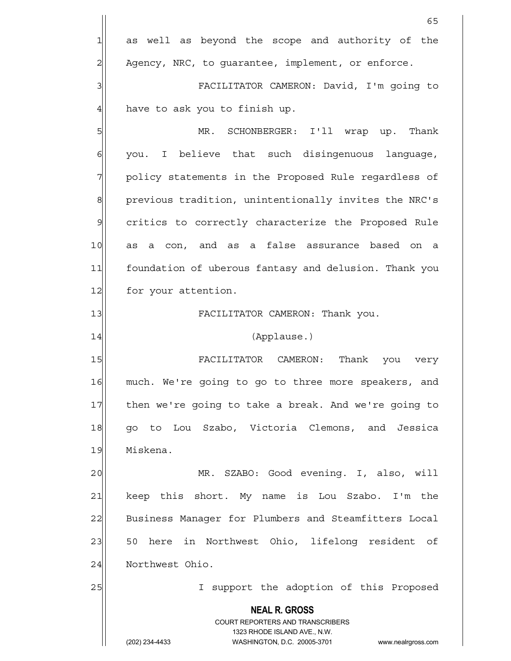|                | 65                                                                  |
|----------------|---------------------------------------------------------------------|
| 1              | as well as beyond the scope and authority of the                    |
| $\overline{c}$ | Agency, NRC, to guarantee, implement, or enforce.                   |
| 3              | FACILITATOR CAMERON: David, I'm going to                            |
| $\overline{4}$ | have to ask you to finish up.                                       |
| 5              | MR. SCHONBERGER: I'll wrap up. Thank                                |
| 6              | you. I believe that such disingenuous language,                     |
| 7              | policy statements in the Proposed Rule regardless of                |
| 8              | previous tradition, unintentionally invites the NRC's               |
| $\mathcal{G}$  | critics to correctly characterize the Proposed Rule                 |
| 10             | as a con, and as a false assurance based on a                       |
| 11             | foundation of uberous fantasy and delusion. Thank you               |
| 12             | for your attention.                                                 |
| 13             | FACILITATOR CAMERON: Thank you.                                     |
| 14             | (Applause.)                                                         |
| 15             | FACILITATOR CAMERON: Thank you very                                 |
| 16             | much. We're going to go to three more speakers, and                 |
| 17             | then we're going to take a break. And we're going to                |
| 18             | go to Lou Szabo, Victoria Clemons, and Jessica                      |
| 19             | Miskena.                                                            |
| 20             | MR. SZABO: Good evening. I, also, will                              |
| 21             | keep this short. My name is Lou Szabo. I'm the                      |
| 22             | Business Manager for Plumbers and Steamfitters Local                |
| 23             | 50 here in Northwest Ohio, lifelong resident of                     |
| 24             | Northwest Ohio.                                                     |
| 25             | I support the adoption of this Proposed                             |
|                | <b>NEAL R. GROSS</b>                                                |
|                | <b>COURT REPORTERS AND TRANSCRIBERS</b>                             |
|                | 1323 RHODE ISLAND AVE., N.W.                                        |
|                | (202) 234-4433<br>WASHINGTON, D.C. 20005-3701<br>www.nealrgross.com |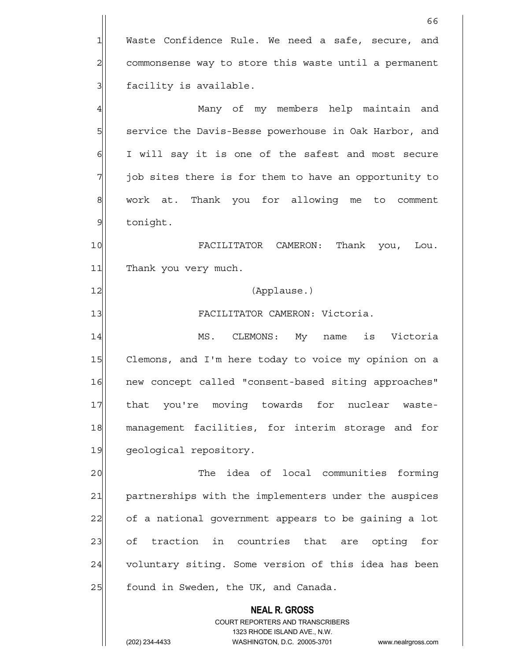**NEAL R. GROSS** COURT REPORTERS AND TRANSCRIBERS 1323 RHODE ISLAND AVE., N.W.  $66$  $1$  Waste Confidence Rule. We need a safe, secure, and 2 commonsense way to store this waste until a permanent 3 | facility is available. 4 Many of my members help maintain and 5 Service the Davis-Besse powerhouse in Oak Harbor, and 6 I will say it is one of the safest and most secure 7 job sites there is for them to have an opportunity to 8 work at. Thank you for allowing me to comment 9 tonight. 10 FACILITATOR CAMERON: Thank you, Lou. 11 Thank you very much. 12 (Applause.) 13 | FACILITATOR CAMERON: Victoria. 14 MS. CLEMONS: My name is Victoria 15 Clemons, and I'm here today to voice my opinion on a 16 new concept called "consent-based siting approaches" 17 | that you're moving towards for nuclear waste-18 management facilities, for interim storage and for 19 geological repository. 20 The idea of local communities forming 21 partnerships with the implementers under the auspices 22 of a national government appears to be gaining a lot 23 of traction in countries that are opting for 24 voluntary siting. Some version of this idea has been 25 | found in Sweden, the UK, and Canada.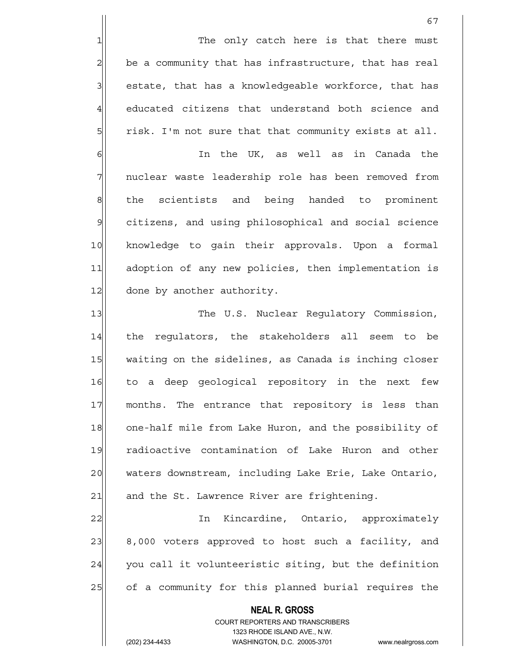1 The only catch here is that there must  $2 \parallel$  be a community that has infrastructure, that has real 3 | estate, that has a knowledgeable workforce, that has 4 educated citizens that understand both science and 5  $\vert$  risk. I'm not sure that that community exists at all.

6 | In the UK, as well as in Canada the 7 | nuclear waste leadership role has been removed from 8 the scientists and being handed to prominent 9 citizens, and using philosophical and social science 10 knowledge to gain their approvals. Upon a formal 11 adoption of any new policies, then implementation is 12 done by another authority.

13 The U.S. Nuclear Regulatory Commission, 14 the regulators, the stakeholders all seem to be 15 waiting on the sidelines, as Canada is inching closer 16 to a deep geological repository in the next few 17 months. The entrance that repository is less than 18 one-half mile from Lake Huron, and the possibility of 19 radioactive contamination of Lake Huron and other 20 waters downstream, including Lake Erie, Lake Ontario,  $21$  and the St. Lawrence River are frightening.

22 | Th Kincardine, Ontario, approximately 23 8,000 voters approved to host such a facility, and  $24$  you call it volunteeristic siting, but the definition 25 of a community for this planned burial requires the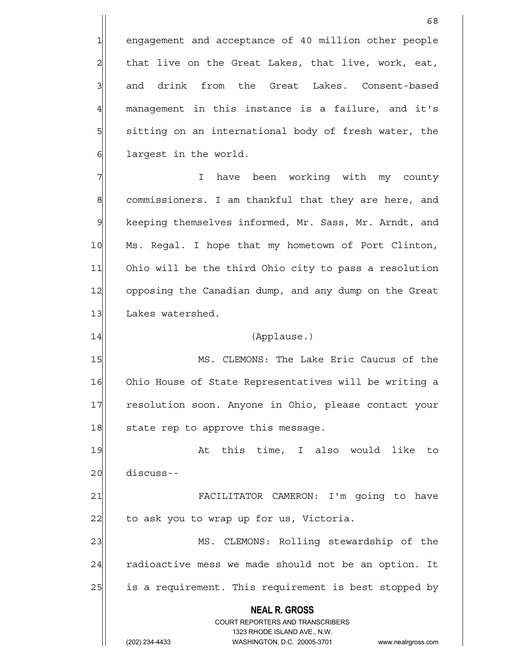1 engagement and acceptance of 40 million other people  $2$  that live on the Great Lakes, that live, work, eat, 3 and drink from the Great Lakes. Consent-based  $4$  management in this instance is a failure, and it's 5 sitting on an international body of fresh water, the 6 6 die 1 argest in the world.

7 I have been working with my county 8 commissioners. I am thankful that they are here, and 9 | keeping themselves informed, Mr. Sass, Mr. Arndt, and 10 Ms. Regal. I hope that my hometown of Port Clinton, 11 Ohio will be the third Ohio city to pass a resolution 12 opposing the Canadian dump, and any dump on the Great 13 Lakes watershed.

### 14 (Applause.)

15 MS. CLEMONS: The Lake Eric Caucus of the 16 Ohio House of State Representatives will be writing a 17 resolution soon. Anyone in Ohio, please contact your  $18$  state rep to approve this message.

19 at this time, I also would like to 20 discuss--

21 | FACILITATOR CAMERON: I'm going to have 22 to ask you to wrap up for us, Victoria.

23 MS. CLEMONS: Rolling stewardship of the  $24$  radioactive mess we made should not be an option. It 25 a requirement. This requirement is best stopped by

> **NEAL R. GROSS** COURT REPORTERS AND TRANSCRIBERS 1323 RHODE ISLAND AVE., N.W.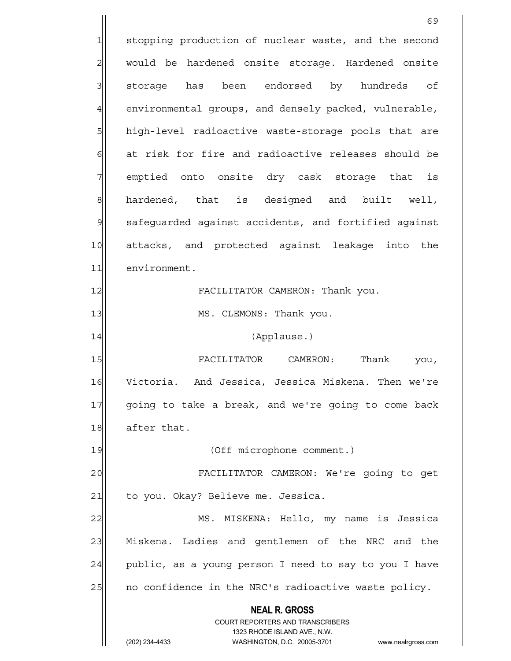**NEAL R. GROSS** COURT REPORTERS AND TRANSCRIBERS 1323 RHODE ISLAND AVE., N.W. (202) 234-4433 WASHINGTON, D.C. 20005-3701 www.nealrgross.com 69 1 stopping production of nuclear waste, and the second 2 | would be hardened onsite storage. Hardened onsite 3 storage has been endorsed by hundreds of 4 environmental groups, and densely packed, vulnerable, 5 high-level radioactive waste-storage pools that are 6 6 6 6 at risk for fire and radioactive releases should be 7 emptied onto onsite dry cask storage that is 8 hardened, that is designed and built well, 9 safequarded against accidents, and fortified against 10 attacks, and protected against leakage into the 11 environment. 12|| FACILITATOR CAMERON: Thank you. 13 | MS. CLEMONS: Thank you. 14 (Applause.) 15 **FACILITATOR** CAMERON: Thank you, 16 Victoria. And Jessica, Jessica Miskena. Then we're 17 going to take a break, and we're going to come back 18 after that. 19 (Off microphone comment.) 20 FACILITATOR CAMERON: We're going to get 21 to you. Okay? Believe me. Jessica. 22 MS. MISKENA: Hello, my name is Jessica 23 Miskena. Ladies and gentlemen of the NRC and the  $24$  public, as a young person I need to say to you I have 25 | no confidence in the NRC's radioactive waste policy.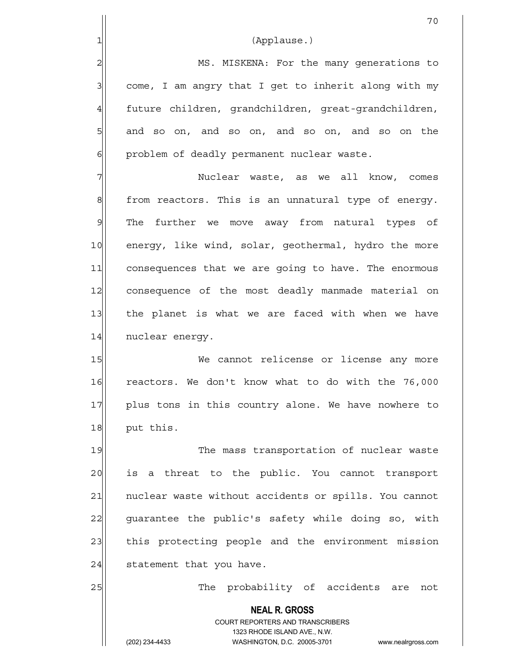$3$  come, I am angry that I get to inherit along with my 4 future children, grandchildren, great-grandchildren,  $5$  and so on, and so on, and so on, and so on the 6 6 problem of deadly permanent nuclear waste.

7 Nuclear waste, as we all know, comes  $8$  from reactors. This is an unnatural type of energy. 9 The further we move away from natural types of 10 energy, like wind, solar, geothermal, hydro the more 11 consequences that we are going to have. The enormous 12 consequence of the most deadly manmade material on 13 | the planet is what we are faced with when we have 14 nuclear energy.

15 We cannot relicense or license any more 16 reactors. We don't know what to do with the 76,000 17 plus tons in this country alone. We have nowhere to 18 put this.

19 The mass transportation of nuclear waste 20 is a threat to the public. You cannot transport 21 | nuclear waste without accidents or spills. You cannot 22 guarantee the public's safety while doing so, with 23 this protecting people and the environment mission  $24$  statement that you have.

25 | The probability of accidents are not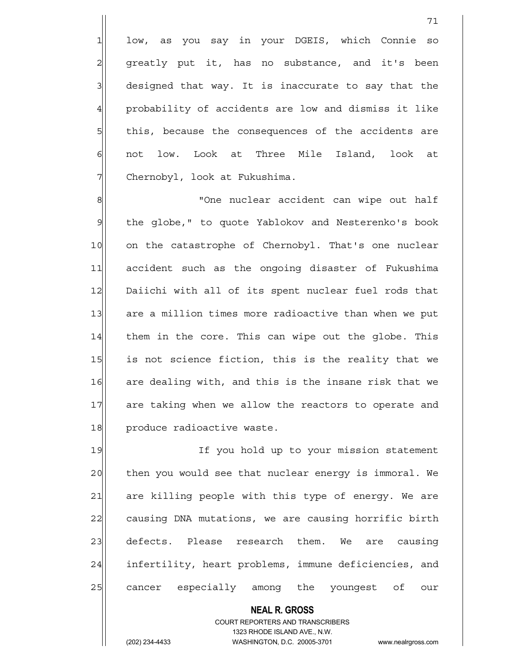1 low, as you say in your DGEIS, which Connie so 2| greatly put it, has no substance, and it's been  $3$  designed that way. It is inaccurate to say that the 4 probability of accidents are low and dismiss it like 5 5 5 5 this, because the consequences of the accidents are 6 | not low. Look at Three Mile Island, look at 7 Chernobyl, look at Fukushima.

8 8 None nuclear accident can wipe out half 9 the globe," to quote Yablokov and Nesterenko's book 10 on the catastrophe of Chernobyl. That's one nuclear 11 accident such as the ongoing disaster of Fukushima 12 Daiichi with all of its spent nuclear fuel rods that 13 are a million times more radioactive than when we put 14 them in the core. This can wipe out the globe. This 15 is not science fiction, this is the reality that we 16 are dealing with, and this is the insane risk that we 17 are taking when we allow the reactors to operate and 18 produce radioactive waste.

19 If you hold up to your mission statement 20 then you would see that nuclear energy is immoral. We 21 are killing people with this type of energy. We are 22 causing DNA mutations, we are causing horrific birth 23 defects. Please research them. We are causing 24 infertility, heart problems, immune deficiencies, and 25 cancer especially among the youngest of our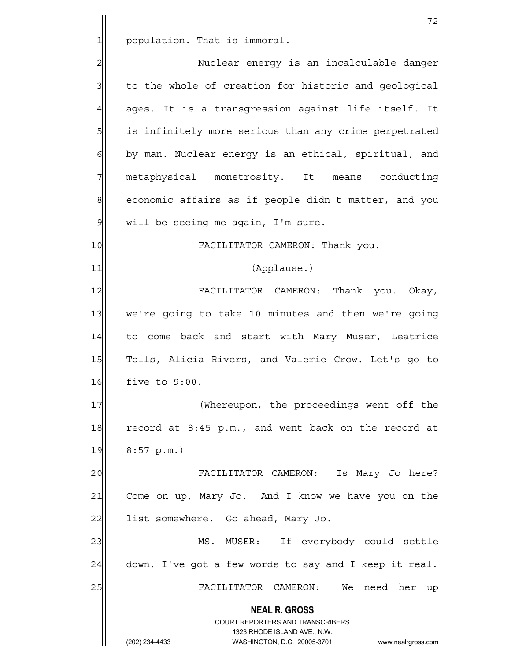1 population. That is immoral.

 **NEAL R. GROSS** COURT REPORTERS AND TRANSCRIBERS 1323 RHODE ISLAND AVE., N.W. 2 Nuclear energy is an incalculable danger 3 to the whole of creation for historic and geological  $4$  ages. It is a transgression against life itself. It 5 is infinitely more serious than any crime perpetrated  $6$  by man. Nuclear energy is an ethical, spiritual, and 7 metaphysical monstrosity. It means conducting 8 economic affairs as if people didn't matter, and you  $9$  will be seeing me again, I'm sure. 10 FACILITATOR CAMERON: Thank you. 11 (Applause.) 12 FACILITATOR CAMERON: Thank you. Okay, 13 we're going to take 10 minutes and then we're going 14 to come back and start with Mary Muser, Leatrice 15 Tolls, Alicia Rivers, and Valerie Crow. Let's go to 16 five to 9:00. 17 (Whereupon, the proceedings went off the 18 record at 8:45 p.m., and went back on the record at  $19$  8:57 p.m.) 20 FACILITATOR CAMERON: Is Mary Jo here? 21 Come on up, Mary Jo. And I know we have you on the 22 | list somewhere. Go ahead, Mary Jo. 23 MS. MUSER: If everybody could settle  $24$  down, I've got a few words to say and I keep it real. 25 FACILITATOR CAMERON: We need her up

(202) 234-4433 WASHINGTON, D.C. 20005-3701 www.nealrgross.com

72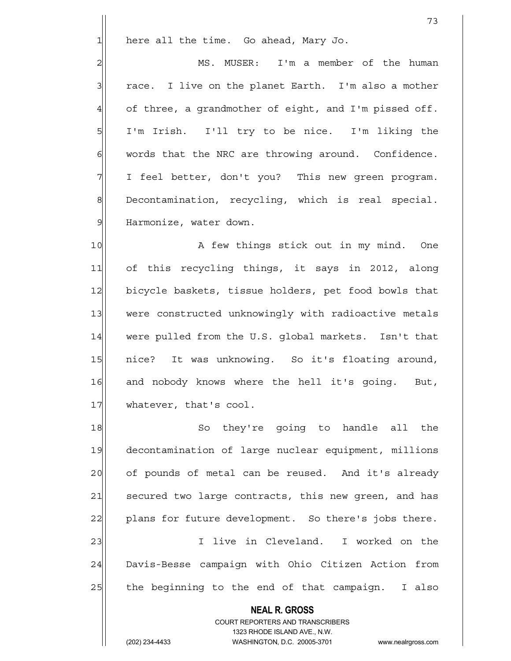$1$  here all the time. Go ahead, Mary Jo.

2 | MS. MUSER: I'm a member of the human  $3$  race. I live on the planet Earth. I'm also a mother  $4$  of three, a grandmother of eight, and I'm pissed off. 5 I'm Irish. I'll try to be nice. I'm liking the  $6$  words that the NRC are throwing around. Confidence. 7 I feel better, don't you? This new green program. 8 Decontamination, recycling, which is real special. 9 Harmonize, water down.

10 A few things stick out in my mind. One 11 of this recycling things, it says in 2012, along 12 bicycle baskets, tissue holders, pet food bowls that 13 were constructed unknowingly with radioactive metals 14 were pulled from the U.S. global markets. Isn't that 15 nice? It was unknowing. So it's floating around, 16 and nobody knows where the hell it's going. But, 17 whatever, that's cool.

 **NEAL R. GROSS** 18 So they're going to handle all the 19 decontamination of large nuclear equipment, millions 20 of pounds of metal can be reused. And it's already 21 secured two large contracts, this new green, and has 22 plans for future development. So there's jobs there. 23 and 1 I live in Cleveland. I worked on the 24 Davis-Besse campaign with Ohio Citizen Action from  $25$  the beginning to the end of that campaign. I also

> COURT REPORTERS AND TRANSCRIBERS 1323 RHODE ISLAND AVE., N.W.

(202) 234-4433 WASHINGTON, D.C. 20005-3701 www.nealrgross.com

73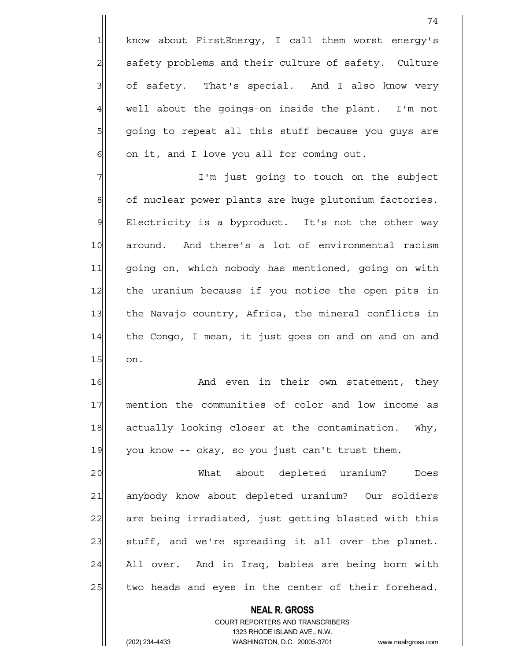1 know about FirstEnergy, I call them worst energy's 2 safety problems and their culture of safety. Culture 3 3 of safety. That's special. And I also know very  $4$  well about the goings-on inside the plant. I'm not 5 5 5 5 5 5 going to repeat all this stuff because you guys are  $6$  on it, and I love you all for coming out.

74

7 I'm just going to touch on the subject 8 of nuclear power plants are huge plutonium factories. 9 Electricity is a byproduct. It's not the other way 10 around. And there's a lot of environmental racism 11 going on, which nobody has mentioned, going on with 12 the uranium because if you notice the open pits in 13 the Navajo country, Africa, the mineral conflicts in  $14$  the Congo, I mean, it just goes on and on and on and 15 on.

16 and even in their own statement, they 17 | mention the communities of color and low income as 18 actually looking closer at the contamination. Why, 19 you know -- okay, so you just can't trust them.

20 | What about depleted uranium? Does 21 anybody know about depleted uranium? Our soldiers 22 are being irradiated, just getting blasted with this 23 stuff, and we're spreading it all over the planet. 24 All over. And in Iraq, babies are being born with 25 two heads and eyes in the center of their forehead.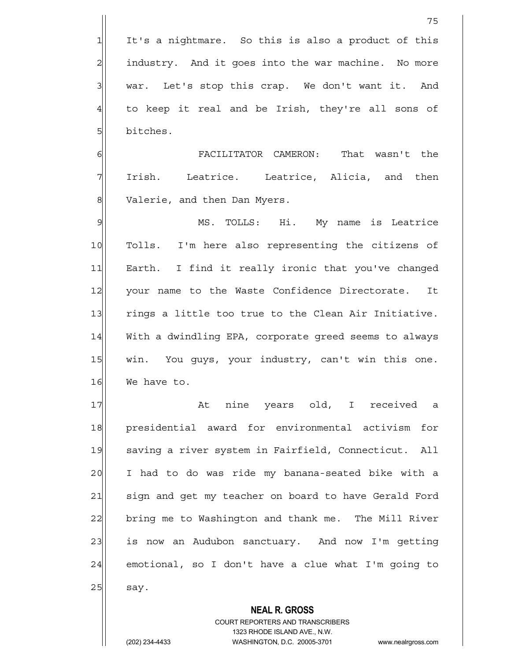$1$  It's a nightmare. So this is also a product of this  $2$  industry. And it goes into the war machine. No more 3 war. Let's stop this crap. We don't want it. And  $4$  to keep it real and be Irish, they're all sons of 5 bitches.

6 FACILITATOR CAMERON: That wasn't the 7 Irish. Leatrice. Leatrice, Alicia, and then 8 Valerie, and then Dan Myers.

9 MS. TOLLS: Hi. My name is Leatrice 10 Tolls. I'm here also representing the citizens of 11 Earth. I find it really ironic that you've changed 12 your name to the Waste Confidence Directorate. It 13 rings a little too true to the Clean Air Initiative. 14 With a dwindling EPA, corporate greed seems to always 15 | win. You guys, your industry, can't win this one. 16 We have to.

17 | At nine years old, I received a 18 presidential award for environmental activism for 19 saving a river system in Fairfield, Connecticut. All 20 I had to do was ride my banana-seated bike with a 21 sign and get my teacher on board to have Gerald Ford 22 bring me to Washington and thank me. The Mill River 23 is now an Audubon sanctuary. And now I'm getting  $24$  emotional, so I don't have a clue what I'm going to  $25$  say.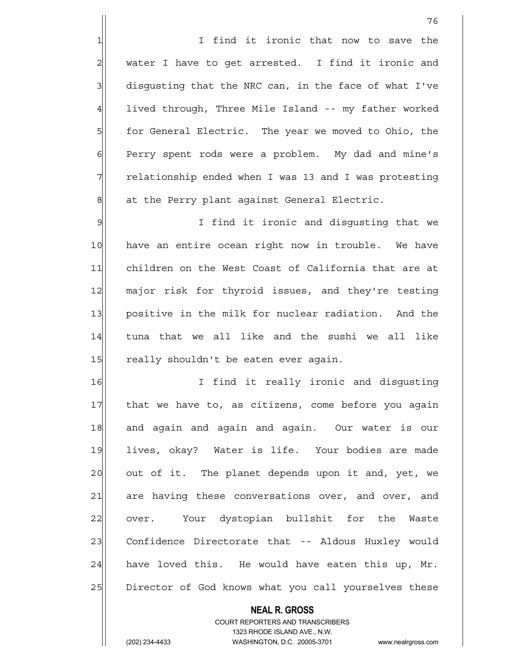1 1 I find it ironic that now to save the  $2$  water I have to get arrested. I find it ironic and  $3$  disqusting that the NRC can, in the face of what I've 4 lived through, Three Mile Island -- my father worked 5 for General Electric. The year we moved to Ohio, the 6 Perry spent rods were a problem. My dad and mine's 7 The relationship ended when I was 13 and I was protesting 8 8 at the Perry plant against General Electric.

9 9 I find it ironic and disqusting that we 10 have an entire ocean right now in trouble. We have 11 children on the West Coast of California that are at 12 major risk for thyroid issues, and they're testing 13 positive in the milk for nuclear radiation. And the 14 tuna that we all like and the sushi we all like 15 really shouldn't be eaten ever again.

16 I find it really ironic and disqusting 17 that we have to, as citizens, come before you again 18 and again and again and again. Our water is our 19 lives, okay? Water is life. Your bodies are made 20 out of it. The planet depends upon it and, yet, we 21 are having these conversations over, and over, and 22 over. Your dystopian bullshit for the Waste 23 Confidence Directorate that -- Aldous Huxley would  $24$  have loved this. He would have eaten this up, Mr. 25 Director of God knows what you call yourselves these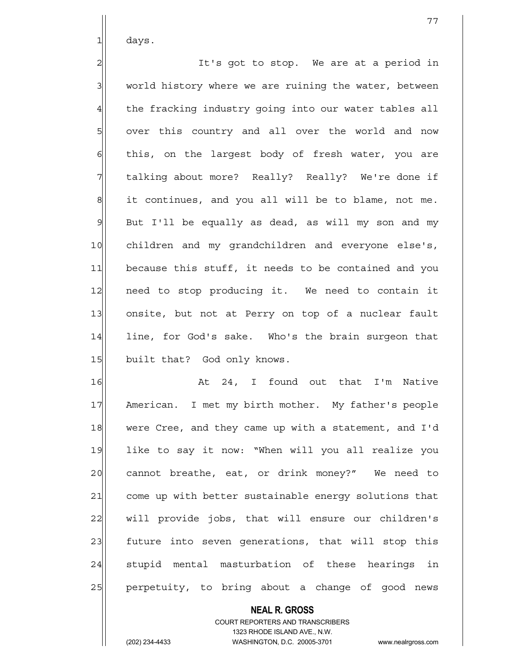$1$  days.

2 all interest in the stop. We are at a period in  $3$  world history where we are ruining the water, between 4 the fracking industry going into our water tables all 5 over this country and all over the world and now  $6$  this, on the largest body of fresh water, you are 7 The talking about more? Really? Really? We're done if  $8$  it continues, and you all will be to blame, not me.  $9$  But I'll be equally as dead, as will my son and my 10 children and my grandchildren and everyone else's, 11 because this stuff, it needs to be contained and you 12 need to stop producing it. We need to contain it 13 onsite, but not at Perry on top of a nuclear fault 14 line, for God's sake. Who's the brain surgeon that 15 built that? God only knows.

16 At 24, I found out that I'm Native 17 American. I met my birth mother. My father's people 18 were Cree, and they came up with a statement, and I'd 19 like to say it now: "When will you all realize you 20 cannot breathe, eat, or drink money?" We need to 21 come up with better sustainable energy solutions that 22 will provide jobs, that will ensure our children's 23 future into seven generations, that will stop this  $24$  stupid mental masturbation of these hearings in 25 perpetuity, to bring about a change of good news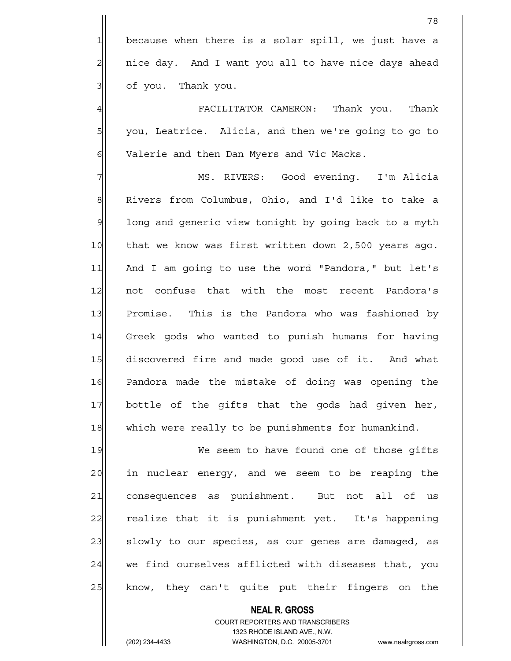4 FACILITATOR CAMERON: Thank you. Thank 5 | you, Leatrice. Alicia, and then we're going to go to 6 Valerie and then Dan Myers and Vic Macks.

7 MS. RIVERS: Good evening. I'm Alicia 8 Rivers from Columbus, Ohio, and I'd like to take a 9 1 long and generic view tonight by going back to a myth 10 that we know was first written down 2,500 years ago. 11 And I am going to use the word "Pandora," but let's 12 not confuse that with the most recent Pandora's 13 Promise. This is the Pandora who was fashioned by 14 Greek gods who wanted to punish humans for having 15 discovered fire and made good use of it. And what 16 Pandora made the mistake of doing was opening the 17 bottle of the gifts that the gods had given her, 18 which were really to be punishments for humankind.

19 We seem to have found one of those gifts 20 in nuclear energy, and we seem to be reaping the 21 consequences as punishment. But not all of us 22 realize that it is punishment yet. It's happening 23 | slowly to our species, as our genes are damaged, as  $24$  we find ourselves afflicted with diseases that, you 25 know, they can't quite put their fingers on the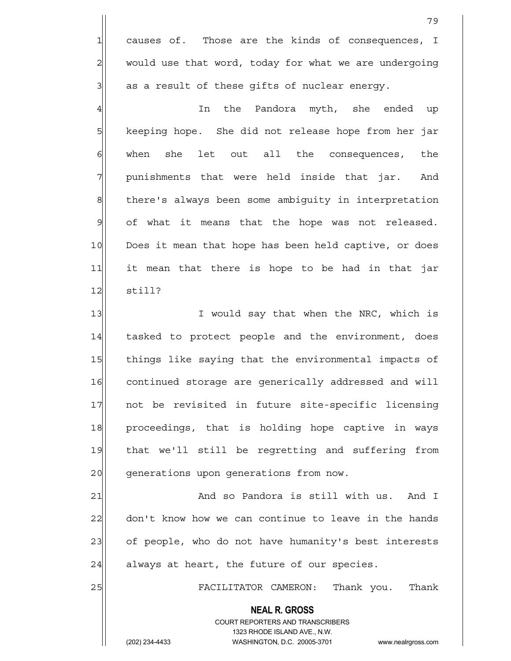1 causes of. Those are the kinds of consequences, I 2 would use that word, today for what we are undergoing  $3$  as a result of these gifts of nuclear energy.

4 In the Pandora myth, she ended up 5 | keeping hope. She did not release hope from her jar 6 6 when she let out all the consequences, the  $7$  punishments that were held inside that jar. And 8 there's always been some ambiquity in interpretation  $9$  of what it means that the hope was not released. 10 Does it mean that hope has been held captive, or does 11 it mean that there is hope to be had in that jar  $12$  still?

13 I would say that when the NRC, which is 14 tasked to protect people and the environment, does 15 things like saying that the environmental impacts of 16 continued storage are generically addressed and will 17 not be revisited in future site-specific licensing 18 proceedings, that is holding hope captive in ways 19 that we'll still be regretting and suffering from 20 generations upon generations from now.

21 and so Pandora is still with us. And I 22 don't know how we can continue to leave in the hands 23| of people, who do not have humanity's best interests  $24$  always at heart, the future of our species.

25 FACILITATOR CAMERON: Thank you. Thank

 **NEAL R. GROSS** COURT REPORTERS AND TRANSCRIBERS 1323 RHODE ISLAND AVE., N.W.

(202) 234-4433 WASHINGTON, D.C. 20005-3701 www.nealrgross.com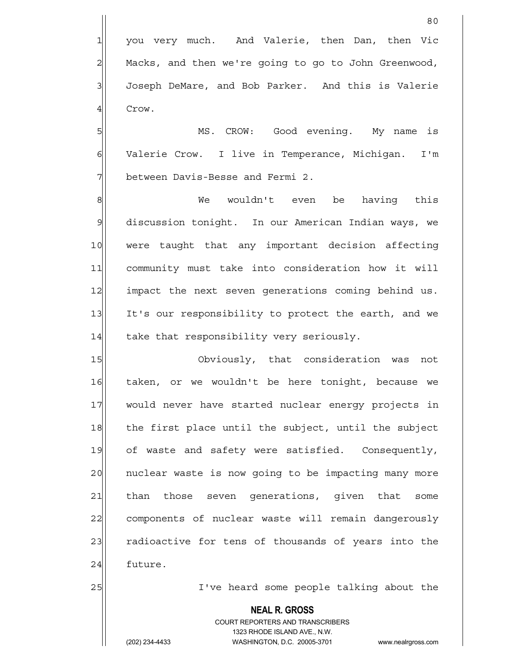80

4 Crow.

5 | MS. CROW: Good evening. My name is 6 Valerie Crow. I live in Temperance, Michigan. I'm 7 between Davis-Besse and Fermi 2.

8 Me wouldn't even be having this 9 discussion tonight. In our American Indian ways, we 10 were taught that any important decision affecting 11 community must take into consideration how it will 12 impact the next seven generations coming behind us. 13 It's our responsibility to protect the earth, and we  $14$  take that responsibility very seriously.

15 Obviously, that consideration was not 16 taken, or we wouldn't be here tonight, because we 17 would never have started nuclear energy projects in 18 the first place until the subject, until the subject 19 of waste and safety were satisfied. Consequently, 20 | nuclear waste is now going to be impacting many more 21 than those seven generations, given that some 22 components of nuclear waste will remain dangerously 23 radioactive for tens of thousands of years into the 24 future.

25 | I've heard some people talking about the

## **NEAL R. GROSS**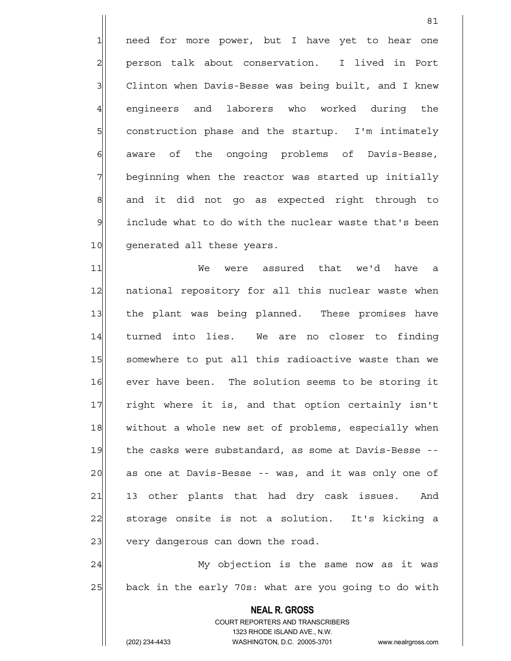1 need for more power, but I have yet to hear one 2 person talk about conservation. I lived in Port 3| Clinton when Davis-Besse was being built, and I knew 4 engineers and laborers who worked during the 5 5 5 5 construction phase and the startup. I'm intimately 6 6 6 6 aware of the ongoing problems of Davis-Besse, 7 beginning when the reactor was started up initially 8 and it did not go as expected right through to  $9$  include what to do with the nuclear waste that's been 10 generated all these years.

81

11 We were assured that we'd have a 12 | national repository for all this nuclear waste when 13 the plant was being planned. These promises have 14 turned into lies. We are no closer to finding 15 Somewhere to put all this radioactive waste than we 16 ever have been. The solution seems to be storing it 17 right where it is, and that option certainly isn't 18 without a whole new set of problems, especially when 19 the casks were substandard, as some at Davis-Besse -- 20 as one at Davis-Besse -- was, and it was only one of 21 13 other plants that had dry cask issues. And 22 storage onsite is not a solution. It's kicking a 23 very dangerous can down the road.

24 My objection is the same now as it was  $25$  back in the early 70s: what are you going to do with

> **NEAL R. GROSS** COURT REPORTERS AND TRANSCRIBERS 1323 RHODE ISLAND AVE., N.W.

(202) 234-4433 WASHINGTON, D.C. 20005-3701 www.nealrgross.com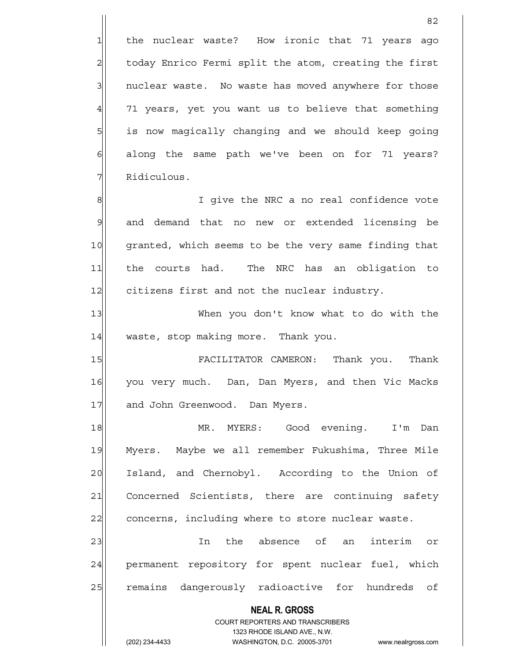2 today Enrico Fermi split the atom, creating the first 3 3 1 nuclear waste. No waste has moved anywhere for those  $4$  71 years, yet you want us to believe that something 5 5 is now magically changing and we should keep going 6 6 6 6 along the same path we've been on for 71 years? 7 Ridiculous.

<u>82</u>

8 8 8 I give the NRC a no real confidence vote 9 and demand that no new or extended licensing be 10 granted, which seems to be the very same finding that 11 the courts had. The NRC has an obligation to 12 citizens first and not the nuclear industry.

13 When you don't know what to do with the 14 waste, stop making more. Thank you.

15 FACILITATOR CAMERON: Thank you. Thank 16 you very much. Dan, Dan Myers, and then Vic Macks 17 and John Greenwood. Dan Myers.

18 MR. MYERS: Good evening. I'm Dan 19 Myers. Maybe we all remember Fukushima, Three Mile 20 Island, and Chernobyl. According to the Union of 21 Concerned Scientists, there are continuing safety 22 concerns, including where to store nuclear waste.

23 and the absence of an interim or 24 permanent repository for spent nuclear fuel, which 25 remains dangerously radioactive for hundreds of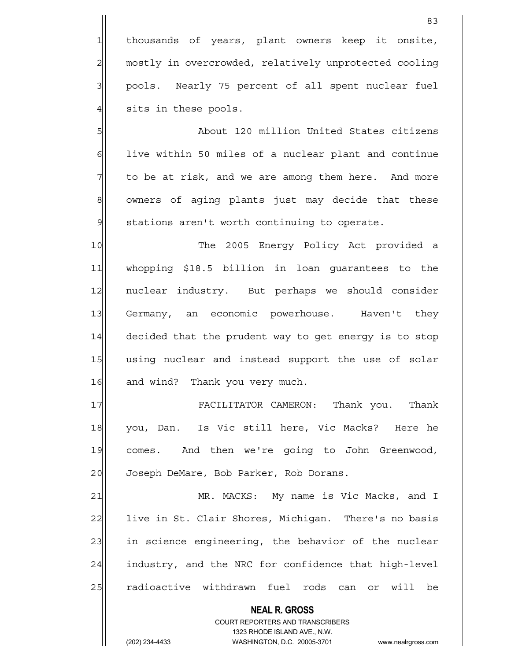1 thousands of years, plant owners keep it onsite, 2 mostly in overcrowded, relatively unprotected cooling 3 | pools. Nearly 75 percent of all spent nuclear fuel  $4$  sits in these pools.

5 | Sout 120 million United States citizens  $6$  live within 50 miles of a nuclear plant and continue  $7$  to be at risk, and we are among them here. And more 8 owners of aging plants just may decide that these 9 | stations aren't worth continuing to operate.

10 The 2005 Energy Policy Act provided a 11 whopping \$18.5 billion in loan guarantees to the 12 nuclear industry. But perhaps we should consider 13 Germany, an economic powerhouse. Haven't they 14 decided that the prudent way to get energy is to stop 15 using nuclear and instead support the use of solar 16 and wind? Thank you very much.

17 FACILITATOR CAMERON: Thank you. Thank 18 you, Dan. Is Vic still here, Vic Macks? Here he 19 comes. And then we're going to John Greenwood, 20 Joseph DeMare, Bob Parker, Rob Dorans.

21 MR. MACKS: My name is Vic Macks, and I 22 live in St. Clair Shores, Michigan. There's no basis 23 in science engineering, the behavior of the nuclear 24 industry, and the NRC for confidence that high-level 25 radioactive withdrawn fuel rods can or will be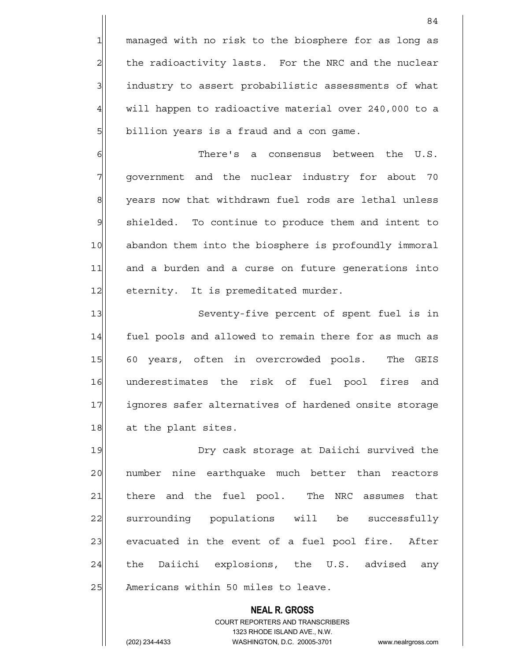1 managed with no risk to the biosphere for as long as 2 the radioactivity lasts. For the NRC and the nuclear 3 3 industry to assert probabilistic assessments of what 4 will happen to radioactive material over 240,000 to a 5| billion years is a fraud and a con game.

6 There's a consensus between the U.S. 7 government and the nuclear industry for about 70 8 years now that withdrawn fuel rods are lethal unless 9 shielded. To continue to produce them and intent to 10 abandon them into the biosphere is profoundly immoral 11 and a burden and a curse on future generations into 12 eternity. It is premeditated murder.

13 Seventy-five percent of spent fuel is in 14 fuel pools and allowed to remain there for as much as 15 60 years, often in overcrowded pools. The GEIS 16 underestimates the risk of fuel pool fires and 17 ignores safer alternatives of hardened onsite storage 18 at the plant sites.

19 **Dry cask storage at Daiichi survived the** 20 | number nine earthquake much better than reactors 21 there and the fuel pool. The NRC assumes that 22 surrounding populations will be successfully 23 evacuated in the event of a fuel pool fire. After 24 the Daiichi explosions, the U.S. advised any 25 | Americans within 50 miles to leave.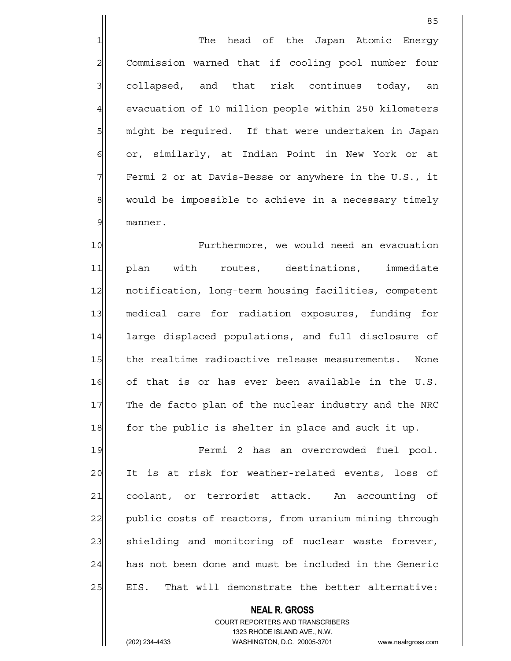1 The head of the Japan Atomic Energy 2 Commission warned that if cooling pool number four 3 collapsed, and that risk continues today, an 4 evacuation of 10 million people within 250 kilometers 5 | might be required. If that were undertaken in Japan 6 or, similarly, at Indian Point in New York or at  $7$  Fermi 2 or at Davis-Besse or anywhere in the U.S., it 8 would be impossible to achieve in a necessary timely 9 manner.

10 Furthermore, we would need an evacuation 11 plan with routes, destinations, immediate 12 | notification, long-term housing facilities, competent 13 medical care for radiation exposures, funding for 14 large displaced populations, and full disclosure of 15 the realtime radioactive release measurements. None 16 of that is or has ever been available in the U.S. 17 The de facto plan of the nuclear industry and the NRC 18 for the public is shelter in place and suck it up.

19 Fermi 2 has an overcrowded fuel pool. 20 It is at risk for weather-related events, loss of 21 coolant, or terrorist attack. An accounting of 22 public costs of reactors, from uranium mining through 23 Shielding and monitoring of nuclear waste forever, 24 has not been done and must be included in the Generic 25 EIS. That will demonstrate the better alternative: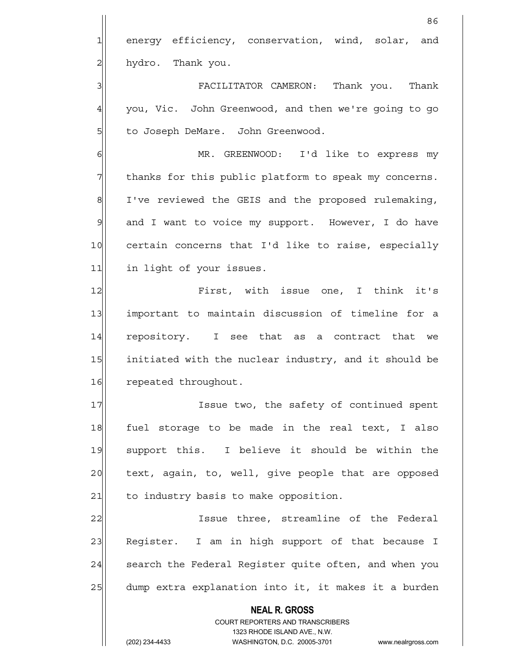<u>86 and 2001 and 2002 and 2003 and 2003 and 2003 and 2003 and 2003 and 2003 and 2003 and 2003 and 2003 and 200</u> 1 energy efficiency, conservation, wind, solar, and 2 hydro. Thank you. 3 FACILITATOR CAMERON: Thank you. Thank 4 you, Vic. John Greenwood, and then we're going to go 5 to Joseph DeMare. John Greenwood. 6 MR. GREENWOOD: I'd like to express my

7 The thanks for this public platform to speak my concerns. 8 I've reviewed the GEIS and the proposed rulemaking, 9 and I want to voice my support. However, I do have 10 certain concerns that I'd like to raise, especially 11 in light of your issues.

12 First, with issue one, I think it's 13 important to maintain discussion of timeline for a 14 repository. I see that as a contract that we 15 initiated with the nuclear industry, and it should be 16 repeated throughout.

17 Issue two, the safety of continued spent 18 fuel storage to be made in the real text, I also 19 support this. I believe it should be within the 20 text, again, to, well, give people that are opposed  $21$  to industry basis to make opposition.

22 | Issue three, streamline of the Federal 23 Register. I am in high support of that because I 24 Search the Federal Register quite often, and when you 25 dump extra explanation into it, it makes it a burden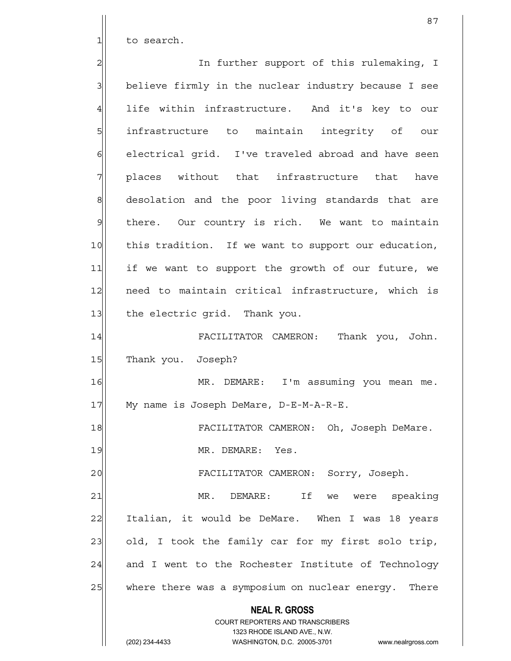1 to search.

 **NEAL R. GROSS** COURT REPORTERS AND TRANSCRIBERS 1323 RHODE ISLAND AVE., N.W. (202) 234-4433 WASHINGTON, D.C. 20005-3701 www.nealrgross.com 2 2 In further support of this rulemaking, I 3 believe firmly in the nuclear industry because I see  $4$  life within infrastructure. And it's key to our 5| infrastructure to maintain integrity of our 6 6 6 electrical grid. I've traveled abroad and have seen 7 places without that infrastructure that have 8 desolation and the poor living standards that are 9 there. Our country is rich. We want to maintain 10 this tradition. If we want to support our education, 11 if we want to support the growth of our future, we 12 need to maintain critical infrastructure, which is 13 the electric grid. Thank you. 14 FACILITATOR CAMERON: Thank you, John. 15 Thank you. Joseph? 16 MR. DEMARE: I'm assuming you mean me. 17 | My name is Joseph DeMare, D-E-M-A-R-E. 18 | FACILITATOR CAMERON: Oh, Joseph DeMare. 19 MR. DEMARE: Yes. 20 | FACILITATOR CAMERON: Sorry, Joseph. 21 MR. DEMARE: If we were speaking 22 Italian, it would be DeMare. When I was 18 years 23 old, I took the family car for my first solo trip, 24 and I went to the Rochester Institute of Technology 25 where there was a symposium on nuclear energy. There

87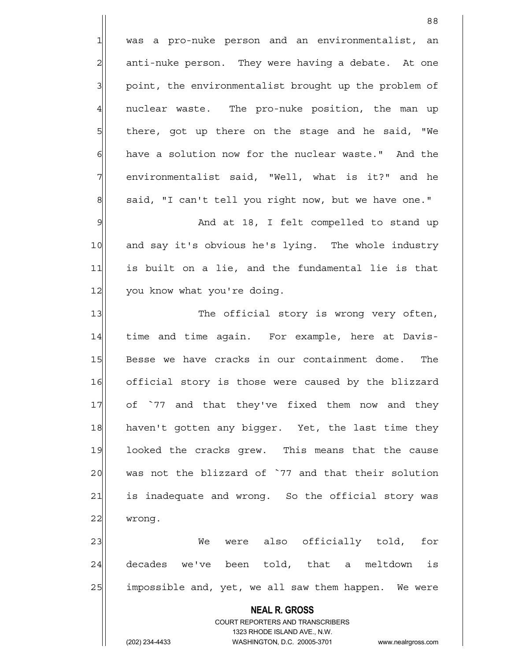88 1 was a pro-nuke person and an environmentalist, an 2 anti-nuke person. They were having a debate. At one 3 | point, the environmentalist brought up the problem of 4 | nuclear waste. The pro-nuke position, the man up 5 5 5 5 there, got up there on the stage and he said, "We 6 6 have a solution now for the nuclear waste." And the  $7$  environmentalist said, "Well, what is it?" and he 8 said, "I can't tell you right now, but we have one." 9 9 And at 18, I felt compelled to stand up 10 and say it's obvious he's lying. The whole industry 11 is built on a lie, and the fundamental lie is that 12 you know what you're doing. 13 The official story is wrong very often, 14 | time and time again. For example, here at Davis-15 Besse we have cracks in our containment dome. The 16 official story is those were caused by the blizzard 17 of `77 and that they've fixed them now and they

23 We were also officially told, for 24 decades we've been told, that a meltdown is 25 | impossible and, yet, we all saw them happen. We were

18 haven't gotten any bigger. Yet, the last time they

19 looked the cracks grew. This means that the cause

20 was not the blizzard of `77 and that their solution

21 is inadequate and wrong. So the official story was

 **NEAL R. GROSS** COURT REPORTERS AND TRANSCRIBERS 1323 RHODE ISLAND AVE., N.W. (202) 234-4433 WASHINGTON, D.C. 20005-3701 www.nealrgross.com

22 wrong.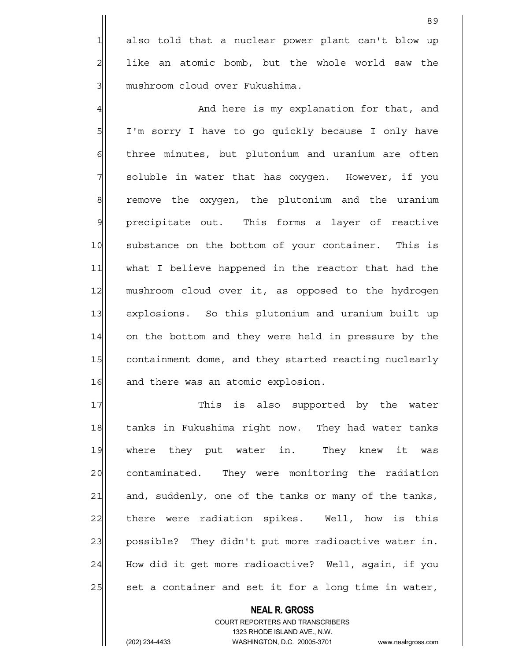1 also told that a nuclear power plant can't blow up 2 like an atomic bomb, but the whole world saw the 3 mushroom cloud over Fukushima.

4 And here is my explanation for that, and 5 I'm sorry I have to go quickly because I only have 6 6 femmer of three minutes, but plutonium and uranium are often  $7$  soluble in water that has oxygen. However, if you 8 8 remove the oxygen, the plutonium and the uranium 9 precipitate out. This forms a layer of reactive 10 substance on the bottom of your container. This is 11 what I believe happened in the reactor that had the 12 mushroom cloud over it, as opposed to the hydrogen 13 explosions. So this plutonium and uranium built up 14 on the bottom and they were held in pressure by the 15 containment dome, and they started reacting nuclearly 16 and there was an atomic explosion.

17 This is also supported by the water 18 tanks in Fukushima right now. They had water tanks 19 where they put water in. They knew it was 20 contaminated. They were monitoring the radiation 21 and, suddenly, one of the tanks or many of the tanks, 22 there were radiation spikes. Well, how is this 23 possible? They didn't put more radioactive water in. 24 How did it get more radioactive? Well, again, if you 25 set a container and set it for a long time in water,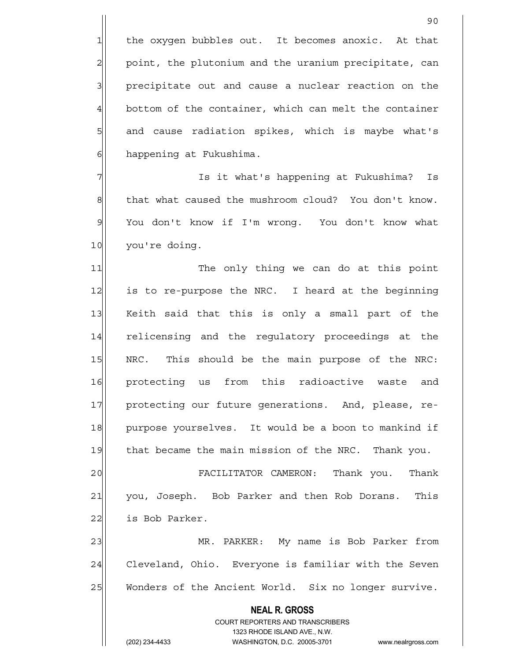1 the oxygen bubbles out. It becomes anoxic. At that 2 point, the plutonium and the uranium precipitate, can 3| precipitate out and cause a nuclear reaction on the  $4$  bottom of the container, which can melt the container 5 5 5 5 and cause radiation spikes, which is maybe what's 6 6 happening at Fukushima.

7 7 Is it what's happening at Fukushima? Is 8 8 shat what caused the mushroom cloud? You don't know. 9 You don't know if I'm wrong. You don't know what 10 you're doing.

11 The only thing we can do at this point 12 is to re-purpose the NRC. I heard at the beginning 13 Keith said that this is only a small part of the 14 relicensing and the regulatory proceedings at the 15 | NRC. This should be the main purpose of the NRC: 16 protecting us from this radioactive waste and 17 | protecting our future generations. And, please, re-18 purpose yourselves. It would be a boon to mankind if 19 that became the main mission of the NRC. Thank you.

20 FACILITATOR CAMERON: Thank you. Thank 21 you, Joseph. Bob Parker and then Rob Dorans. This 22 is Bob Parker.

23 MR. PARKER: My name is Bob Parker from 24 Cleveland, Ohio. Everyone is familiar with the Seven 25 Wonders of the Ancient World. Six no longer survive.

> COURT REPORTERS AND TRANSCRIBERS 1323 RHODE ISLAND AVE., N.W. (202) 234-4433 WASHINGTON, D.C. 20005-3701 www.nealrgross.com

 **NEAL R. GROSS**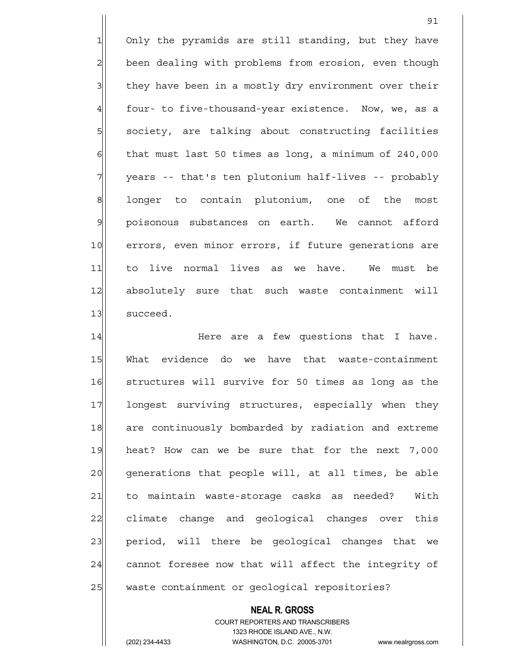1 Only the pyramids are still standing, but they have 2 been dealing with problems from erosion, even though 3 they have been in a mostly dry environment over their 4 four- to five-thousand-year existence. Now, we, as a 5 | society, are talking about constructing facilities  $6$  that must last 50 times as long, a minimum of 240,000 7 | years -- that's ten plutonium half-lives -- probably 8 longer to contain plutonium, one of the most 9 poisonous substances on earth. We cannot afford 10 errors, even minor errors, if future generations are 11 to live normal lives as we have. We must be 12 absolutely sure that such waste containment will 13 succeed.

14 Here are a few questions that I have. 15 What evidence do we have that waste-containment 16 structures will survive for 50 times as long as the 17 longest surviving structures, especially when they 18 are continuously bombarded by radiation and extreme 19 heat? How can we be sure that for the next 7,000 20 qenerations that people will, at all times, be able 21 to maintain waste-storage casks as needed? With 22 climate change and geological changes over this 23 period, will there be geological changes that we 24 cannot foresee now that will affect the integrity of 25 waste containment or geological repositories?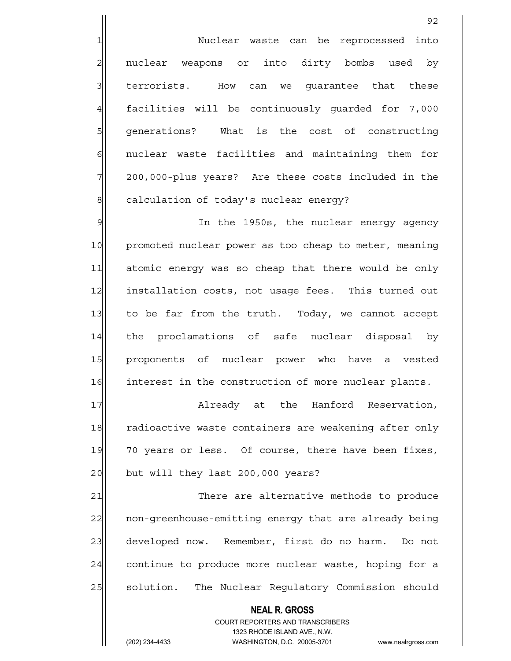1 1 Nuclear waste can be reprocessed into  $2$  nuclear weapons or into dirty bombs used by 3<sup>|</sup> terrorists. How can we quarantee that these 4 facilities will be continuously quarded for 7,000 5 5 5 5 5 senerations? What is the cost of constructing 6 6 6 nuclear waste facilities and maintaining them for 7 200,000-plus years? Are these costs included in the 8 calculation of today's nuclear energy?

9 9 In the 1950s, the nuclear energy agency 10 promoted nuclear power as too cheap to meter, meaning 11 atomic energy was so cheap that there would be only 12 installation costs, not usage fees. This turned out 13 to be far from the truth. Today, we cannot accept 14 the proclamations of safe nuclear disposal by 15 proponents of nuclear power who have a vested 16 interest in the construction of more nuclear plants.

17 Already at the Hanford Reservation, 18 radioactive waste containers are weakening after only 19 70 years or less. Of course, there have been fixes, 20 but will they last 200,000 years?

21 There are alternative methods to produce 22 | non-greenhouse-emitting energy that are already being 23 developed now. Remember, first do no harm. Do not 24 continue to produce more nuclear waste, hoping for a 25 | solution. The Nuclear Regulatory Commission should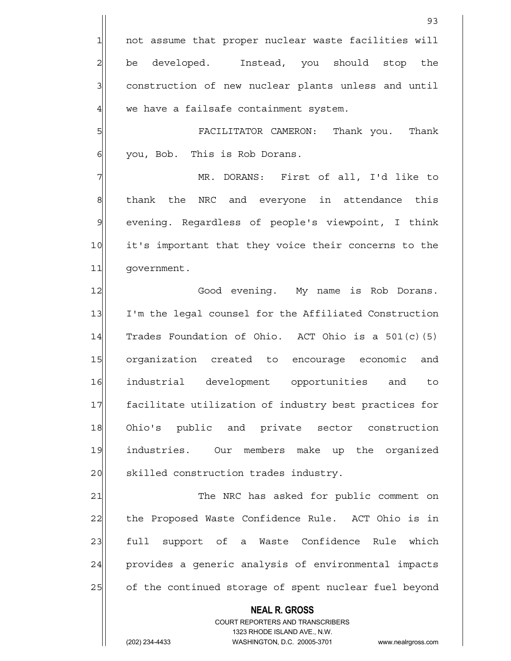1 not assume that proper nuclear waste facilities will 2 be developed. Instead, you should stop the 3 3 3 construction of new nuclear plants unless and until  $4$  we have a failsafe containment system.

5 FACILITATOR CAMERON: Thank you. Thank 6 | you, Bob. This is Rob Dorans.

7 MR. DORANS: First of all, I'd like to 8 | thank the NRC and everyone in attendance this 9 evening. Regardless of people's viewpoint, I think 10 it's important that they voice their concerns to the 11 government.

12 Good evening. My name is Rob Dorans. 13 I'm the legal counsel for the Affiliated Construction 14  $\vert$  Trades Foundation of Ohio. ACT Ohio is a 501(c)(5) 15 organization created to encourage economic and 16 industrial development opportunities and to 17 facilitate utilization of industry best practices for 18 Ohio's public and private sector construction 19 industries. Our members make up the organized 20 || skilled construction trades industry.

21 The NRC has asked for public comment on 22 the Proposed Waste Confidence Rule. ACT Ohio is in 23 full support of a Waste Confidence Rule which 24 provides a generic analysis of environmental impacts 25 of the continued storage of spent nuclear fuel beyond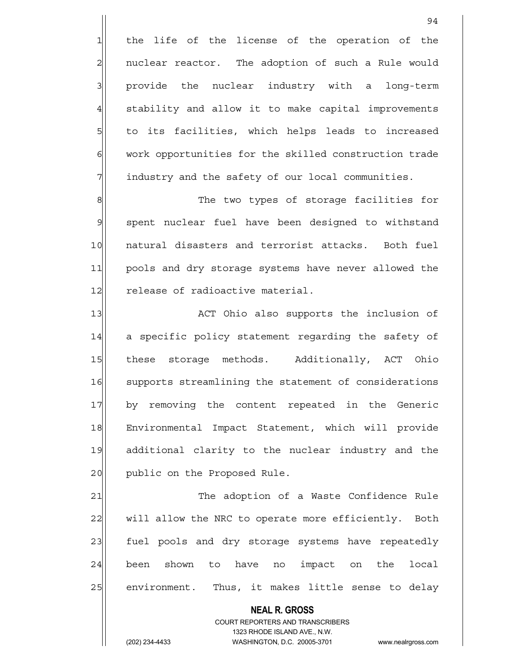$1$  the life of the license of the operation of the 2 | nuclear reactor. The adoption of such a Rule would 3 3 provide the nuclear industry with a long-term 4 stability and allow it to make capital improvements 5 5 5 to its facilities, which helps leads to increased 6 6 work opportunities for the skilled construction trade  $7$  industry and the safety of our local communities.

94

8 8 Reference of storage facilities for 9 spent nuclear fuel have been designed to withstand 10 natural disasters and terrorist attacks. Both fuel 11 pools and dry storage systems have never allowed the 12 release of radioactive material.

13 ACT Ohio also supports the inclusion of 14 a specific policy statement regarding the safety of 15 these storage methods. Additionally, ACT Ohio 16 supports streamlining the statement of considerations 17 by removing the content repeated in the Generic 18 Environmental Impact Statement, which will provide 19 additional clarity to the nuclear industry and the 20 | public on the Proposed Rule.

21 The adoption of a Waste Confidence Rule 22 will allow the NRC to operate more efficiently. Both 23 fuel pools and dry storage systems have repeatedly  $24$  been shown to have no impact on the local 25 environment. Thus, it makes little sense to delay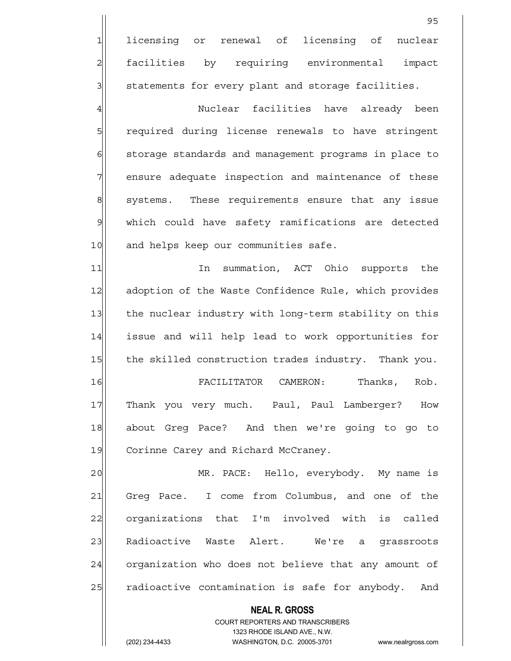<u>95 and 2001 and 2001 and 2001 and 2001 and 2001 and 2001 and 2001 and 2001 and 2001 and 2001 and 2001 and 200</u> 1 licensing or renewal of licensing of nuclear 2 facilities by requiring environmental impact  $3$  statements for every plant and storage facilities. 4 Auclear facilities have already been 5 5 5 5 5 required during license renewals to have stringent 6 6 storage standards and management programs in place to 7 | ensure adequate inspection and maintenance of these 8 systems. These requirements ensure that any issue 9 which could have safety ramifications are detected 10 and helps keep our communities safe. 11 11 In summation, ACT Ohio supports the 12 adoption of the Waste Confidence Rule, which provides 13 the nuclear industry with long-term stability on this 14 issue and will help lead to work opportunities for 15 the skilled construction trades industry. Thank you. 16 FACILITATOR CAMERON: Thanks, Rob. 17 Thank you very much. Paul, Paul Lamberger? How 18 about Greg Pace? And then we're going to go to 19 Corinne Carey and Richard McCraney. 20 MR. PACE: Hello, everybody. My name is 21 Greg Pace. I come from Columbus, and one of the 22 | organizations that I'm involved with is called

> **NEAL R. GROSS** COURT REPORTERS AND TRANSCRIBERS 1323 RHODE ISLAND AVE., N.W. (202) 234-4433 WASHINGTON, D.C. 20005-3701 www.nealrgross.com

23 Radioactive Waste Alert. We're a grassroots

24 organization who does not believe that any amount of

25 radioactive contamination is safe for anybody. And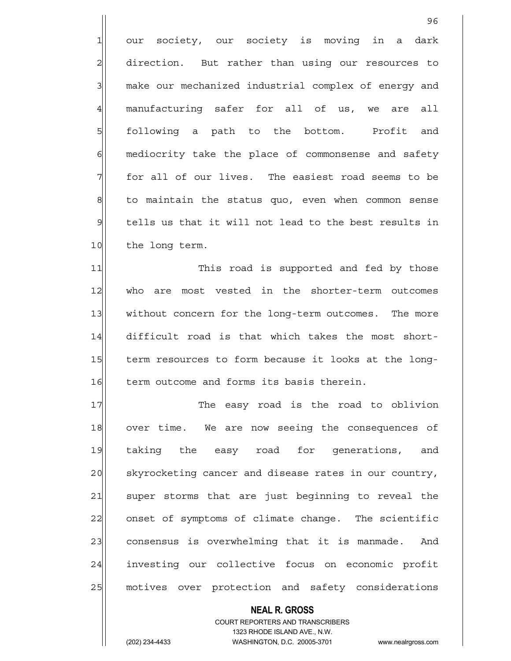1 our society, our society is moving in a dark 2 direction. But rather than using our resources to 3 make our mechanized industrial complex of energy and 4 manufacturing safer for all of us, we are all 5 | following a path to the bottom. Profit and 6 6 6 mediocrity take the place of commonsense and safety  $7$  for all of our lives. The easiest road seems to be 8 to maintain the status quo, even when common sense  $9$  tells us that it will not lead to the best results in 10 the long term.

<u>96 and 2001 and 2001 and 2001 and 2001 and 2001 and 2001 and 2001 and 2001 and 2001 and 2001 and 2001 and 200</u>

11 This road is supported and fed by those 12 who are most vested in the shorter-term outcomes 13 without concern for the long-term outcomes. The more 14 difficult road is that which takes the most short-15 term resources to form because it looks at the long-16 | term outcome and forms its basis therein.

17 The easy road is the road to oblivion 18 over time. We are now seeing the consequences of 19 taking the easy road for generations, and 20 skyrocketing cancer and disease rates in our country, 21 super storms that are just beginning to reveal the 22 onset of symptoms of climate change. The scientific 23 consensus is overwhelming that it is manmade. And 24 investing our collective focus on economic profit 25 | motives over protection and safety considerations

## COURT REPORTERS AND TRANSCRIBERS 1323 RHODE ISLAND AVE., N.W. (202) 234-4433 WASHINGTON, D.C. 20005-3701 www.nealrgross.com

 **NEAL R. GROSS**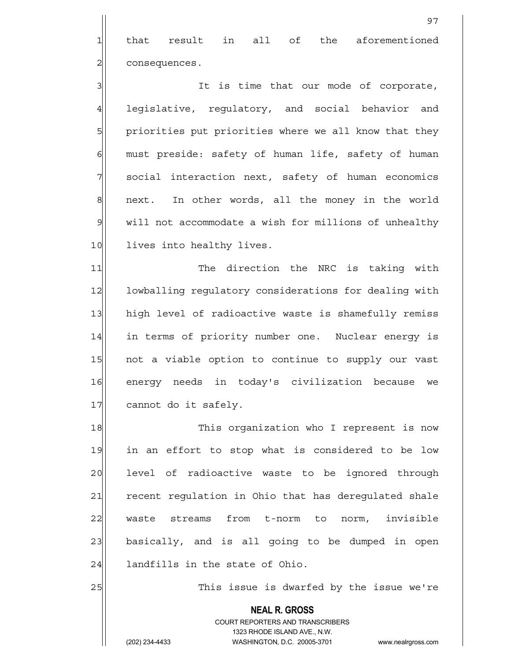1 that result in all of the aforementioned 2 consequences.

3 3 3 It is time that our mode of corporate, 4 leqislative, requlatory, and social behavior and 5 priorities put priorities where we all know that they  $6$  must preside: safety of human life, safety of human 7 | social interaction next, safety of human economics 8 next. In other words, all the money in the world 9 will not accommodate a wish for millions of unhealthy 10 lives into healthy lives.

11 The direction the NRC is taking with 12 lowballing regulatory considerations for dealing with 13 high level of radioactive waste is shamefully remiss 14 in terms of priority number one. Nuclear energy is 15 not a viable option to continue to supply our vast 16 energy needs in today's civilization because we 17 cannot do it safely.

18 This organization who I represent is now 19 in an effort to stop what is considered to be low 20 | level of radioactive waste to be ignored through 21 recent regulation in Ohio that has deregulated shale 22 waste streams from t-norm to norm, invisible 23 basically, and is all going to be dumped in open  $24$  landfills in the state of Ohio.

25 25 This issue is dwarfed by the issue we're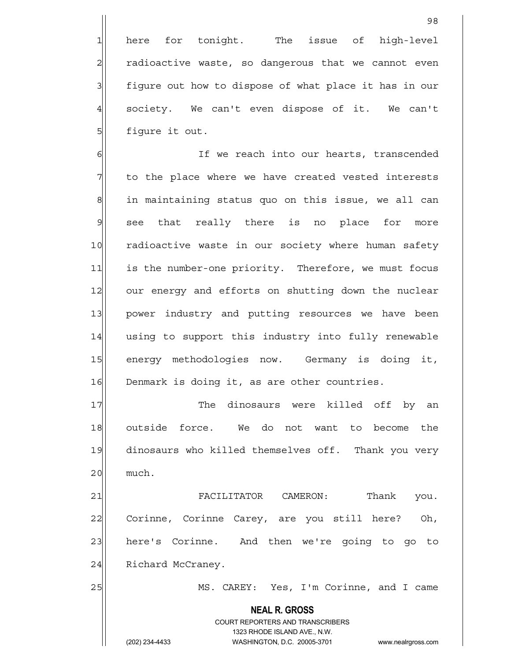1 here for tonight. The issue of high-level  $2$  radioactive waste, so dangerous that we cannot even 3 figure out how to dispose of what place it has in our  $4$  society. We can't even dispose of it. We can't 5 | figure it out.

6 6 If we reach into our hearts, transcended  $7$  to the place where we have created vested interests  $8$  in maintaining status quo on this issue, we all can 9 see that really there is no place for more 10 radioactive waste in our society where human safety 11 is the number-one priority. Therefore, we must focus 12 our energy and efforts on shutting down the nuclear 13 | power industry and putting resources we have been 14 using to support this industry into fully renewable 15 energy methodologies now. Germany is doing it, 16 Denmark is doing it, as are other countries.

17| The dinosaurs were killed off by an 18 outside force. We do not want to become the 19 dinosaurs who killed themselves off. Thank you very  $20$  much.

21 FACILITATOR CAMERON: Thank you. 22 Corinne, Corinne Carey, are you still here? Oh, 23 here's Corinne. And then we're going to go to 24 Richard McCraney.

25 MS. CAREY: Yes, I'm Corinne, and I came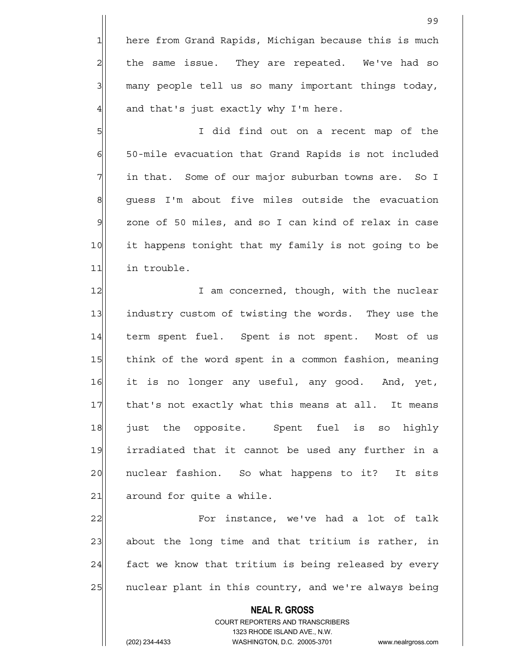1 here from Grand Rapids, Michigan because this is much the same issue. They are repeated. We've had so many people tell us so many important things today, and that's just exactly why I'm here.

5 I did find out on a recent map of the 6 50-mile evacuation that Grand Rapids is not included  $7$  in that. Some of our major suburban towns are. So I  $8$  quess I'm about five miles outside the evacuation  $9$  zone of 50 miles, and so I can kind of relax in case 10 it happens tonight that my family is not going to be 11 in trouble.

12 I am concerned, though, with the nuclear 13 industry custom of twisting the words. They use the 14 term spent fuel. Spent is not spent. Most of us 15 think of the word spent in a common fashion, meaning 16 it is no longer any useful, any good. And, yet, 17 that's not exactly what this means at all. It means 18 just the opposite. Spent fuel is so highly 19 irradiated that it cannot be used any further in a 20 | nuclear fashion. So what happens to it? It sits  $21$  around for quite a while.

22 For instance, we've had a lot of talk  $23$  about the long time and that tritium is rather, in  $24$  fact we know that tritium is being released by every 25 | nuclear plant in this country, and we're always being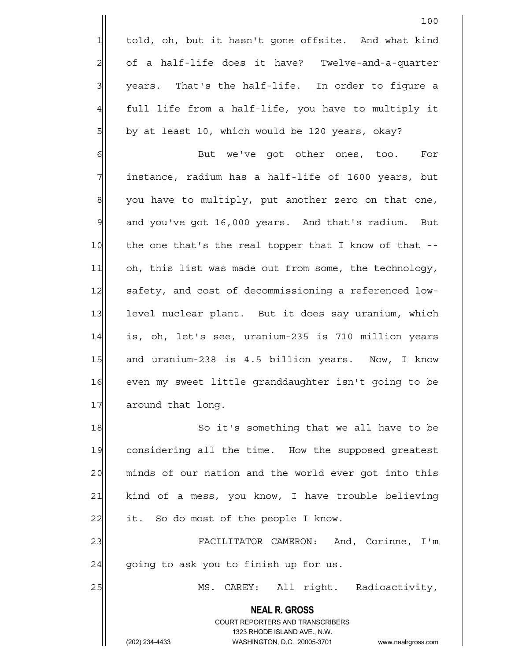1 told, oh, but it hasn't gone offsite. And what kind  $2$  of a half-life does it have? Twelve-and-a-quarter 3 | years. That's the half-life. In order to figure a 4 full life from a half-life, you have to multiply it 5 by at least 10, which would be 120 years, okay?

6 But we've got other ones, too. For  $7$  instance, radium has a half-life of 1600 years, but  $\left| \right|$  you have to multiply, put another zero on that one,  $9$  and you've got 16,000 years. And that's radium. But 10 the one that's the real topper that I know of that --11 oh, this list was made out from some, the technology, 12 safety, and cost of decommissioning a referenced low-13 level nuclear plant. But it does say uranium, which 14 is, oh, let's see, uranium-235 is 710 million years 15 and uranium-238 is 4.5 billion years. Now, I know 16 even my sweet little granddaughter isn't going to be 17 around that long.

18 So it's something that we all have to be 19 considering all the time. How the supposed greatest 20 minds of our nation and the world ever got into this 21 | kind of a mess, you know, I have trouble believing  $22$  it. So do most of the people I know.

23 FACILITATOR CAMERON: And, Corinne, I'm  $24$  going to ask you to finish up for us.

25 | MS. CAREY: All right. Radioactivity,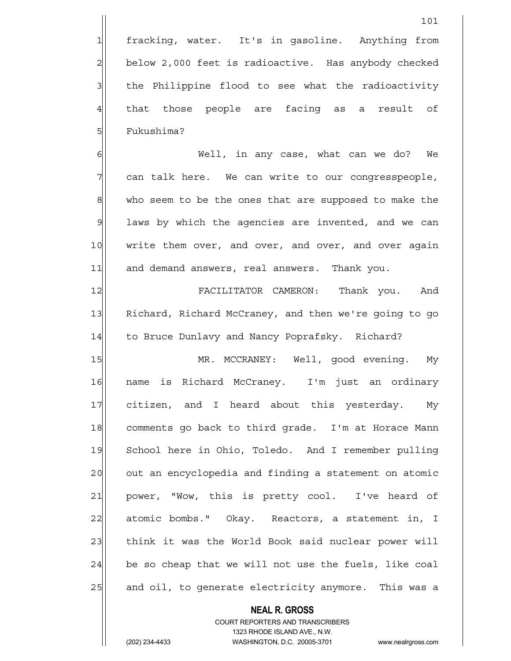4 that those people are facing as a result of 5 | Fukushima?

6 Well, in any case, what can we do? We  $7$  can talk here. We can write to our congresspeople, 8 who seem to be the ones that are supposed to make the  $9$  laws by which the agencies are invented, and we can 10 | write them over, and over, and over, and over again 11 and demand answers, real answers. Thank you.

12 FACILITATOR CAMERON: Thank you. And 13 Richard, Richard McCraney, and then we're going to go 14 to Bruce Dunlavy and Nancy Poprafsky. Richard?

15 MR. MCCRANEY: Well, good evening. My 16 name is Richard McCraney. I'm just an ordinary 17 citizen, and I heard about this yesterday. My 18 comments go back to third grade. I'm at Horace Mann 19 School here in Ohio, Toledo. And I remember pulling 20 out an encyclopedia and finding a statement on atomic 21 power, "Wow, this is pretty cool. I've heard of 22 atomic bombs." Okay. Reactors, a statement in, I 23 think it was the World Book said nuclear power will  $24$  be so cheap that we will not use the fuels, like coal 25 and oil, to generate electricity anymore. This was a

## **NEAL R. GROSS**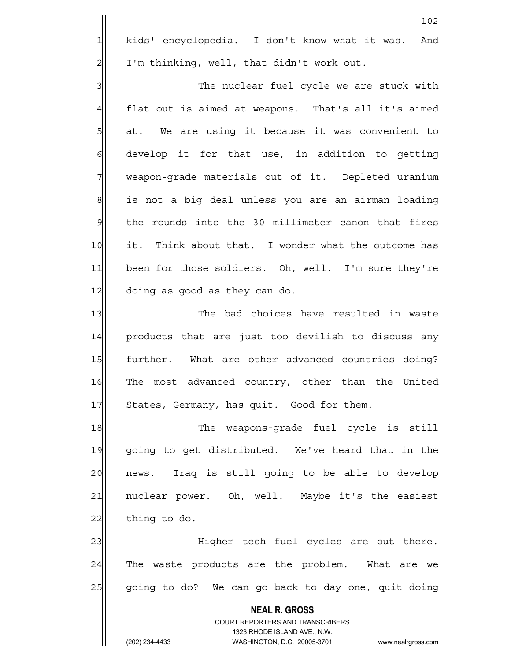1 kids' encyclopedia. I don't know what it was. And 2 | I'm thinking, well, that didn't work out.

3 3 The nuclear fuel cycle we are stuck with  $4$  flat out is aimed at weapons. That's all it's aimed  $5$  at. We are using it because it was convenient to  $6$  develop it for that use, in addition to getting 7 Weapon-grade materials out of it. Depleted uranium 8 is not a big deal unless you are an airman loading  $9$  the rounds into the 30 millimeter canon that fires 10 it. Think about that. I wonder what the outcome has 11 been for those soldiers. Oh, well. I'm sure they're 12 doing as good as they can do.

13 The bad choices have resulted in waste 14 products that are just too devilish to discuss any 15 further. What are other advanced countries doing? 16 The most advanced country, other than the United 17 States, Germany, has quit. Good for them.

18 The weapons-grade fuel cycle is still 19 going to get distributed. We've heard that in the 20 | news. Iraq is still going to be able to develop 21 | nuclear power. Oh, well. Maybe it's the easiest  $22$  thing to do.

23 | Eigher tech fuel cycles are out there. 24 The waste products are the problem. What are we 25 going to do? We can go back to day one, quit doing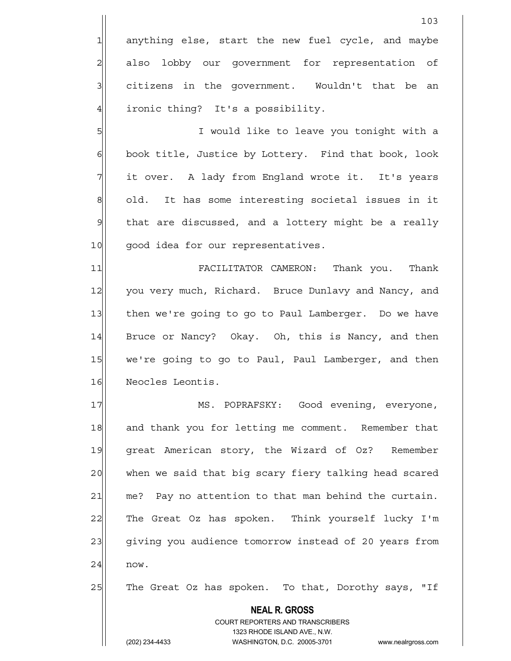1 anything else, start the new fuel cycle, and maybe 2 also lobby our government for representation of  $3$  citizens in the government. Wouldn't that be an 4 ironic thing? It's a possibility.

5 I would like to leave you tonight with a 6 book title, Justice by Lottery. Find that book, look 7 The it over. A lady from England wrote it. It's years 8 old. It has some interesting societal issues in it 9 | that are discussed, and a lottery might be a really 10 good idea for our representatives.

11 FACILITATOR CAMERON: Thank you. Thank 12 you very much, Richard. Bruce Dunlavy and Nancy, and 13 then we're going to go to Paul Lamberger. Do we have 14 Bruce or Nancy? Okay. Oh, this is Nancy, and then 15 we're going to go to Paul, Paul Lamberger, and then 16 Neocles Leontis.

17 MS. POPRAFSKY: Good evening, everyone, 18 and thank you for letting me comment. Remember that 19 great American story, the Wizard of Oz? Remember 20 when we said that big scary fiery talking head scared  $21$  me? Pay no attention to that man behind the curtain. 22 The Great Oz has spoken. Think yourself lucky I'm 23| giving you audience tomorrow instead of 20 years from  $24$  now.

25 The Great Oz has spoken. To that, Dorothy says, "If

 **NEAL R. GROSS**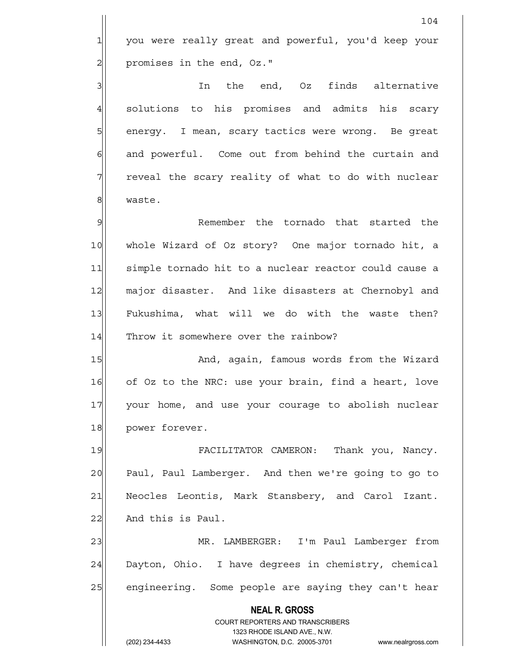1 you were really great and powerful, you'd keep your 2 | promises in the end, Oz."

3 3 In the end, Oz finds alternative 4 solutions to his promises and admits his scary 5 | energy. I mean, scary tactics were wrong. Be great  $6$  and powerful. Come out from behind the curtain and  $7$  reveal the scary reality of what to do with nuclear 8 waste.

9 **Proget Communist Example 2** Remember the tornado that started the 10 whole Wizard of Oz story? One major tornado hit, a 11 simple tornado hit to a nuclear reactor could cause a 12 major disaster. And like disasters at Chernobyl and 13 Fukushima, what will we do with the waste then? 14 Throw it somewhere over the rainbow?

15 And, again, famous words from the Wizard 16 of Oz to the NRC: use your brain, find a heart, love 17 your home, and use your courage to abolish nuclear 18 power forever.

19 FACILITATOR CAMERON: Thank you, Nancy. 20 Paul, Paul Lamberger. And then we're going to go to 21 Neocles Leontis, Mark Stansbery, and Carol Izant.  $22$  And this is Paul.

23 MR. LAMBERGER: I'm Paul Lamberger from 24 Dayton, Ohio. I have degrees in chemistry, chemical 25 engineering. Some people are saying they can't hear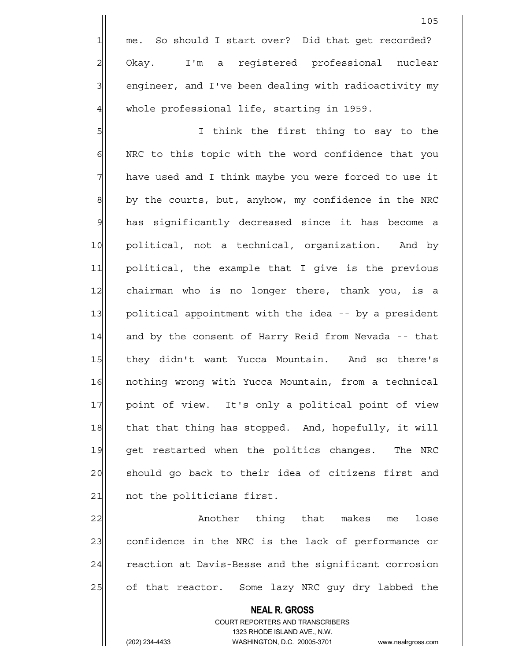5 | Sillem Think the first thing to say to the 6 | NRC to this topic with the word confidence that you 7 have used and I think maybe you were forced to use it  $8$  by the courts, but, anyhow, my confidence in the NRC 9 has significantly decreased since it has become a 10 political, not a technical, organization. And by 11 political, the example that I give is the previous 12 chairman who is no longer there, thank you, is a 13 political appointment with the idea -- by a president 14 and by the consent of Harry Reid from Nevada -- that 15 they didn't want Yucca Mountain. And so there's 16 nothing wrong with Yucca Mountain, from a technical 17 point of view. It's only a political point of view 18 that that thing has stopped. And, hopefully, it will 19 get restarted when the politics changes. The NRC 20 | should go back to their idea of citizens first and 21 ont the politicians first.

22 | Another thing that makes me lose 23 confidence in the NRC is the lack of performance or 24 reaction at Davis-Besse and the significant corrosion 25 of that reactor. Some lazy NRC guy dry labbed the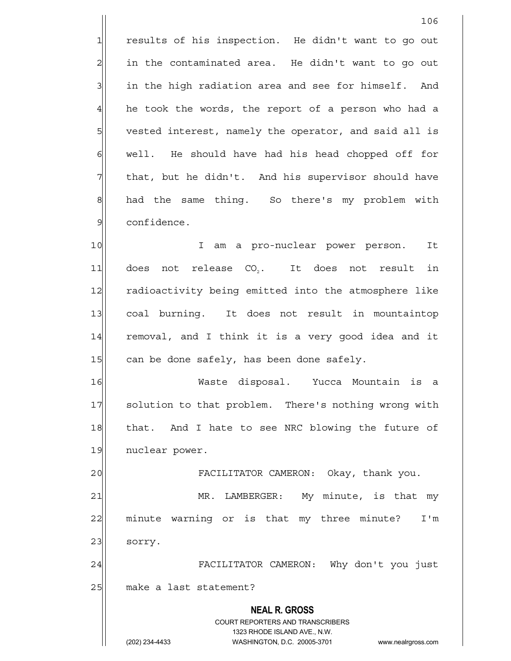1 results of his inspection. He didn't want to go out  $2$  in the contaminated area. He didn't want to go out  $3$  in the high radiation area and see for himself. And  $4$  he took the words, the report of a person who had a 5 vested interest, namely the operator, and said all is 6 6 well. He should have had his head chopped off for 7 The that, but he didn't. And his supervisor should have 8 had the same thing. So there's my problem with 9 confidence.

106

10 I am a pro-nuclear power person. It 11 does not release CO<sub>2</sub>. It does not result in 12 radioactivity being emitted into the atmosphere like 13 coal burning. It does not result in mountaintop 14 removal, and I think it is a very good idea and it 15 can be done safely, has been done safely.

16 Waste disposal. Yucca Mountain is a 17 Solution to that problem. There's nothing wrong with 18 that. And I hate to see NRC blowing the future of 19 nuclear power.

20 FACILITATOR CAMERON: Okay, thank you.

21 MR. LAMBERGER: My minute, is that my 22 minute warning or is that my three minute? I'm 23 sorry.

24 FACILITATOR CAMERON: Why don't you just 25 make a last statement?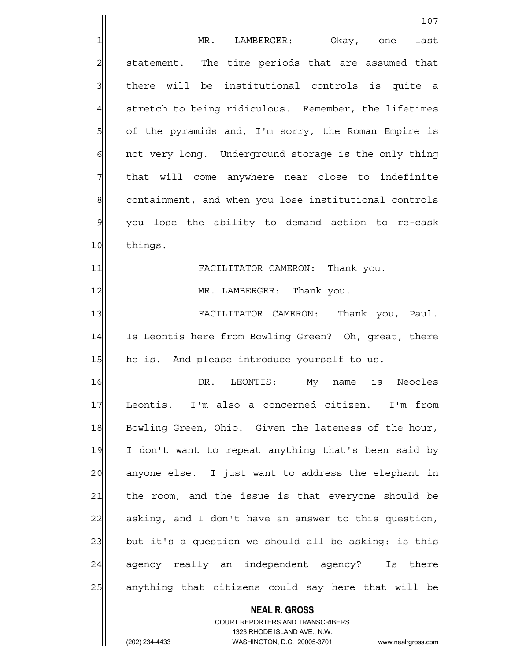**NEAL R. GROSS** 107 1 MR. LAMBERGER: Okay, one last 2 Statement. The time periods that are assumed that 3 I there will be institutional controls is quite a 4 stretch to being ridiculous. Remember, the lifetimes 5 5 5 5 of the pyramids and, I'm sorry, the Roman Empire is  $6$  not very long. Underground storage is the only thing 7 The that will come anywhere near close to indefinite 8 containment, and when you lose institutional controls 9 you lose the ability to demand action to re-cask 10 things. 11 FACILITATOR CAMERON: Thank you. 12 | MR. LAMBERGER: Thank you. 13 FACILITATOR CAMERON: Thank you, Paul. 14 Is Leontis here from Bowling Green? Oh, great, there 15 he is. And please introduce yourself to us. 16 OR. LEONTIS: My name is Neocles 17 Leontis. I'm also a concerned citizen. I'm from 18 Bowling Green, Ohio. Given the lateness of the hour, 19 I don't want to repeat anything that's been said by 20 anyone else. I just want to address the elephant in 21 the room, and the issue is that everyone should be 22 asking, and I don't have an answer to this question,  $23$  but it's a question we should all be asking: is this 24 agency really an independent agency? Is there 25 anything that citizens could say here that will be

> COURT REPORTERS AND TRANSCRIBERS 1323 RHODE ISLAND AVE., N.W.

(202) 234-4433 WASHINGTON, D.C. 20005-3701 www.nealrgross.com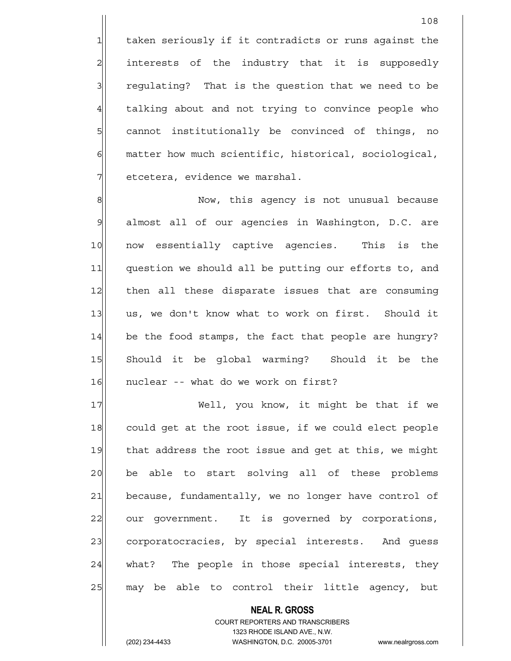1 taken seriously if it contradicts or runs against the 2 interests of the industry that it is supposedly 3 3 3 regulating? That is the question that we need to be 4 talking about and not trying to convince people who 5 Square institutionally be convinced of things, no

 $6$  matter how much scientific, historical, sociological,  $7$  etcetera, evidence we marshal.

8 | Now, this agency is not unusual because 9 almost all of our agencies in Washington, D.C. are 10 now essentially captive agencies. This is the 11 question we should all be putting our efforts to, and 12 | then all these disparate issues that are consuming 13 us, we don't know what to work on first. Should it 14 be the food stamps, the fact that people are hungry? 15 Should it be global warming? Should it be the 16 | nuclear -- what do we work on first?

17 Well, you know, it might be that if we 18 could get at the root issue, if we could elect people 19 that address the root issue and get at this, we might 20 be able to start solving all of these problems 21 because, fundamentally, we no longer have control of 22 our government. It is governed by corporations, 23 corporatocracies, by special interests. And quess 24 what? The people in those special interests, they 25 | may be able to control their little agency, but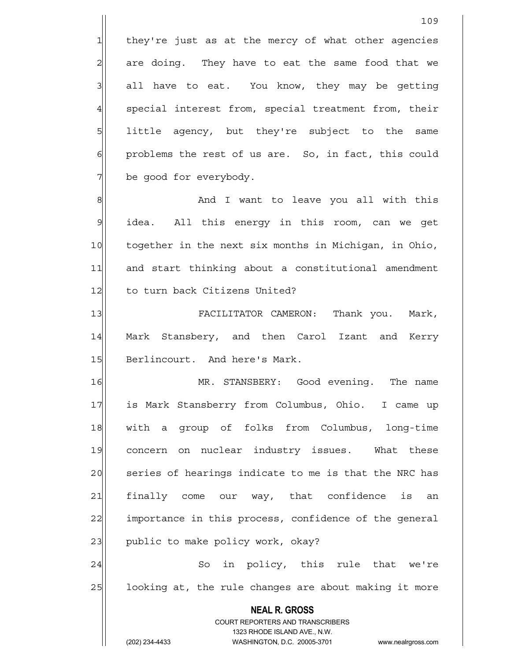$1$  they're just as at the mercy of what other agencies  $2$  are doing. They have to eat the same food that we  $3$  all have to eat. You know, they may be getting 4 special interest from, special treatment from, their 5 little agency, but they're subject to the same 6| problems the rest of us are. So, in fact, this could 7 be good for everybody.

8 8 And I want to leave you all with this 9 idea. All this energy in this room, can we get 10 together in the next six months in Michigan, in Ohio, 11 and start thinking about a constitutional amendment 12 to turn back Citizens United?

13 FACILITATOR CAMERON: Thank you. Mark, 14 Mark Stansbery, and then Carol Izant and Kerry 15 Berlincourt. And here's Mark.

16 MR. STANSBERY: Good evening. The name 17 is Mark Stansberry from Columbus, Ohio. I came up 18 with a group of folks from Columbus, long-time 19 concern on nuclear industry issues. What these 20 series of hearings indicate to me is that the NRC has 21 finally come our way, that confidence is an 22 importance in this process, confidence of the general  $23$  public to make policy work, okay?

24 So in policy, this rule that we're 25 looking at, the rule changes are about making it more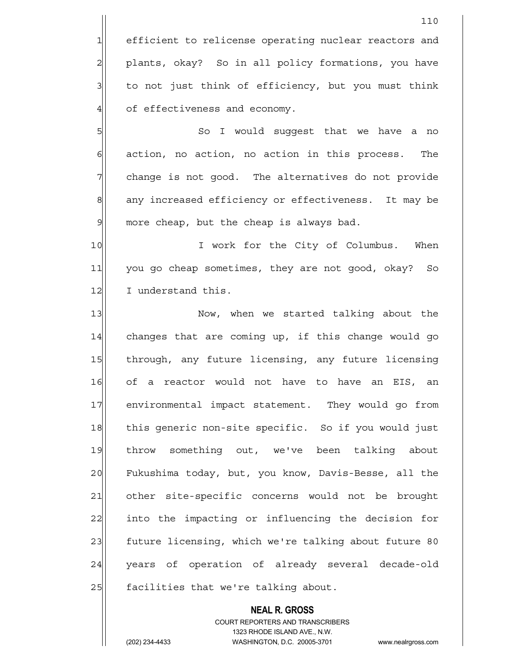1 efficient to relicense operating nuclear reactors and 2 plants, okay? So in all policy formations, you have  $3$  to not just think of efficiency, but you must think 4 of effectiveness and economy.

5 | So I would suggest that we have a no  $6$  action, no action, no action in this process. The 7 7 change is not good. The alternatives do not provide 8 any increased efficiency or effectiveness. It may be  $9$  more cheap, but the cheap is always bad.

10 I work for the City of Columbus. When 11 you go cheap sometimes, they are not good, okay? So 12 I understand this.

13 Now, when we started talking about the  $14$  changes that are coming up, if this change would go 15 | through, any future licensing, any future licensing 16 of a reactor would not have to have an EIS, an 17 environmental impact statement. They would go from 18 this generic non-site specific. So if you would just 19 throw something out, we've been talking about 20 Fukushima today, but, you know, Davis-Besse, all the 21 other site-specific concerns would not be brought 22 into the impacting or influencing the decision for 23 future licensing, which we're talking about future 80 24 years of operation of already several decade-old 25 acilities that we're talking about.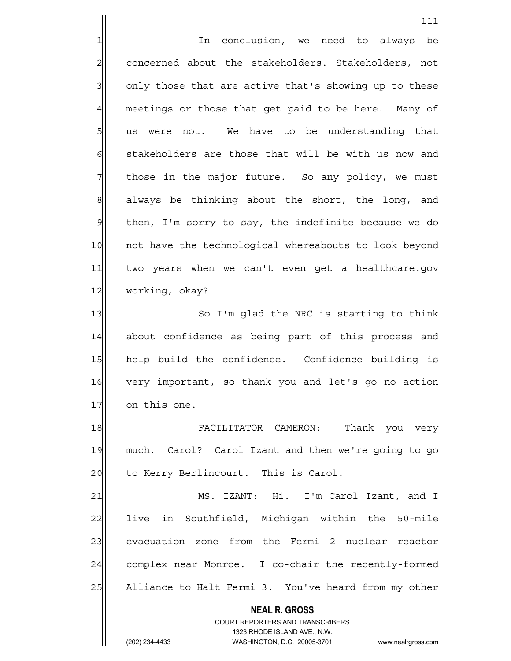**NEAL R. GROSS** COURT REPORTERS AND TRANSCRIBERS 1323 RHODE ISLAND AVE., N.W. 111 1| In conclusion, we need to always be 2 concerned about the stakeholders. Stakeholders, not 3 3 3 only those that are active that's showing up to these 4 meetings or those that get paid to be here. Many of  $5$  us were not. We have to be understanding that 6 stakeholders are those that will be with us now and  $7$  those in the major future. So any policy, we must  $8$  always be thinking about the short, the long, and 9 | then, I'm sorry to say, the indefinite because we do 10 | not have the technological whereabouts to look beyond 11 two years when we can't even get a healthcare.gov 12 working, okay? 13 So I'm glad the NRC is starting to think 14 about confidence as being part of this process and 15 help build the confidence. Confidence building is 16 very important, so thank you and let's go no action 17 on this one. 18 FACILITATOR CAMERON: Thank you very 19 much. Carol? Carol Izant and then we're going to go 20 to Kerry Berlincourt. This is Carol. 21 MS. IZANT: Hi. I'm Carol Izant, and I 22 live in Southfield, Michigan within the 50-mile 23 | evacuation zone from the Fermi 2 nuclear reactor 24 complex near Monroe. I co-chair the recently-formed 25 Alliance to Halt Fermi 3. You've heard from my other

(202) 234-4433 WASHINGTON, D.C. 20005-3701 www.nealrgross.com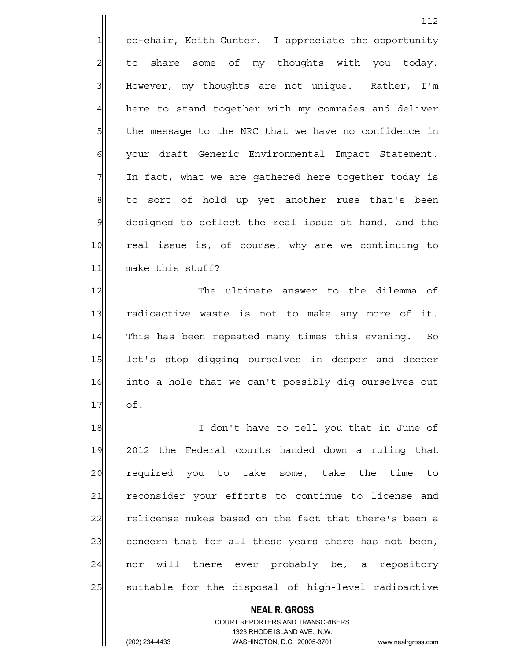1 co-chair, Keith Gunter. I appreciate the opportunity 2 | to share some of my thoughts with you today. 3 | However, my thoughts are not unique. Rather, I'm  $4$  here to stand together with my comrades and deliver 5 5 5 5 the message to the NRC that we have no confidence in 6 | your draft Generic Environmental Impact Statement.  $7$  In fact, what we are gathered here together today is 8 to sort of hold up yet another ruse that's been 9 designed to deflect the real issue at hand, and the 10 real issue is, of course, why are we continuing to 11 make this stuff?

12 The ultimate answer to the dilemma of 13 radioactive waste is not to make any more of it. 14 This has been repeated many times this evening. So 15 let's stop digging ourselves in deeper and deeper 16 into a hole that we can't possibly dig ourselves out 17 of.

18 I don't have to tell you that in June of 19 2012 the Federal courts handed down a ruling that 20 required you to take some, take the time to 21 reconsider your efforts to continue to license and 22 relicense nukes based on the fact that there's been a 23 concern that for all these years there has not been,  $24$  nor will there ever probably be, a repository 25 | suitable for the disposal of high-level radioactive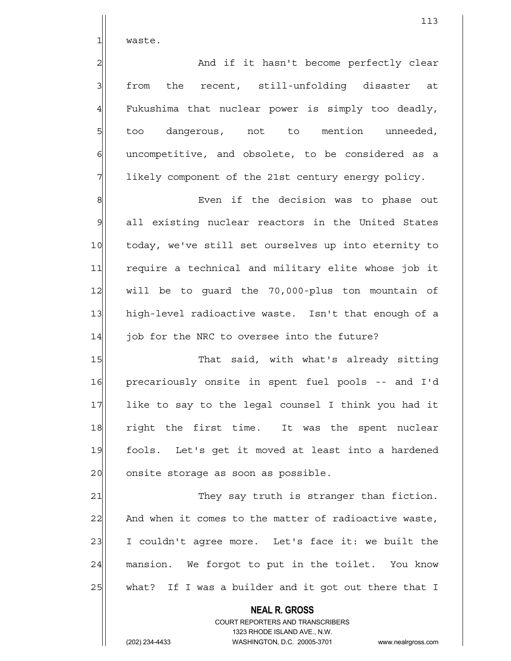1| waste.

2 and if it hasn't become perfectly clear 3| from the recent, still-unfolding disaster at  $4$  Fukushima that nuclear power is simply too deadly, 5 fold too dangerous, not to mention unneeded, 6 6 6 6 uncompetitive, and obsolete, to be considered as a 7 1ikely component of the 21st century energy policy.

8 Bullet a status Even if the decision was to phase out 9 all existing nuclear reactors in the United States 10 today, we've still set ourselves up into eternity to 11 require a technical and military elite whose job it 12 will be to guard the 70,000-plus ton mountain of 13 high-level radioactive waste. Isn't that enough of a  $14$  job for the NRC to oversee into the future?

15 That said, with what's already sitting 16 precariously onsite in spent fuel pools -- and I'd 17 like to say to the legal counsel I think you had it 18 right the first time. It was the spent nuclear 19 fools. Let's get it moved at least into a hardened 20 onsite storage as soon as possible.

21 They say truth is stranger than fiction.  $22$  And when it comes to the matter of radioactive waste, 23 I couldn't agree more. Let's face it: we built the 24 mansion. We forgot to put in the toilet. You know 25 what? If I was a builder and it got out there that I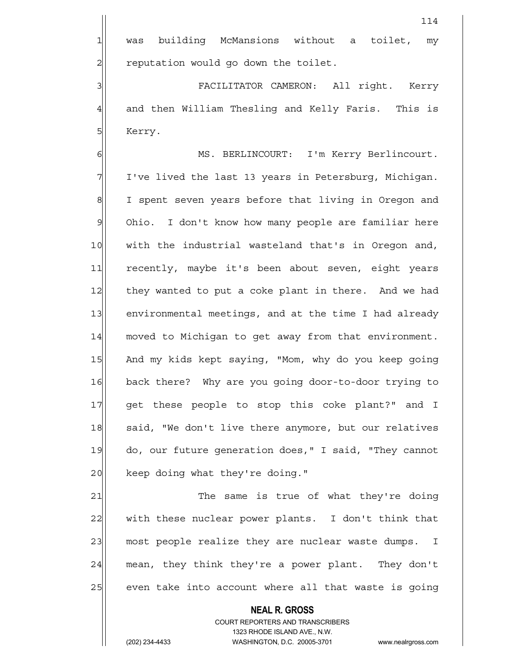114

3 | SHEMBER FACILITATOR CAMERON: All right. Kerry  $4$  and then William Thesling and Kelly Faris. This is 5 Kerry.

6 MS. BERLINCOURT: I'm Kerry Berlincourt. 7 I've lived the last 13 years in Petersburg, Michigan. 8 I spent seven years before that living in Oregon and 9 Ohio. I don't know how many people are familiar here 10 with the industrial wasteland that's in Oregon and, 11 recently, maybe it's been about seven, eight years 12 they wanted to put a coke plant in there. And we had 13 environmental meetings, and at the time I had already 14 moved to Michigan to get away from that environment. 15 And my kids kept saying, "Mom, why do you keep going 16 back there? Why are you going door-to-door trying to 17 get these people to stop this coke plant?" and I 18 said, "We don't live there anymore, but our relatives 19 do, our future generation does," I said, "They cannot 20 keep doing what they're doing."

21 The same is true of what they're doing 22 with these nuclear power plants. I don't think that 23 most people realize they are nuclear waste dumps. I 24 mean, they think they're a power plant. They don't 25 even take into account where all that waste is going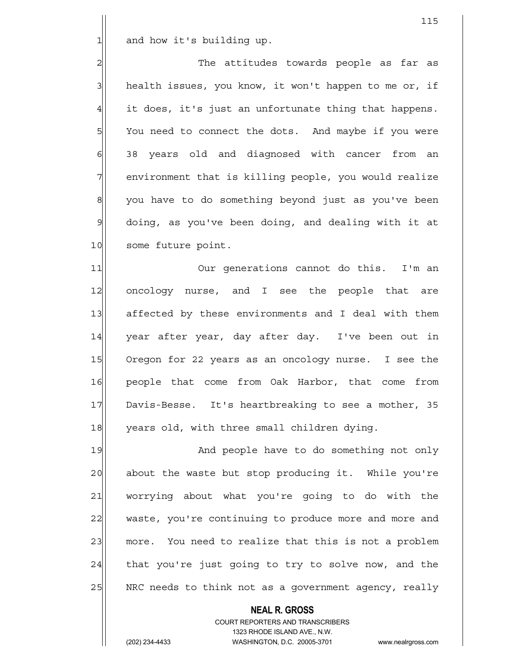$1$  and how it's building up.

2 2 The attitudes towards people as far as 3 health issues, you know, it won't happen to me or, if  $4$  it does, it's just an unfortunate thing that happens. 5 SM You need to connect the dots. And maybe if you were 6 38 years old and diagnosed with cancer from an 7 | environment that is killing people, you would realize 8 you have to do something beyond just as you've been  $9$  doing, as you've been doing, and dealing with it at 10 some future point.

11|| Our generations cannot do this. I'm an 12 oncology nurse, and I see the people that are 13 affected by these environments and I deal with them 14 year after year, day after day. I've been out in 15 Oregon for 22 years as an oncology nurse. I see the 16 people that come from Oak Harbor, that come from 17 Davis-Besse. It's heartbreaking to see a mother, 35 18 years old, with three small children dying.

19 And people have to do something not only 20 about the waste but stop producing it. While you're 21 worrying about what you're going to do with the 22 waste, you're continuing to produce more and more and 23 more. You need to realize that this is not a problem  $24$  that you're just going to try to solve now, and the  $25$  NRC needs to think not as a government agency, really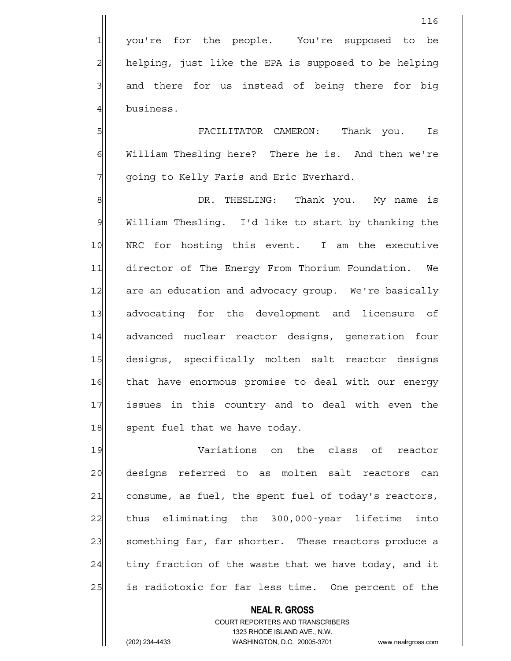5 FACILITATOR CAMERON: Thank you. Is 6 William Thesling here? There he is. And then we're 7 | going to Kelly Faris and Eric Everhard.

8 8 B DR. THESLING: Thank you. My name is 9| William Thesling. I'd like to start by thanking the 10 NRC for hosting this event. I am the executive 11 director of The Energy From Thorium Foundation. We 12 are an education and advocacy group. We're basically 13 advocating for the development and licensure of 14 advanced nuclear reactor designs, generation four 15 designs, specifically molten salt reactor designs 16 that have enormous promise to deal with our energy 17 issues in this country and to deal with even the 18 spent fuel that we have today.

19 Variations on the class of reactor 20 designs referred to as molten salt reactors can 21 consume, as fuel, the spent fuel of today's reactors, 22 thus eliminating the 300,000-year lifetime into 23 something far, far shorter. These reactors produce a  $24$  tiny fraction of the waste that we have today, and it 25 1 is radiotoxic for far less time. One percent of the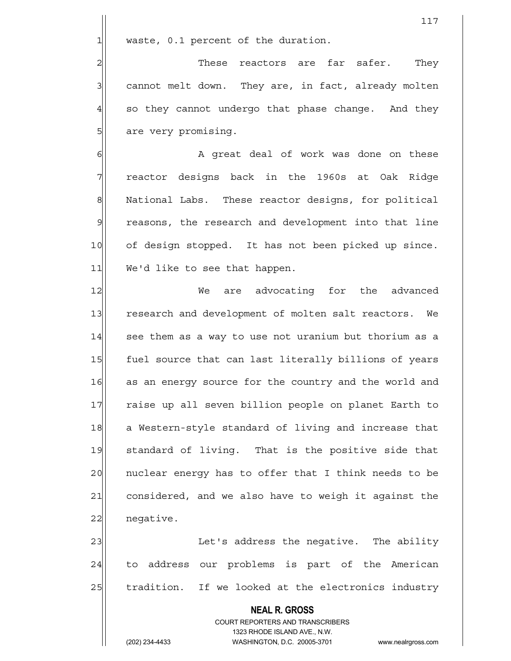$1$  waste, 0.1 percent of the duration.

 $2$  These reactors are far safer. They 3 3 cannot melt down. They are, in fact, already molten  $4$  so they cannot undergo that phase change. And they 5| are very promising.

6 6 A great deal of work was done on these 7 reactor designs back in the 1960s at Oak Ridge 8| National Labs. These reactor designs, for political 9 reasons, the research and development into that line 10 of design stopped. It has not been picked up since. 11 We'd like to see that happen.

12 We are advocating for the advanced 13 research and development of molten salt reactors. We 14 see them as a way to use not uranium but thorium as a 15 fuel source that can last literally billions of years 16 as an energy source for the country and the world and 17 raise up all seven billion people on planet Earth to 18 a Western-style standard of living and increase that 19 standard of living. That is the positive side that 20 | nuclear energy has to offer that I think needs to be 21 considered, and we also have to weigh it against the 22 negative.

23 | Casa Let's address the negative. The ability 24 to address our problems is part of the American 25 tradition. If we looked at the electronics industry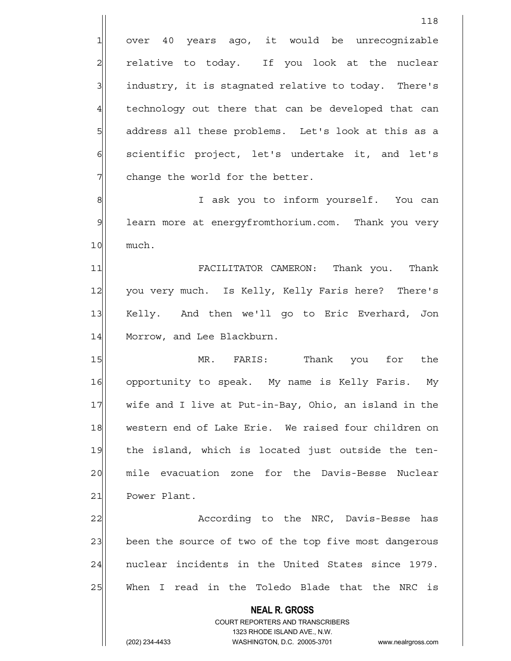1 over 40 years ago, it would be unrecognizable 2 relative to today. If you look at the nuclear 3 3 industry, it is stagnated relative to today. There's  $4$  technology out there that can be developed that can 5 | address all these problems. Let's look at this as a  $\delta$  scientific project, let's undertake it, and let's  $7$  change the world for the better.

118

8 8 8 I ask you to inform yourself. You can 9 learn more at energyfromthorium.com. Thank you very 10 much.

11 FACILITATOR CAMERON: Thank you. Thank 12 you very much. Is Kelly, Kelly Faris here? There's 13 Kelly. And then we'll go to Eric Everhard, Jon 14 Morrow, and Lee Blackburn.

15 | MR. FARIS: Thank you for the 16 opportunity to speak. My name is Kelly Faris. My 17 wife and I live at Put-in-Bay, Ohio, an island in the 18 western end of Lake Erie. We raised four children on 19 the island, which is located just outside the ten-20 mile evacuation zone for the Davis-Besse Nuclear 21 Power Plant.

22 According to the NRC, Davis-Besse has 23 been the source of two of the top five most dangerous 24 | nuclear incidents in the United States since 1979. 25 When I read in the Toledo Blade that the NRC is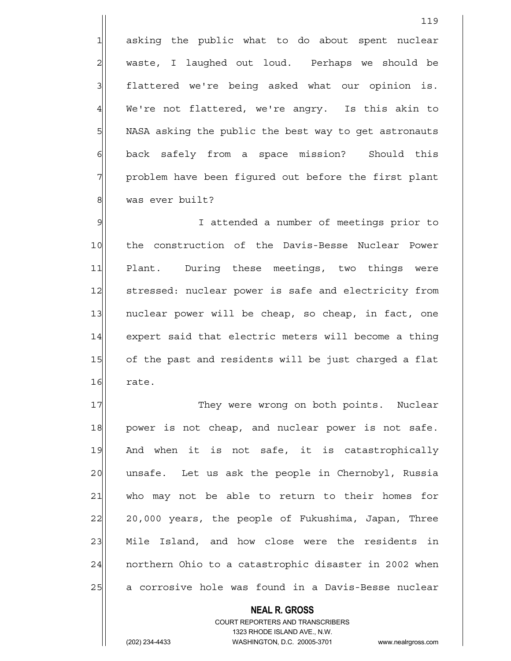1 asking the public what to do about spent nuclear 2 | waste, I laughed out loud. Perhaps we should be 3 | flattered we're being asked what our opinion is. 4 We're not flattered, we're angry. Is this akin to 5 | NASA asking the public the best way to get astronauts 6 back safely from a space mission? Should this 7 | problem have been figured out before the first plant 8 was ever built?

9 I attended a number of meetings prior to 10 the construction of the Davis-Besse Nuclear Power 11 Plant. During these meetings, two things were 12 Stressed: nuclear power is safe and electricity from 13 | nuclear power will be cheap, so cheap, in fact, one 14 expert said that electric meters will become a thing 15 of the past and residents will be just charged a flat 16 rate.

17 | They were wrong on both points. Nuclear 18 power is not cheap, and nuclear power is not safe. 19 And when it is not safe, it is catastrophically 20 | unsafe. Let us ask the people in Chernobyl, Russia 21 who may not be able to return to their homes for 22 20,000 years, the people of Fukushima, Japan, Three 23 Mile Island, and how close were the residents in 24 northern Ohio to a catastrophic disaster in 2002 when 25 a corrosive hole was found in a Davis-Besse nuclear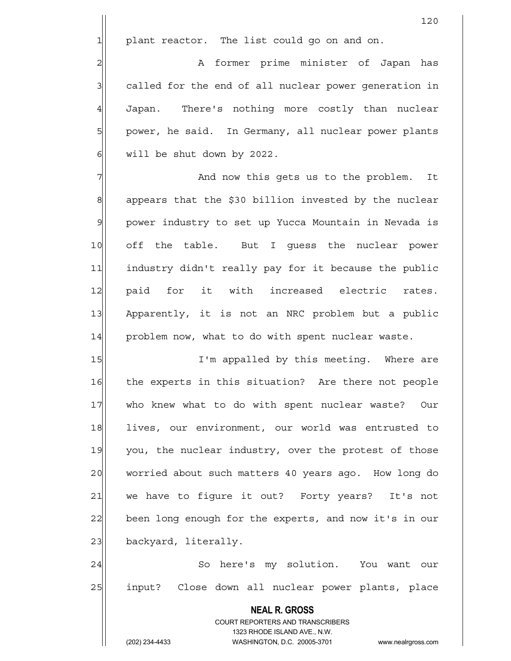1 plant reactor. The list could go on and on.

2| A former prime minister of Japan has 3 called for the end of all nuclear power generation in 4 Japan. There's nothing more costly than nuclear 5 power, he said. In Germany, all nuclear power plants 6 will be shut down by 2022.

7 7 And now this gets us to the problem. It 8 appears that the \$30 billion invested by the nuclear 9 power industry to set up Yucca Mountain in Nevada is 10 off the table. But I guess the nuclear power 11 industry didn't really pay for it because the public 12 paid for it with increased electric rates. 13 Apparently, it is not an NRC problem but a public 14 problem now, what to do with spent nuclear waste.

15 I'm appalled by this meeting. Where are 16 the experts in this situation? Are there not people 17 who knew what to do with spent nuclear waste? Our 18 lives, our environment, our world was entrusted to 19 you, the nuclear industry, over the protest of those 20 worried about such matters 40 years ago. How long do 21 we have to figure it out? Forty years? It's not 22 been long enough for the experts, and now it's in our 23 backyard, literally.

24 So here's my solution. You want our 25 input? Close down all nuclear power plants, place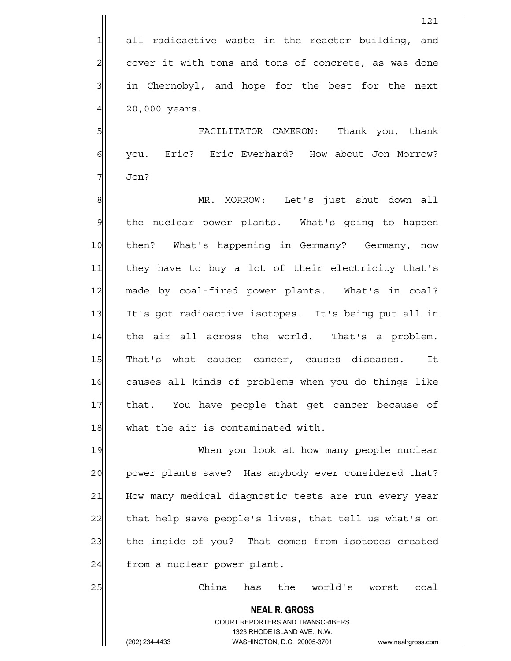5 FACILITATOR CAMERON: Thank you, thank 6 | you. Eric? Eric Everhard? How about Jon Morrow?  $7$  Jon?

8 | MR. MORROW: Let's just shut down all 9 | the nuclear power plants. What's going to happen 10 then? What's happening in Germany? Germany, now 11 they have to buy a lot of their electricity that's 12 made by coal-fired power plants. What's in coal? 13 It's got radioactive isotopes. It's being put all in 14 the air all across the world. That's a problem. 15 That's what causes cancer, causes diseases. It 16 causes all kinds of problems when you do things like 17 that. You have people that get cancer because of 18 what the air is contaminated with.

19 When you look at how many people nuclear 20 power plants save? Has anybody ever considered that? 21 How many medical diagnostic tests are run every year 22 that help save people's lives, that tell us what's on 23 the inside of you? That comes from isotopes created 24 from a nuclear power plant.

25 China has the world's worst coal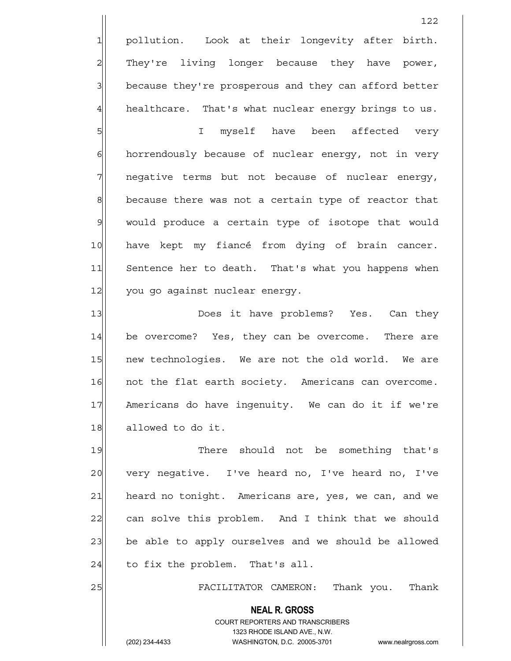1 pollution. Look at their longevity after birth. 2 They're living longer because they have power, 3 because they're prosperous and they can afford better  $4$  healthcare. That's what nuclear energy brings to us.

5 I myself have been affected very 6 6 horrendously because of nuclear energy, not in very 7 | negative terms but not because of nuclear energy,  $8$  because there was not a certain type of reactor that 9 would produce a certain type of isotope that would 10 have kept my fiancé from dying of brain cancer. 11 Sentence her to death. That's what you happens when 12 you go against nuclear energy.

13 || Does it have problems? Yes. Can they 14 be overcome? Yes, they can be overcome. There are 15 | new technologies. We are not the old world. We are 16 not the flat earth society. Americans can overcome. 17 Americans do have ingenuity. We can do it if we're 18 allowed to do it.

19 There should not be something that's 20 very negative. I've heard no, I've heard no, I've 21 heard no tonight. Americans are, yes, we can, and we 22 can solve this problem. And I think that we should 23 be able to apply ourselves and we should be allowed  $24$  to fix the problem. That's all.

25 FACILITATOR CAMERON: Thank you. Thank

 **NEAL R. GROSS**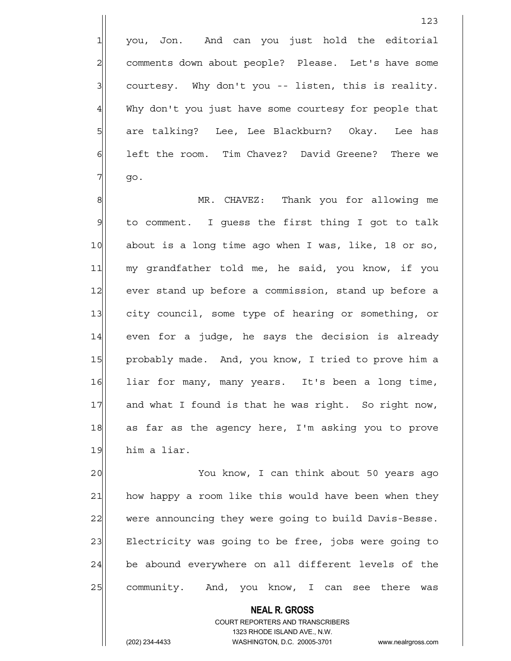1 you, Jon. And can you just hold the editorial 2 comments down about people? Please. Let's have some  $3$  courtesy. Why don't you -- listen, this is reality. 4 Why don't you just have some courtesy for people that 5 | Sare talking? Lee, Lee Blackburn? Okay. Lee has 6 6 left the room. Tim Chavez? David Greene? There we  $7$  go.

8 MR. CHAVEZ: Thank you for allowing me  $9$  to comment. I quess the first thing I got to talk 10 about is a long time ago when I was, like, 18 or so, 11 my grandfather told me, he said, you know, if you 12 ever stand up before a commission, stand up before a 13 city council, some type of hearing or something, or 14 even for a judge, he says the decision is already 15 probably made. And, you know, I tried to prove him a 16 liar for many, many years. It's been a long time, 17 and what I found is that he was right. So right now, 18 as far as the agency here, I'm asking you to prove 19 him a liar.

20 You know, I can think about 50 years ago 21 how happy a room like this would have been when they 22 were announcing they were going to build Davis-Besse. 23 Electricity was going to be free, jobs were going to 24 be abound everywhere on all different levels of the 25 community. And, you know, I can see there was

> COURT REPORTERS AND TRANSCRIBERS 1323 RHODE ISLAND AVE., N.W. (202) 234-4433 WASHINGTON, D.C. 20005-3701 www.nealrgross.com

 **NEAL R. GROSS**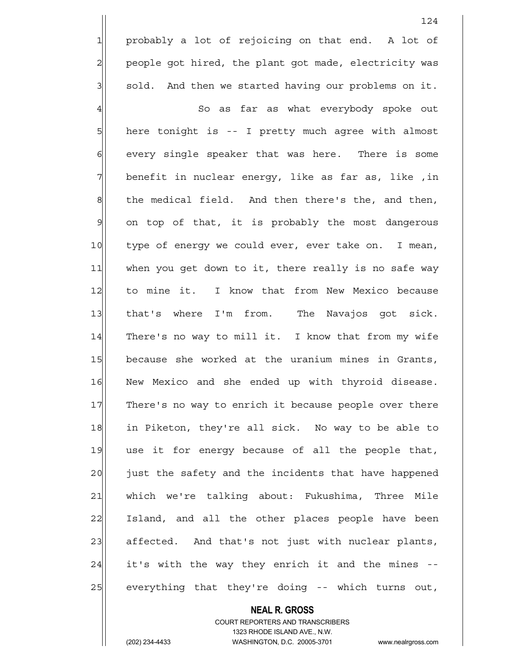1 probably a lot of rejoicing on that end. A lot of 2 people got hired, the plant got made, electricity was  $3$  sold. And then we started having our problems on it.

124

4 | So as far as what everybody spoke out 5 here tonight is -- I pretty much agree with almost 6 6 6 every single speaker that was here. There is some 7 benefit in nuclear energy, like as far as, like ,in  $\left| \cdot \right|$  the medical field. And then there's the, and then, 9 on top of that, it is probably the most dangerous 10 type of energy we could ever, ever take on. I mean, 11 when you get down to it, there really is no safe way 12 to mine it. I know that from New Mexico because 13 that's where I'm from. The Navajos got sick. 14 There's no way to mill it. I know that from my wife 15 because she worked at the uranium mines in Grants, 16 New Mexico and she ended up with thyroid disease. 17 There's no way to enrich it because people over there 18 in Piketon, they're all sick. No way to be able to 19 use it for energy because of all the people that, 20 just the safety and the incidents that have happened 21 which we're talking about: Fukushima, Three Mile 22 Island, and all the other places people have been 23 affected. And that's not just with nuclear plants,  $24$  it's with the way they enrich it and the mines -- $25$  everything that they're doing -- which turns out,

## **NEAL R. GROSS** COURT REPORTERS AND TRANSCRIBERS 1323 RHODE ISLAND AVE., N.W.

(202) 234-4433 WASHINGTON, D.C. 20005-3701 www.nealrgross.com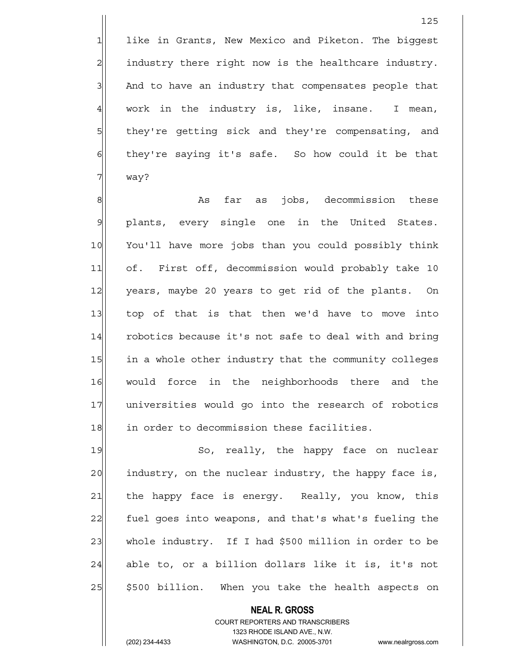1 like in Grants, New Mexico and Piketon. The biggest 2 all industry there right now is the healthcare industry. 3 And to have an industry that compensates people that  $4$  work in the industry is, like, insane. I mean, 5 5 5 they're getting sick and they're compensating, and  $6$  they're saying it's safe. So how could it be that 7 way?

8 8 As far as jobs, decommission these 9 plants, every single one in the United States. 10 You'll have more jobs than you could possibly think 11 of. First off, decommission would probably take 10 12 years, maybe 20 years to get rid of the plants. On 13 top of that is that then we'd have to move into 14 robotics because it's not safe to deal with and bring 15 in a whole other industry that the community colleges 16 would force in the neighborhoods there and the 17 universities would go into the research of robotics 18 in order to decommission these facilities.

19 So, really, the happy face on nuclear 20 industry, on the nuclear industry, the happy face is, 21 | the happy face is energy. Really, you know, this 22 fuel goes into weapons, and that's what's fueling the 23 whole industry. If I had \$500 million in order to be  $24$  able to, or a billion dollars like it is, it's not 25 | \$500 billion. When you take the health aspects on

> COURT REPORTERS AND TRANSCRIBERS 1323 RHODE ISLAND AVE., N.W. (202) 234-4433 WASHINGTON, D.C. 20005-3701 www.nealrgross.com

 **NEAL R. GROSS**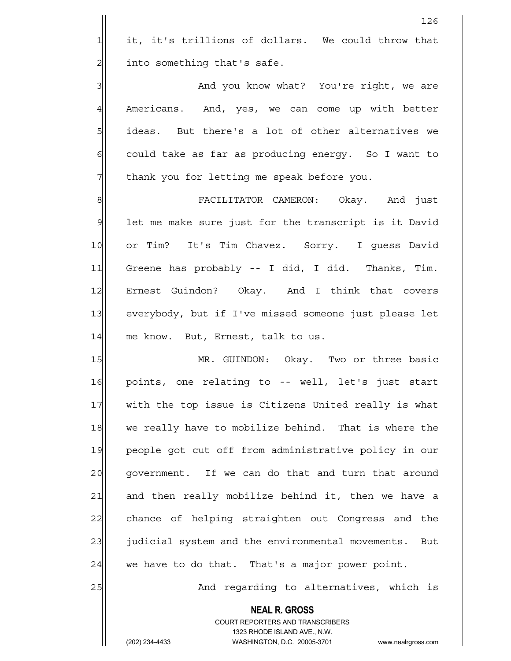$1$  it, it's trillions of dollars. We could throw that  $2$  into something that's safe.

3 And you know what? You're right, we are 4 Americans. And, yes, we can come up with better  $5$  ideas. But there's a lot of other alternatives we  $6$  could take as far as producing energy. So I want to 7 Thank you for letting me speak before you.

8 | Sepanjar Pacific Roman Cameron: Okay. And just 9 let me make sure just for the transcript is it David 10 or Tim? It's Tim Chavez. Sorry. I quess David 11 Greene has probably -- I did, I did. Thanks, Tim. 12 Ernest Guindon? Okay. And I think that covers 13 everybody, but if I've missed someone just please let 14 me know. But, Ernest, talk to us.

15 MR. GUINDON: Okay. Two or three basic 16 points, one relating to -- well, let's just start 17 with the top issue is Citizens United really is what 18 we really have to mobilize behind. That is where the 19 people got cut off from administrative policy in our 20 | government. If we can do that and turn that around 21 and then really mobilize behind it, then we have a 22 chance of helping straighten out Congress and the 23 judicial system and the environmental movements. But  $24$  we have to do that. That's a major power point.

25 And regarding to alternatives, which is

 **NEAL R. GROSS** COURT REPORTERS AND TRANSCRIBERS 1323 RHODE ISLAND AVE., N.W.

(202) 234-4433 WASHINGTON, D.C. 20005-3701 www.nealrgross.com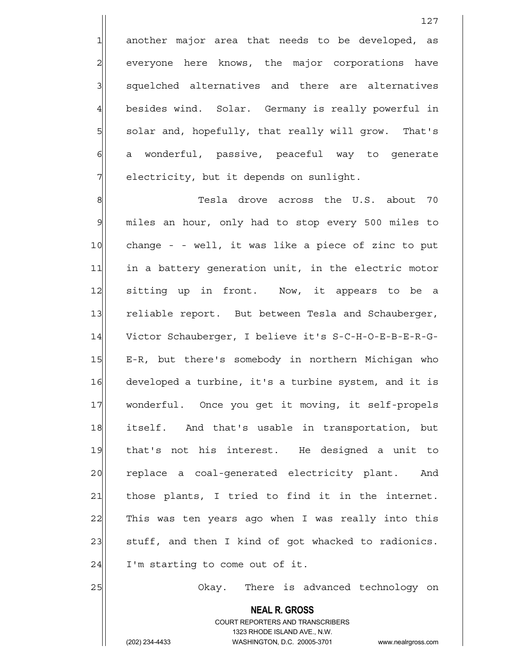$1$  another major area that needs to be developed, as 2 everyone here knows, the major corporations have 3 | squelched alternatives and there are alternatives 4 besides wind. Solar. Germany is really powerful in 5 solar and, hopefully, that really will grow. That's  $6$  a wonderful, passive, peaceful way to generate 7 | electricity, but it depends on sunlight.

8 Tesla drove across the U.S. about 70 9 miles an hour, only had to stop every 500 miles to 10 change - - well, it was like a piece of zinc to put 11 in a battery generation unit, in the electric motor 12 sitting up in front. Now, it appears to be a 13 reliable report. But between Tesla and Schauberger, 14 Victor Schauberger, I believe it's S-C-H-O-E-B-E-R-G-15 E-R, but there's somebody in northern Michigan who 16 developed a turbine, it's a turbine system, and it is 17 wonderful. Once you get it moving, it self-propels 18 itself. And that's usable in transportation, but 19 that's not his interest. He designed a unit to 20 replace a coal-generated electricity plant. And 21 those plants, I tried to find it in the internet. 22 This was ten years ago when I was really into this 23 stuff, and then I kind of got whacked to radionics.  $24$  I'm starting to come out of it.

25 | Okay. There is advanced technology on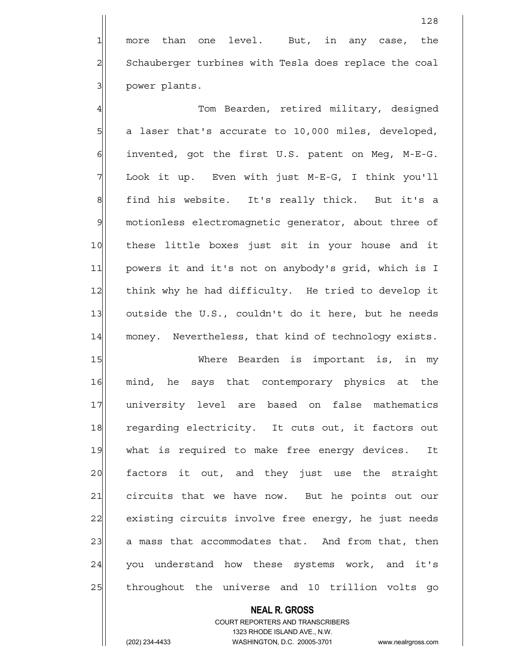1 more than one level. But, in any case, the 2 Schauberger turbines with Tesla does replace the coal 3 | power plants.

4 Tom Bearden, retired military, designed  $5$  a laser that's accurate to 10,000 miles, developed,  $6$  invented, got the first U.S. patent on Meg, M-E-G. 7 Look it up. Even with just M-E-G, I think you'll 8 find his website. It's really thick. But it's a 9 motionless electromagnetic generator, about three of 10 these little boxes just sit in your house and it 11 powers it and it's not on anybody's grid, which is I 12 think why he had difficulty. He tried to develop it 13 outside the U.S., couldn't do it here, but he needs 14 money. Nevertheless, that kind of technology exists.

15 Where Bearden is important is, in my 16 mind, he says that contemporary physics at the 17 university level are based on false mathematics 18 regarding electricity. It cuts out, it factors out 19 what is required to make free energy devices. It 20 factors it out, and they just use the straight 21 circuits that we have now. But he points out our 22 existing circuits involve free energy, he just needs  $23$  a mass that accommodates that. And from that, then 24 you understand how these systems work, and it's 25 throughout the universe and 10 trillion volts go

## **NEAL R. GROSS**